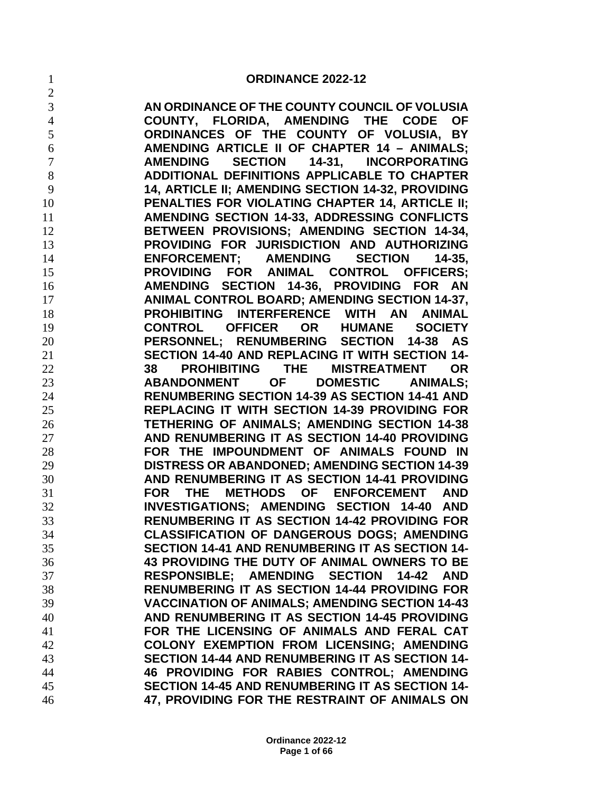$\mathfrak{D}$ 

 **AN ORDINANCE OF THE COUNTY COUNCIL OF VOLUSIA COUNTY, FLORIDA, AMENDING THE CODE OF ORDINANCES OF THE COUNTY OF VOLUSIA, BY AMENDING ARTICLE II OF CHAPTER 14 – ANIMALS; AMENDING SECTION 14-31, INCORPORATING ADDITIONAL DEFINITIONS APPLICABLE TO CHAPTER 14, ARTICLE II; AMENDING SECTION 14-32, PROVIDING PENALTIES FOR VIOLATING CHAPTER 14, ARTICLE II; AMENDING SECTION 14-33, ADDRESSING CONFLICTS BETWEEN PROVISIONS; AMENDING SECTION 14-34, PROVIDING FOR JURISDICTION AND AUTHORIZING ENFORCEMENT; AMENDING SECTION 14-35, PROVIDING FOR ANIMAL CONTROL OFFICERS; AMENDING SECTION 14-36, PROVIDING FOR AN ANIMAL CONTROL BOARD; AMENDING SECTION 14-37, PROHIBITING INTERFERENCE WITH AN ANIMAL CONTROL OFFICER OR HUMANE SOCIETY PERSONNEL; RENUMBERING SECTION 14-38 AS SECTION 14-40 AND REPLACING IT WITH SECTION 14- 38 PROHIBITING THE MISTREATMENT OR ABANDONMENT OF DOMESTIC ANIMALS; RENUMBERING SECTION 14-39 AS SECTION 14-41 AND REPLACING IT WITH SECTION 14-39 PROVIDING FOR TETHERING OF ANIMALS; AMENDING SECTION 14-38 AND RENUMBERING IT AS SECTION 14-40 PROVIDING FOR THE IMPOUNDMENT OF ANIMALS FOUND IN DISTRESS OR ABANDONED; AMENDING SECTION 14-39 AND RENUMBERING IT AS SECTION 14-41 PROVIDING FOR THE METHODS OF ENFORCEMENT AND INVESTIGATIONS; AMENDING SECTION 14-40 AND RENUMBERING IT AS SECTION 14-42 PROVIDING FOR CLASSIFICATION OF DANGEROUS DOGS; AMENDING SECTION 14-41 AND RENUMBERING IT AS SECTION 14- 43 PROVIDING THE DUTY OF ANIMAL OWNERS TO BE RESPONSIBLE; AMENDING SECTION 14-42 AND RENUMBERING IT AS SECTION 14-44 PROVIDING FOR VACCINATION OF ANIMALS; AMENDING SECTION 14-43 AND RENUMBERING IT AS SECTION 14-45 PROVIDING FOR THE LICENSING OF ANIMALS AND FERAL CAT COLONY EXEMPTION FROM LICENSING; AMENDING SECTION 14-44 AND RENUMBERING IT AS SECTION 14- 46 PROVIDING FOR RABIES CONTROL; AMENDING SECTION 14-45 AND RENUMBERING IT AS SECTION 14- 47, PROVIDING FOR THE RESTRAINT OF ANIMALS ON**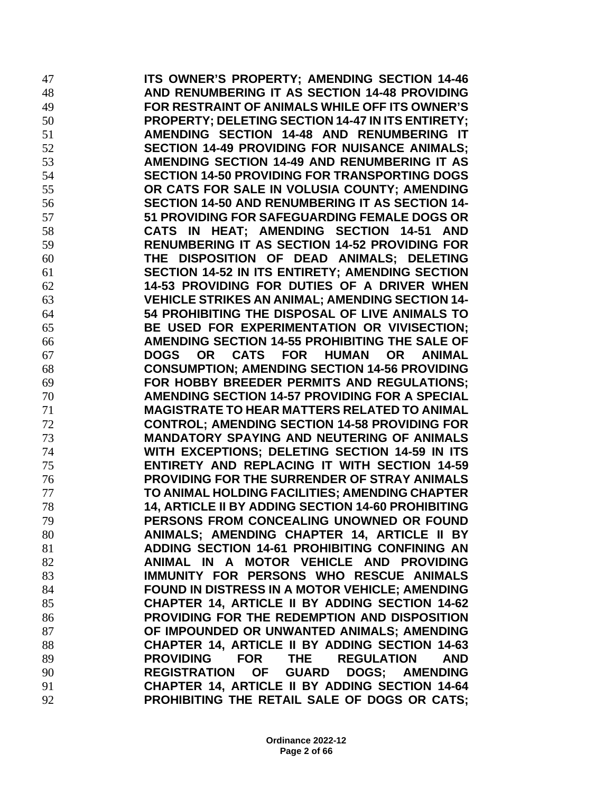**ITS OWNER'S PROPERTY; AMENDING SECTION 14-46 AND RENUMBERING IT AS SECTION 14-48 PROVIDING FOR RESTRAINT OF ANIMALS WHILE OFF ITS OWNER'S PROPERTY; DELETING SECTION 14-47 IN ITS ENTIRETY; AMENDING SECTION 14-48 AND RENUMBERING IT SECTION 14-49 PROVIDING FOR NUISANCE ANIMALS; AMENDING SECTION 14-49 AND RENUMBERING IT AS SECTION 14-50 PROVIDING FOR TRANSPORTING DOGS OR CATS FOR SALE IN VOLUSIA COUNTY; AMENDING SECTION 14-50 AND RENUMBERING IT AS SECTION 14- 51 PROVIDING FOR SAFEGUARDING FEMALE DOGS OR CATS IN HEAT; AMENDING SECTION 14-51 AND RENUMBERING IT AS SECTION 14-52 PROVIDING FOR THE DISPOSITION OF DEAD ANIMALS; DELETING SECTION 14-52 IN ITS ENTIRETY; AMENDING SECTION 14-53 PROVIDING FOR DUTIES OF A DRIVER WHEN VEHICLE STRIKES AN ANIMAL; AMENDING SECTION 14- 54 PROHIBITING THE DISPOSAL OF LIVE ANIMALS TO BE USED FOR EXPERIMENTATION OR VIVISECTION; AMENDING SECTION 14-55 PROHIBITING THE SALE OF DOGS OR CATS FOR HUMAN OR ANIMAL CONSUMPTION; AMENDING SECTION 14-56 PROVIDING FOR HOBBY BREEDER PERMITS AND REGULATIONS; AMENDING SECTION 14-57 PROVIDING FOR A SPECIAL MAGISTRATE TO HEAR MATTERS RELATED TO ANIMAL CONTROL; AMENDING SECTION 14-58 PROVIDING FOR MANDATORY SPAYING AND NEUTERING OF ANIMALS WITH EXCEPTIONS; DELETING SECTION 14-59 IN ITS ENTIRETY AND REPLACING IT WITH SECTION 14-59 PROVIDING FOR THE SURRENDER OF STRAY ANIMALS TO ANIMAL HOLDING FACILITIES; AMENDING CHAPTER 14, ARTICLE II BY ADDING SECTION 14-60 PROHIBITING PERSONS FROM CONCEALING UNOWNED OR FOUND ANIMALS; AMENDING CHAPTER 14, ARTICLE II BY ADDING SECTION 14-61 PROHIBITING CONFINING AN ANIMAL IN A MOTOR VEHICLE AND PROVIDING IMMUNITY FOR PERSONS WHO RESCUE ANIMALS FOUND IN DISTRESS IN A MOTOR VEHICLE; AMENDING CHAPTER 14, ARTICLE II BY ADDING SECTION 14-62 PROVIDING FOR THE REDEMPTION AND DISPOSITION OF IMPOUNDED OR UNWANTED ANIMALS; AMENDING CHAPTER 14, ARTICLE II BY ADDING SECTION 14-63 PROVIDING FOR THE REGULATION AND REGISTRATION OF GUARD DOGS; AMENDING CHAPTER 14, ARTICLE II BY ADDING SECTION 14-64 PROHIBITING THE RETAIL SALE OF DOGS OR CATS;**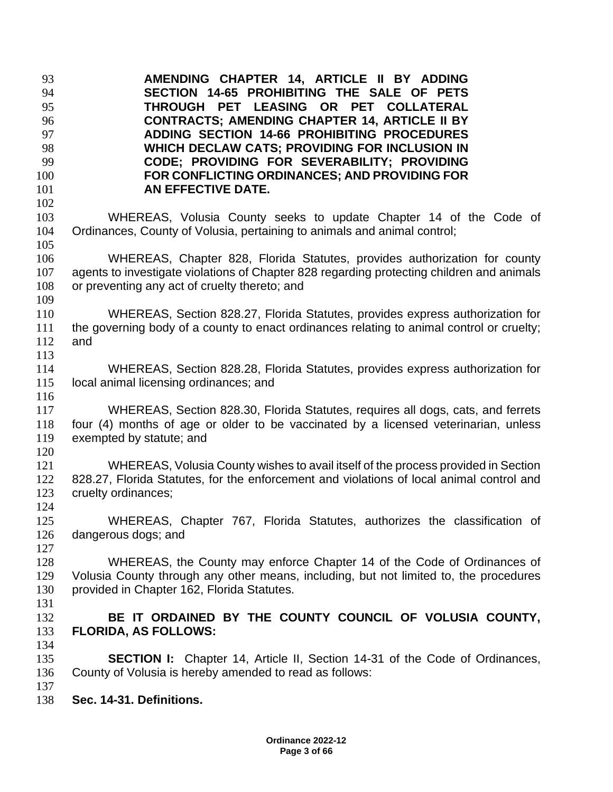**AMENDING CHAPTER 14, ARTICLE II BY ADDING SECTION 14-65 PROHIBITING THE SALE OF PETS THROUGH PET LEASING OR PET COLLATERAL CONTRACTS; AMENDING CHAPTER 14, ARTICLE II BY ADDING SECTION 14-66 PROHIBITING PROCEDURES WHICH DECLAW CATS; PROVIDING FOR INCLUSION IN CODE; PROVIDING FOR SEVERABILITY; PROVIDING FOR CONFLICTING ORDINANCES; AND PROVIDING FOR AN EFFECTIVE DATE.** WHEREAS, Volusia County seeks to update Chapter 14 of the Code of Ordinances, County of Volusia, pertaining to animals and animal control; WHEREAS, Chapter 828, Florida Statutes, provides authorization for county agents to investigate violations of Chapter 828 regarding protecting children and animals or preventing any act of cruelty thereto; and WHEREAS, Section 828.27, Florida Statutes, provides express authorization for the governing body of a county to enact ordinances relating to animal control or cruelty; and WHEREAS, Section 828.28, Florida Statutes, provides express authorization for local animal licensing ordinances; and WHEREAS, Section 828.30, Florida Statutes, requires all dogs, cats, and ferrets four (4) months of age or older to be vaccinated by a licensed veterinarian, unless exempted by statute; and WHEREAS, Volusia County wishes to avail itself of the process provided in Section 828.27, Florida Statutes, for the enforcement and violations of local animal control and cruelty ordinances; WHEREAS, Chapter 767, Florida Statutes, authorizes the classification of dangerous dogs; and WHEREAS, the County may enforce Chapter 14 of the Code of Ordinances of Volusia County through any other means, including, but not limited to, the procedures provided in Chapter 162, Florida Statutes. **BE IT ORDAINED BY THE COUNTY COUNCIL OF VOLUSIA COUNTY, FLORIDA, AS FOLLOWS: SECTION I:** Chapter 14, Article II, Section 14-31 of the Code of Ordinances, 136 County of Volusia is hereby amended to read as follows: County of Volusia is hereby amended to read as follows: **Sec. 14-31. Definitions.**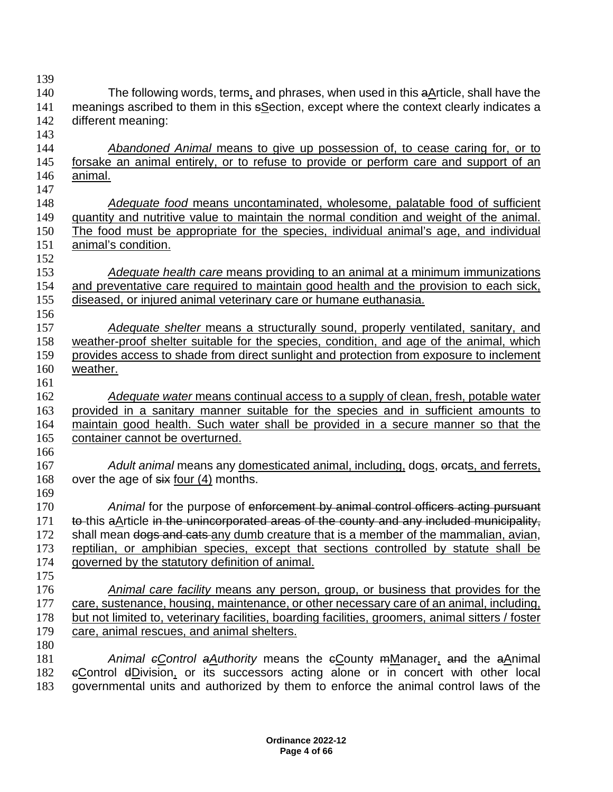140 The following words, terms, and phrases, when used in this aArticle, shall have the 141 meanings ascribed to them in this sSection, except where the context clearly indicates a different meaning: *Abandoned Animal* means to give up possession of, to cease caring for, or to forsake an animal entirely, or to refuse to provide or perform care and support of an animal. *Adequate food* means uncontaminated, wholesome, palatable food of sufficient quantity and nutritive value to maintain the normal condition and weight of the animal. The food must be appropriate for the species, individual animal's age, and individual animal's condition. *Adequate health care* means providing to an animal at a minimum immunizations and preventative care required to maintain good health and the provision to each sick, diseased, or injured animal veterinary care or humane euthanasia. *Adequate shelter* means a structurally sound, properly ventilated, sanitary, and weather-proof shelter suitable for the species, condition, and age of the animal, which provides access to shade from direct sunlight and protection from exposure to inclement weather. *Adequate water* means continual access to a supply of clean, fresh, potable water provided in a sanitary manner suitable for the species and in sufficient amounts to maintain good health. Such water shall be provided in a secure manner so that the container cannot be overturned. *Adult animal* means any domesticated animal, including, dogs, orcats, and ferrets, 168 over the age of six four (4) months. *Animal* for the purpose of enforcement by animal control officers acting pursuant 171 to this aArticle in the unincorporated areas of the county and any included municipality, 172 shall mean dogs and cats any dumb creature that is a member of the mammalian, avian, reptilian, or amphibian species, except that sections controlled by statute shall be governed by the statutory definition of animal. *Animal care facility* means any person, group, or business that provides for the care, sustenance, housing, maintenance, or other necessary care of an animal, including, but not limited to, veterinary facilities, boarding facilities, groomers, animal sitters / foster 179 care, animal rescues, and animal shelters. **Animal eControl aAuthority means the eCounty mManager, and the aAnimal**  cControl dDivision, or its successors acting alone or in concert with other local governmental units and authorized by them to enforce the animal control laws of the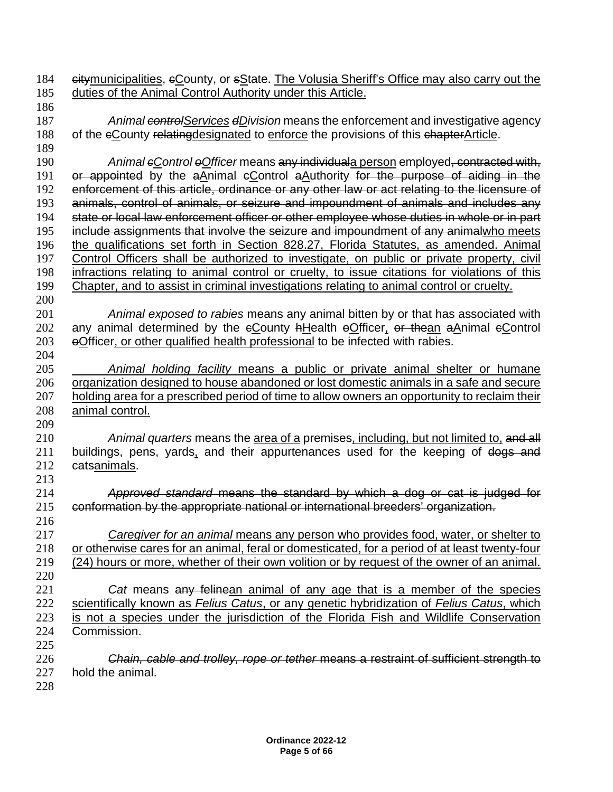184 Gitymunicipalities,  $\epsilon$ County, or sState. The Volusia Sheriff's Office may also carry out the duties of the Animal Control Authority under this Article. *Animal controlServices dDivision* means the enforcement and investigative agency 188 of the eCounty relating designated to enforce the provisions of this chapter Article. *Animal cControl oOfficer* means any individuala person employed, contracted with, 191 or appointed by the aAnimal eControl aAuthority for the purpose of aiding in the enforcement of this article, ordinance or any other law or act relating to the licensure of animals, control of animals, or seizure and impoundment of animals and includes any state or local law enforcement officer or other employee whose duties in whole or in part 195 include assignments that involve the seizure and impoundment of any animalwho meets the qualifications set forth in Section 828.27, Florida Statutes, as amended. Animal Control Officers shall be authorized to investigate, on public or private property, civil infractions relating to animal control or cruelty, to issue citations for violations of this Chapter, and to assist in criminal investigations relating to animal control or cruelty. *Animal exposed to rabies* means any animal bitten by or that has associated with 202 any animal determined by the eCounty hHealth eOfficer, or thean aAnimal eControl 203 oOfficer, or other qualified health professional to be infected with rabies. *Animal holding facility* means a public or private animal shelter or humane organization designed to house abandoned or lost domestic animals in a safe and secure 207 holding area for a prescribed period of time to allow owners an opportunity to reclaim their animal control. *Animal quarters* means the area of a premises, including, but not limited to, and all 211 buildings, pens, yards, and their appurtenances used for the keeping of dogs and **catsanimals.**  *Approved standard* means the standard by which a dog or cat is judged for conformation by the appropriate national or international breeders' organization. *Caregiver for an animal* means any person who provides food, water, or shelter to or otherwise cares for an animal, feral or domesticated, for a period of at least twenty-four (24) hours or more, whether of their own volition or by request of the owner of an animal. *Cat* means any felinean animal of any age that is a member of the species scientifically known as *Felius Catus*, or any genetic hybridization of *Felius Catus*, which is not a species under the jurisdiction of the Florida Fish and Wildlife Conservation Commission. *Chain, cable and trolley, rope or tether* means a restraint of sufficient strength to hold the animal.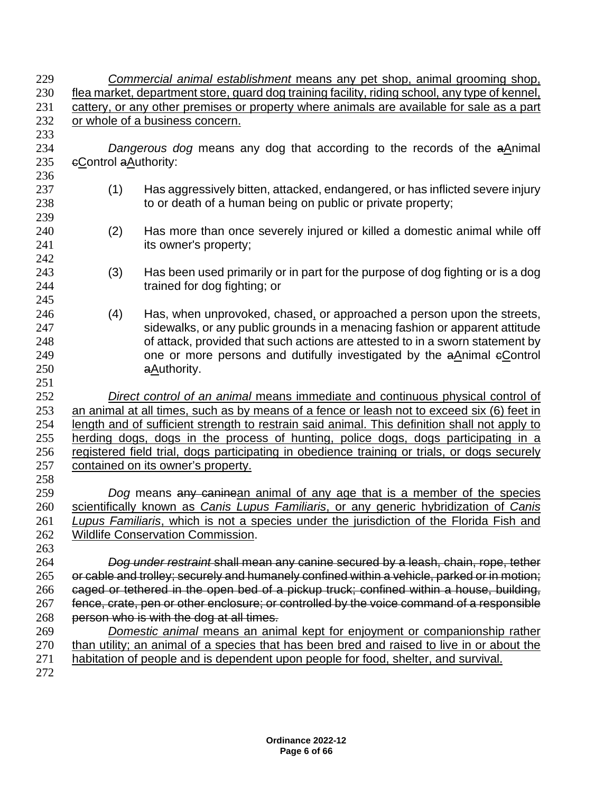| 229 |                                                                                                       | Commercial animal establishment means any pet shop, animal grooming shop,                     |  |  |  |
|-----|-------------------------------------------------------------------------------------------------------|-----------------------------------------------------------------------------------------------|--|--|--|
| 230 | <u>flea market, department store, guard dog training facility, riding school, any type of kennel,</u> |                                                                                               |  |  |  |
| 231 | cattery, or any other premises or property where animals are available for sale as a part             |                                                                                               |  |  |  |
| 232 |                                                                                                       | or whole of a business concern.                                                               |  |  |  |
| 233 |                                                                                                       |                                                                                               |  |  |  |
| 234 |                                                                                                       | Dangerous dog means any dog that according to the records of the aAnimal                      |  |  |  |
| 235 | eControl aAuthority:                                                                                  |                                                                                               |  |  |  |
| 236 |                                                                                                       |                                                                                               |  |  |  |
| 237 | (1)                                                                                                   | Has aggressively bitten, attacked, endangered, or has inflicted severe injury                 |  |  |  |
| 238 |                                                                                                       | to or death of a human being on public or private property;                                   |  |  |  |
| 239 |                                                                                                       |                                                                                               |  |  |  |
| 240 | (2)                                                                                                   | Has more than once severely injured or killed a domestic animal while off                     |  |  |  |
| 241 |                                                                                                       | its owner's property;                                                                         |  |  |  |
| 242 |                                                                                                       |                                                                                               |  |  |  |
| 243 | (3)                                                                                                   | Has been used primarily or in part for the purpose of dog fighting or is a dog                |  |  |  |
| 244 |                                                                                                       | trained for dog fighting; or                                                                  |  |  |  |
| 245 |                                                                                                       |                                                                                               |  |  |  |
| 246 | (4)                                                                                                   | Has, when unprovoked, chased, or approached a person upon the streets,                        |  |  |  |
| 247 |                                                                                                       | sidewalks, or any public grounds in a menacing fashion or apparent attitude                   |  |  |  |
| 248 |                                                                                                       | of attack, provided that such actions are attested to in a sworn statement by                 |  |  |  |
| 249 |                                                                                                       | one or more persons and dutifully investigated by the aAnimal eControl                        |  |  |  |
| 250 |                                                                                                       | aAuthority.                                                                                   |  |  |  |
| 251 |                                                                                                       |                                                                                               |  |  |  |
| 252 |                                                                                                       | Direct control of an animal means immediate and continuous physical control of                |  |  |  |
| 253 |                                                                                                       | an animal at all times, such as by means of a fence or leash not to exceed six (6) feet in    |  |  |  |
| 254 |                                                                                                       | length and of sufficient strength to restrain said animal. This definition shall not apply to |  |  |  |
| 255 |                                                                                                       | herding dogs, dogs in the process of hunting, police dogs, dogs participating in a            |  |  |  |
| 256 | registered field trial, dogs participating in obedience training or trials, or dogs securely          |                                                                                               |  |  |  |
| 257 | contained on its owner's property.                                                                    |                                                                                               |  |  |  |
| 258 |                                                                                                       |                                                                                               |  |  |  |
| 259 |                                                                                                       | Dog means any caninean animal of any age that is a member of the species                      |  |  |  |
| 260 |                                                                                                       | scientifically known as Canis Lupus Familiaris, or any generic hybridization of Canis         |  |  |  |
| 261 |                                                                                                       | Lupus Familiaris, which is not a species under the jurisdiction of the Florida Fish and       |  |  |  |
| 262 |                                                                                                       | <b>Wildlife Conservation Commission.</b>                                                      |  |  |  |
| 263 |                                                                                                       |                                                                                               |  |  |  |
| 264 |                                                                                                       | Dog under restraint shall mean any canine secured by a leash, chain, rope, tether             |  |  |  |
| 265 |                                                                                                       | or cable and trolley; securely and humanely confined within a vehicle, parked or in motion;   |  |  |  |
| 266 |                                                                                                       | caged or tethered in the open bed of a pickup truck; confined within a house, building,       |  |  |  |
| 267 |                                                                                                       | fence, crate, pen or other enclosure; or controlled by the voice command of a responsible     |  |  |  |
| 268 |                                                                                                       | person who is with the dog at all times.                                                      |  |  |  |
| 269 |                                                                                                       | Domestic animal means an animal kept for enjoyment or companionship rather                    |  |  |  |
| 270 |                                                                                                       | than utility; an animal of a species that has been bred and raised to live in or about the    |  |  |  |
| 271 |                                                                                                       | habitation of people and is dependent upon people for food, shelter, and survival.            |  |  |  |
| 272 |                                                                                                       |                                                                                               |  |  |  |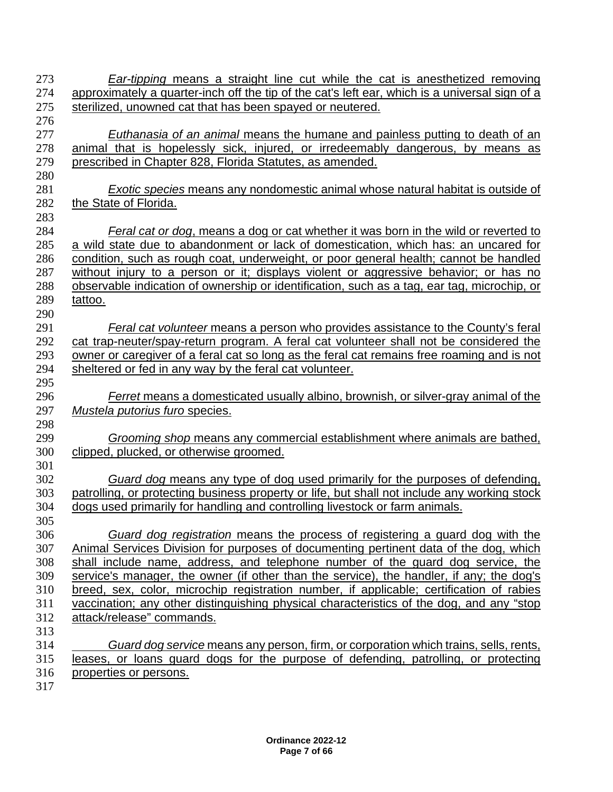| 273 | <b>Ear-tipping means a straight line cut while the cat is anesthetized removing</b>            |
|-----|------------------------------------------------------------------------------------------------|
| 274 | approximately a quarter-inch off the tip of the cat's left ear, which is a universal sign of a |
| 275 | sterilized, unowned cat that has been spayed or neutered.                                      |
| 276 |                                                                                                |
| 277 | <b>Euthanasia of an animal means the humane and painless putting to death of an</b>            |
| 278 | animal that is hopelessly sick, injured, or irredeemably dangerous, by means as                |
| 279 | prescribed in Chapter 828, Florida Statutes, as amended.                                       |
| 280 |                                                                                                |
| 281 | <i>Exotic species</i> means any nondomestic animal whose natural habitat is outside of         |
| 282 | the State of Florida.                                                                          |
| 283 |                                                                                                |
| 284 | <b>Feral cat or dog, means a dog or cat whether it was born in the wild or reverted to</b>     |
| 285 | a wild state due to abandonment or lack of domestication, which has: an uncared for            |
| 286 | condition, such as rough coat, underweight, or poor general health; cannot be handled          |
| 287 | without injury to a person or it; displays violent or aggressive behavior; or has no           |
| 288 | observable indication of ownership or identification, such as a tag, ear tag, microchip, or    |
| 289 | tattoo.                                                                                        |
| 290 |                                                                                                |
| 291 | Feral cat volunteer means a person who provides assistance to the County's feral               |
| 292 | cat trap-neuter/spay-return program. A feral cat volunteer shall not be considered the         |
| 293 | owner or caregiver of a feral cat so long as the feral cat remains free roaming and is not     |
| 294 | sheltered or fed in any way by the feral cat volunteer.                                        |
| 295 |                                                                                                |
| 296 | Ferret means a domesticated usually albino, brownish, or silver-gray animal of the             |
| 297 | Mustela putorius furo species.                                                                 |
| 298 |                                                                                                |
| 299 | Grooming shop means any commercial establishment where animals are bathed,                     |
| 300 | clipped, plucked, or otherwise groomed.                                                        |
| 301 |                                                                                                |
| 302 | Guard dog means any type of dog used primarily for the purposes of defending,                  |
| 303 | patrolling, or protecting business property or life, but shall not include any working stock   |
| 304 | dogs used primarily for handling and controlling livestock or farm animals.                    |
| 305 |                                                                                                |
| 306 | Guard dog registration means the process of registering a guard dog with the                   |
| 307 | Animal Services Division for purposes of documenting pertinent data of the dog, which          |
| 308 | shall include name, address, and telephone number of the quard dog service, the                |
| 309 | service's manager, the owner (if other than the service), the handler, if any; the dog's       |
| 310 | breed, sex, color, microchip registration number, if applicable; certification of rabies       |
| 311 | vaccination; any other distinguishing physical characteristics of the dog, and any "stop       |
| 312 | attack/release" commands.                                                                      |
| 313 |                                                                                                |
| 314 | Guard dog service means any person, firm, or corporation which trains, sells, rents,           |
| 315 | leases, or loans guard dogs for the purpose of defending, patrolling, or protecting            |
| 316 | properties or persons.                                                                         |
| 317 |                                                                                                |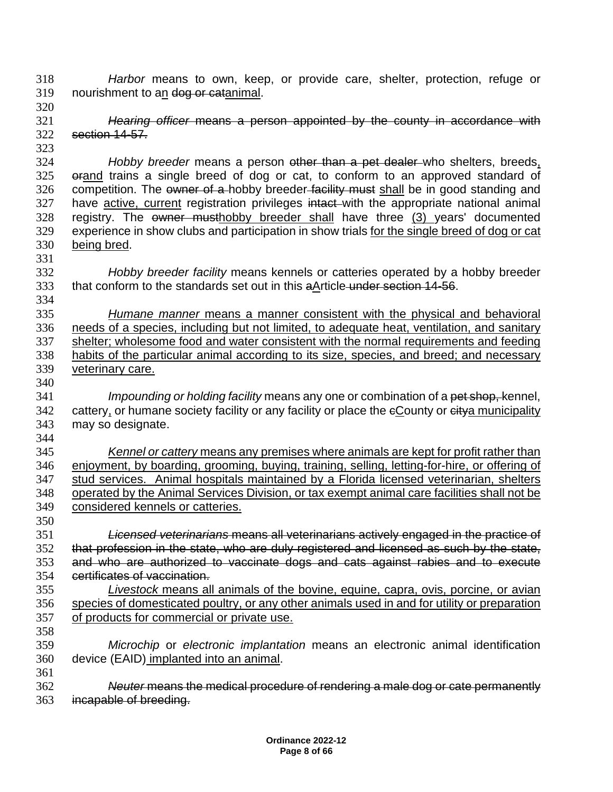*Harbor* means to own, keep, or provide care, shelter, protection, refuge or 319 nourishment to an dog or catanimal.

 *Hearing officer* means a person appointed by the county in accordance with section 14-57.

- *Hobby breeder* means a person other than a pet dealer who shelters, breeds, orand trains a single breed of dog or cat, to conform to an approved standard of 326 competition. The owner of a hobby breeder facility must shall be in good standing and 327 have active, current registration privileges intact with the appropriate national animal 328 registry. The owner musthobby breeder shall have three (3) years' documented experience in show clubs and participation in show trials for the single breed of dog or cat being bred.
- *Hobby breeder facility* means kennels or catteries operated by a hobby breeder that conform to the standards set out in this aArticle under section 14-56.
- *Humane manner* means a manner consistent with the physical and behavioral needs of a species, including but not limited, to adequate heat, ventilation, and sanitary shelter; wholesome food and water consistent with the normal requirements and feeding habits of the particular animal according to its size, species, and breed; and necessary veterinary care.
- *Impounding or holding facility* means any one or combination of a pet shop, kennel, 342 cattery, or humane society facility or any facility or place the eCounty or eitya municipality may so designate.
- 

 *Kennel or cattery* means any premises where animals are kept for profit rather than enjoyment, by boarding, grooming, buying, training, selling, letting-for-hire, or offering of stud services. Animal hospitals maintained by a Florida licensed veterinarian, shelters operated by the Animal Services Division, or tax exempt animal care facilities shall not be considered kennels or catteries.

- *Licensed veterinarians* means all veterinarians actively engaged in the practice of that profession in the state, who are duly registered and licensed as such by the state, and who are authorized to vaccinate dogs and cats against rabies and to execute certificates of vaccination.
- *Livestock* means all animals of the bovine, equine, capra, ovis, porcine, or avian species of domesticated poultry, or any other animals used in and for utility or preparation of products for commercial or private use.
- *Microchip* or *electronic implantation* means an electronic animal identification device (EAID) implanted into an animal.
- *Neuter* means the medical procedure of rendering a male dog or cate permanently incapable of breeding.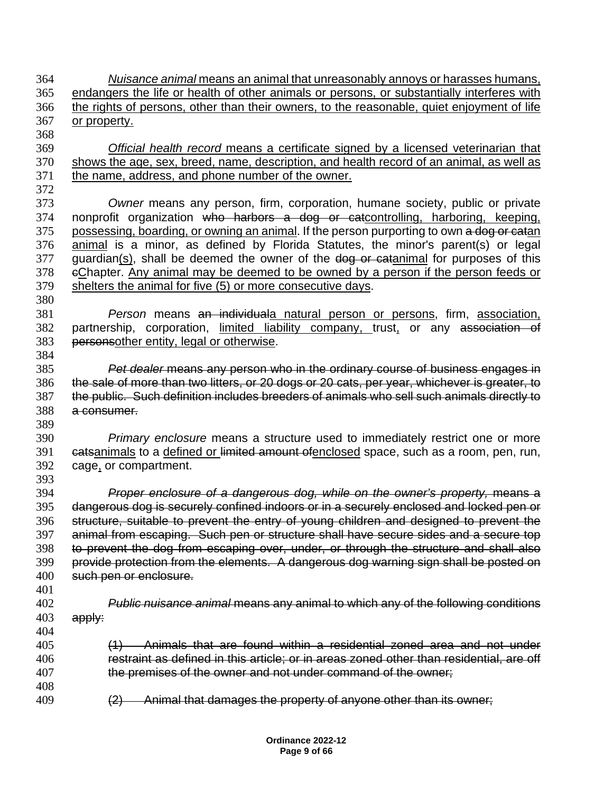*Nuisance animal* means an animal that unreasonably annoys or harasses humans, endangers the life or health of other animals or persons, or substantially interferes with the rights of persons, other than their owners, to the reasonable, quiet enjoyment of life or property. *Official health record* means a certificate signed by a licensed veterinarian that shows the age, sex, breed, name, description, and health record of an animal, as well as the name, address, and phone number of the owner. *Owner* means any person, firm, corporation, humane society, public or private 374 nonprofit organization who harbors a dog or catcontrolling, harboring, keeping, 375 possessing, boarding, or owning an animal. If the person purporting to own a dog or catan animal is a minor, as defined by Florida Statutes, the minor's parent(s) or legal 377 guardian(s), shall be deemed the owner of the dog or catanimal for purposes of this cChapter. Any animal may be deemed to be owned by a person if the person feeds or shelters the animal for five (5) or more consecutive days. *Person* means an individuala natural person or persons, firm, association, 382 partnership, corporation, limited liability company, trust, or any association of 383 personsother entity, legal or otherwise. personsother entity, legal or otherwise. *Pet dealer* means any person who in the ordinary course of business engages in the sale of more than two litters, or 20 dogs or 20 cats, per year, whichever is greater, to the public. Such definition includes breeders of animals who sell such animals directly to a consumer. *Primary enclosure* means a structure used to immediately restrict one or more 391 eatsanimals to a defined or limited amount ofenclosed space, such as a room, pen, run, cage, or compartment. *Proper enclosure of a dangerous dog, while on the owner's property,* means a dangerous dog is securely confined indoors or in a securely enclosed and locked pen or structure, suitable to prevent the entry of young children and designed to prevent the animal from escaping. Such pen or structure shall have secure sides and a secure top 398 to prevent the dog from escaping over, under, or through the structure and shall also<br>399 provide protection from the elements. A dangerous dog warning sign shall be posted on provide protection from the elements. A dangerous dog warning sign shall be posted on such pen or enclosure. *Public nuisance animal* means any animal to which any of the following conditions apply: (1) Animals that are found within a residential zoned area and not under restraint as defined in this article; or in areas zoned other than residential, are off the premises of the owner and not under command of the owner; 409 (2) Animal that damages the property of anyone other than its owner;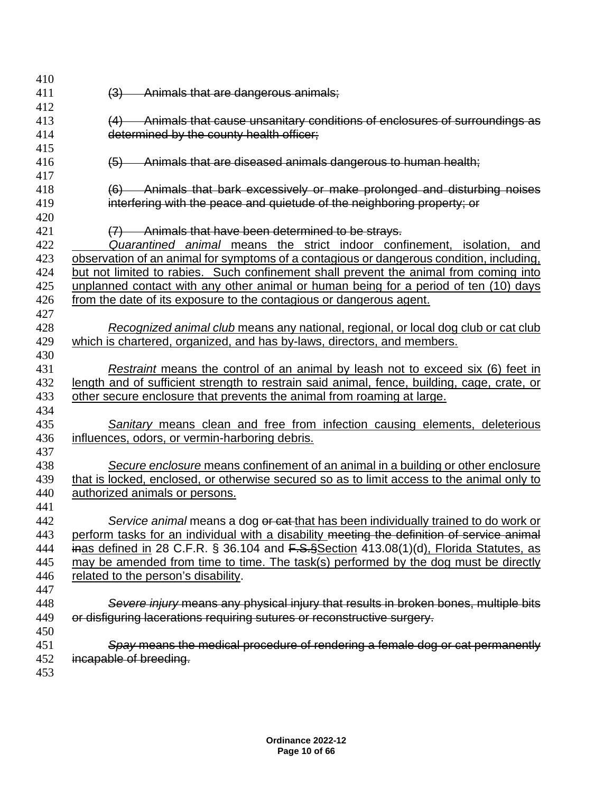| 410        |                                                                                             |
|------------|---------------------------------------------------------------------------------------------|
| 411        | Animals that are dangerous animals;<br>(3)                                                  |
| 412        |                                                                                             |
| 413        | (4) Animals that cause unsanitary conditions of enclosures of surroundings as               |
| 414        | determined by the county health officer;                                                    |
| 415        |                                                                                             |
| 416        | Animals that are diseased animals dangerous to human health;<br>$\left( 5 \right)$          |
| 417        |                                                                                             |
| 418        | (6) Animals that bark excessively or make prolonged and disturbing noises                   |
| 419        | interfering with the peace and quietude of the neighboring property; or                     |
| 420        |                                                                                             |
| 421        | (7) Animals that have been determined to be strays.                                         |
| 422        | Quarantined animal means the strict indoor confinement, isolation, and                      |
| 423        | observation of an animal for symptoms of a contagious or dangerous condition, including,    |
| 424        | but not limited to rabies. Such confinement shall prevent the animal from coming into       |
| 425        | unplanned contact with any other animal or human being for a period of ten (10) days        |
| 426        | from the date of its exposure to the contagious or dangerous agent.                         |
| 427<br>428 |                                                                                             |
| 429        | Recognized animal club means any national, regional, or local dog club or cat club          |
| 430        | which is chartered, organized, and has by-laws, directors, and members.                     |
| 431        | Restraint means the control of an animal by leash not to exceed six (6) feet in             |
| 432        | length and of sufficient strength to restrain said animal, fence, building, cage, crate, or |
| 433        | other secure enclosure that prevents the animal from roaming at large.                      |
| 434        |                                                                                             |
| 435        | <b>Sanitary means clean and free from infection causing elements, deleterious</b>           |
| 436        | influences, odors, or vermin-harboring debris.                                              |
| 437        |                                                                                             |
| 438        | Secure enclosure means confinement of an animal in a building or other enclosure            |
| 439        | that is locked, enclosed, or otherwise secured so as to limit access to the animal only to  |
| 440        | authorized animals or persons.                                                              |
| 441        |                                                                                             |
| 442        | Service animal means a dog or cat that has been individually trained to do work or          |
| 443        | perform tasks for an individual with a disability meeting the definition of service animal  |
| 444        | inas defined in 28 C.F.R. § 36.104 and F.S.§Section 413.08(1)(d), Florida Statutes, as      |
| 445        | may be amended from time to time. The task(s) performed by the dog must be directly         |
| 446        | related to the person's disability.                                                         |
| 447        |                                                                                             |
| 448        | Severe injury means any physical injury that results in broken bones, multiple bits         |
| 449        | or disfiguring lacerations requiring sutures or reconstructive surgery.                     |
| 450        |                                                                                             |
| 451        | Spay means the medical procedure of rendering a female dog or cat permanently               |
| 452        | incapable of breeding.                                                                      |
| 453        |                                                                                             |
|            |                                                                                             |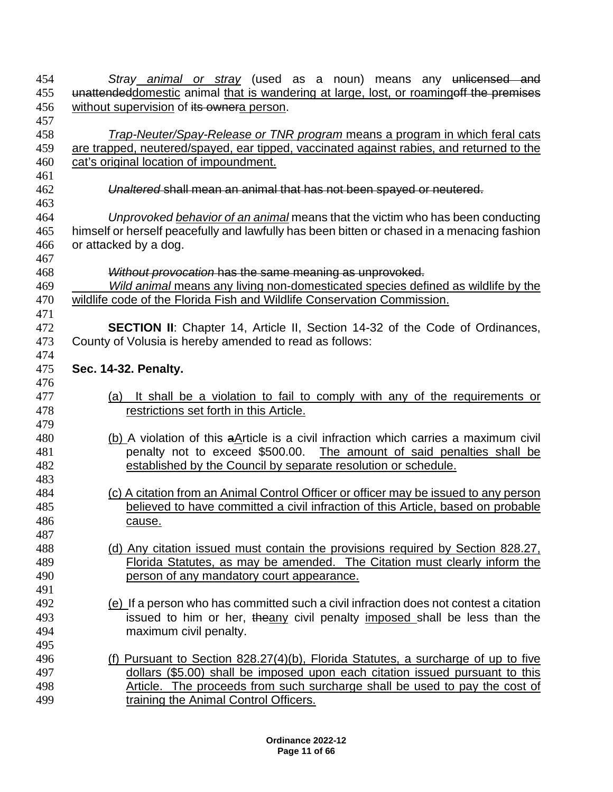| 454 | Stray animal or stray (used as a noun) means any unlicensed and                            |
|-----|--------------------------------------------------------------------------------------------|
| 455 | unattendeddomestic animal that is wandering at large, lost, or roamingoff the premises     |
| 456 | without supervision of its ownera person.                                                  |
| 457 |                                                                                            |
| 458 | Trap-Neuter/Spay-Release or TNR program means a program in which feral cats                |
| 459 | are trapped, neutered/spayed, ear tipped, vaccinated against rabies, and returned to the   |
| 460 | cat's original location of impoundment.                                                    |
| 461 |                                                                                            |
| 462 | Unaltered shall mean an animal that has not been spayed or neutered.                       |
| 463 |                                                                                            |
| 464 | Unprovoked behavior of an animal means that the victim who has been conducting             |
| 465 | himself or herself peacefully and lawfully has been bitten or chased in a menacing fashion |
| 466 | or attacked by a dog.                                                                      |
| 467 |                                                                                            |
| 468 | Without provocation has the same meaning as unprovoked.                                    |
| 469 | Wild animal means any living non-domesticated species defined as wildlife by the           |
| 470 | wildlife code of the Florida Fish and Wildlife Conservation Commission.                    |
| 471 |                                                                                            |
| 472 | <b>SECTION II:</b> Chapter 14, Article II, Section 14-32 of the Code of Ordinances,        |
| 473 | County of Volusia is hereby amended to read as follows:                                    |
| 474 |                                                                                            |
| 475 | Sec. 14-32. Penalty.                                                                       |
| 476 |                                                                                            |
| 477 | It shall be a violation to fail to comply with any of the requirements or<br>(a)           |
| 478 | restrictions set forth in this Article.                                                    |
| 479 |                                                                                            |
| 480 | (b) A violation of this aArticle is a civil infraction which carries a maximum civil       |
| 481 | penalty not to exceed \$500.00. The amount of said penalties shall be                      |
| 482 | established by the Council by separate resolution or schedule.                             |
| 483 |                                                                                            |
| 484 | (c) A citation from an Animal Control Officer or officer may be issued to any person       |
| 485 | believed to have committed a civil infraction of this Article, based on probable           |
| 486 |                                                                                            |
| 487 | <u>cause.</u>                                                                              |
| 488 | (d) Any citation issued must contain the provisions required by Section 828.27,            |
| 489 | Florida Statutes, as may be amended. The Citation must clearly inform the                  |
| 490 |                                                                                            |
|     | person of any mandatory court appearance.                                                  |
| 491 |                                                                                            |
| 492 | (e) If a person who has committed such a civil infraction does not contest a citation      |
| 493 | issued to him or her, theany civil penalty imposed shall be less than the                  |
| 494 | maximum civil penalty.                                                                     |
| 495 |                                                                                            |
| 496 | (f) Pursuant to Section 828.27(4)(b), Florida Statutes, a surcharge of up to five          |
| 497 | dollars (\$5.00) shall be imposed upon each citation issued pursuant to this               |
| 498 | Article. The proceeds from such surcharge shall be used to pay the cost of                 |
| 499 | training the Animal Control Officers.                                                      |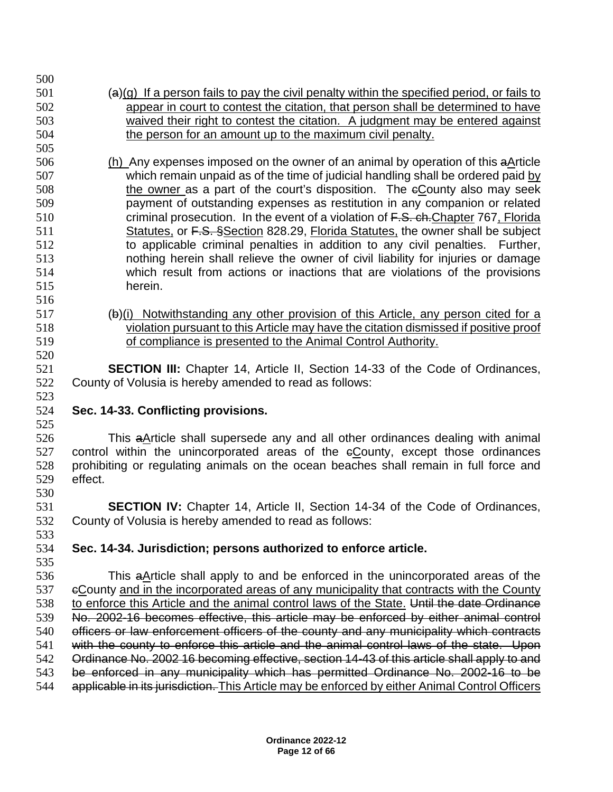- $(4)(g)$  If a person fails to pay the civil penalty within the specified period, or fails to appear in court to contest the citation, that person shall be determined to have waived their right to contest the citation. A judgment may be entered against the person for an amount up to the maximum civil penalty.
- (h) Any expenses imposed on the owner of an animal by operation of this aArticle which remain unpaid as of the time of judicial handling shall be ordered paid by 508 the owner as a part of the court's disposition. The eCounty also may seek payment of outstanding expenses as restitution in any companion or related 510 criminal prosecution. In the event of a violation of F.S. ch. Chapter 767, Florida 511 Statutes, or F.S. §Section 828.29, Florida Statutes, the owner shall be subject to applicable criminal penalties in addition to any civil penalties. Further, nothing herein shall relieve the owner of civil liability for injuries or damage which result from actions or inactions that are violations of the provisions herein.
- (b)(i) Notwithstanding any other provision of this Article, any person cited for a violation pursuant to this Article may have the citation dismissed if positive proof of compliance is presented to the Animal Control Authority.

 **SECTION III:** Chapter 14, Article II, Section 14-33 of the Code of Ordinances, County of Volusia is hereby amended to read as follows:

**Sec. 14-33. Conflicting provisions.**

 This aArticle shall supersede any and all other ordinances dealing with animal 527 control within the unincorporated areas of the  $e$ County, except those ordinances prohibiting or regulating animals on the ocean beaches shall remain in full force and effect. 

 **SECTION IV:** Chapter 14, Article II, Section 14-34 of the Code of Ordinances, County of Volusia is hereby amended to read as follows: 

- **Sec. 14-34. Jurisdiction; persons authorized to enforce article.**
- This aArticle shall apply to and be enforced in the unincorporated areas of the eCounty and in the incorporated areas of any municipality that contracts with the County 538 to enforce this Article and the animal control laws of the State. Until the date Ordinance No. 2002-16 becomes effective, this article may be enforced by either animal control officers or law enforcement officers of the county and any municipality which contracts 541 with the county to enforce this article and the animal control laws of the state. Upon Ordinance No. 2002 16 becoming effective, section 14-43 of this article shall apply to and be enforced in any municipality which has permitted Ordinance No. 2002-16 to be 544 applicable in its jurisdiction. This Article may be enforced by either Animal Control Officers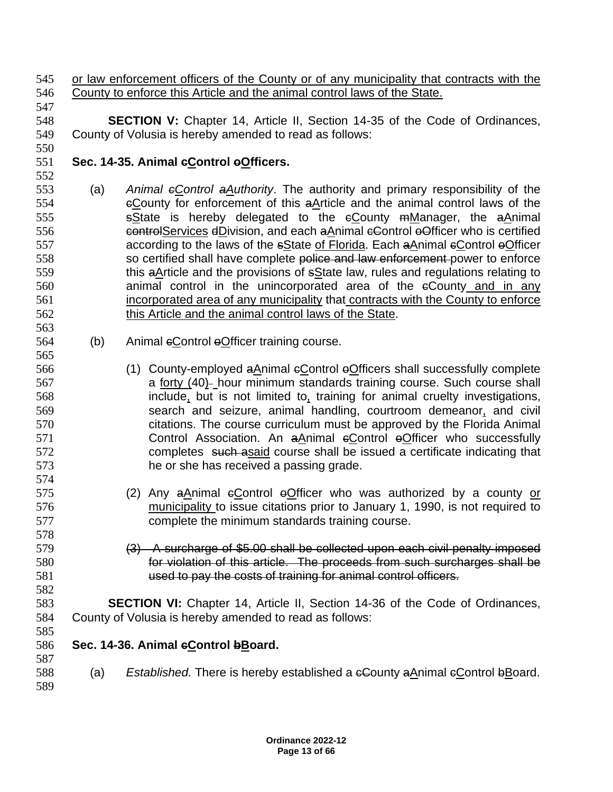or law enforcement officers of the County or of any municipality that contracts with the County to enforce this Article and the animal control laws of the State.

 **SECTION V:** Chapter 14, Article II, Section 14-35 of the Code of Ordinances, County of Volusia is hereby amended to read as follows: 

## **Sec. 14-35. Animal cControl oOfficers.**

- (a) *Animal cControl aAuthority*. The authority and primary responsibility of the cCounty for enforcement of this aArticle and the animal control laws of the 555 sState is hereby delegated to the  $\epsilon$ County mManager, the aAnimal 556 controlServices dDivision, and each aAnimal eControl oOfficer who is certified 557 according to the laws of the sState of Florida. Each aAnimal eControl eOfficer 558 so certified shall have complete police and law enforcement power to enforce 559 this aArticle and the provisions of sState law, rules and regulations relating to animal control in the unincorporated area of the cCounty and in any incorporated area of any municipality that contracts with the County to enforce this Article and the animal control laws of the State.
- 564 (b) Animal eControl eOfficer training course.
- (1) County-employed aAnimal cControl oOfficers shall successfully complete a forty (40) hour minimum standards training course. Such course shall include, but is not limited to, training for animal cruelty investigations, search and seizure, animal handling, courtroom demeanor, and civil citations. The course curriculum must be approved by the Florida Animal **Control Association. An aAnimal eControl eOfficer who successfully**  completes such asaid course shall be issued a certificate indicating that he or she has received a passing grade.
- (2) Any aAnimal cControl oOfficer who was authorized by a county or **municipality to issue citations prior to January 1, 1990, is not required to** complete the minimum standards training course.
- (3) A surcharge of \$5.00 shall be collected upon each civil penalty imposed for violation of this article. The proceeds from such surcharges shall be used to pay the costs of training for animal control officers.
- **SECTION VI:** Chapter 14, Article II, Section 14-36 of the Code of Ordinances, County of Volusia is hereby amended to read as follows:
- **Sec. 14-36. Animal cControl bBoard.**
- (a) *Established.* There is hereby established a cCounty aAnimal cControl bBoard.
-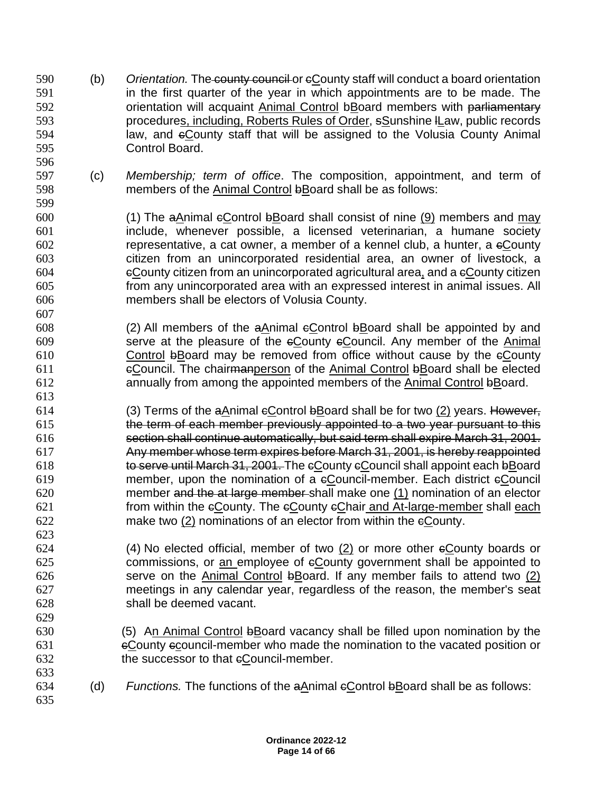- (b) *Orientation.* The county council or cCounty staff will conduct a board orientation in the first quarter of the year in which appointments are to be made. The **Symmus** orientation will acquaint Animal Control bBoard members with parliamentary procedures, including, Roberts Rules of Order, sSunshine lLaw, public records law, and cCounty staff that will be assigned to the Volusia County Animal Control Board.
- (c) *Membership; term of office*. The composition, appointment, and term of members of the Animal Control bBoard shall be as follows:

- (1) The aAnimal cControl bBoard shall consist of nine (9) members and may include, whenever possible, a licensed veterinarian, a humane society representative, a cat owner, a member of a kennel club, a hunter, a cCounty citizen from an unincorporated residential area, an owner of livestock, a cCounty citizen from an unincorporated agricultural area, and a cCounty citizen from any unincorporated area with an expressed interest in animal issues. All members shall be electors of Volusia County.
- (2) All members of the aAnimal cControl bBoard shall be appointed by and serve at the pleasure of the cCounty cCouncil. Any member of the Animal Control bBoard may be removed from office without cause by the cCounty cCouncil. The chairmanperson of the Animal Control bBoard shall be elected annually from among the appointed members of the Animal Control bBoard.
- (3) Terms of the aAnimal cControl bBoard shall be for two (2) years. However, the term of each member previously appointed to a two year pursuant to this section shall continue automatically, but said term shall expire March 31, 2001. Any member whose term expires before March 31, 2001, is hereby reappointed to serve until March 31, 2001. The cCounty cCouncil shall appoint each bBoard member, upon the nomination of a cCouncil-member. Each district cCouncil member and the at large member shall make one (1) nomination of an elector from within the cCounty. The cCounty cChair and At-large-member shall each make two (2) nominations of an elector from within the cCounty.
- (4) No elected official, member of two (2) or more other cCounty boards or 625 commissions, or an employee of County government shall be appointed to serve on the Animal Control bBoard. If any member fails to attend two (2) meetings in any calendar year, regardless of the reason, the member's seat shall be deemed vacant.
- (5) An Animal Control bBoard vacancy shall be filled upon nomination by the cCounty ccouncil-member who made the nomination to the vacated position or 632 the successor to that eCouncil-member.
- 634 (d) *Functions.* The functions of the aAnimal eControl bBoard shall be as follows:
	- **Ordinance 2022-12 Page 14 of 66**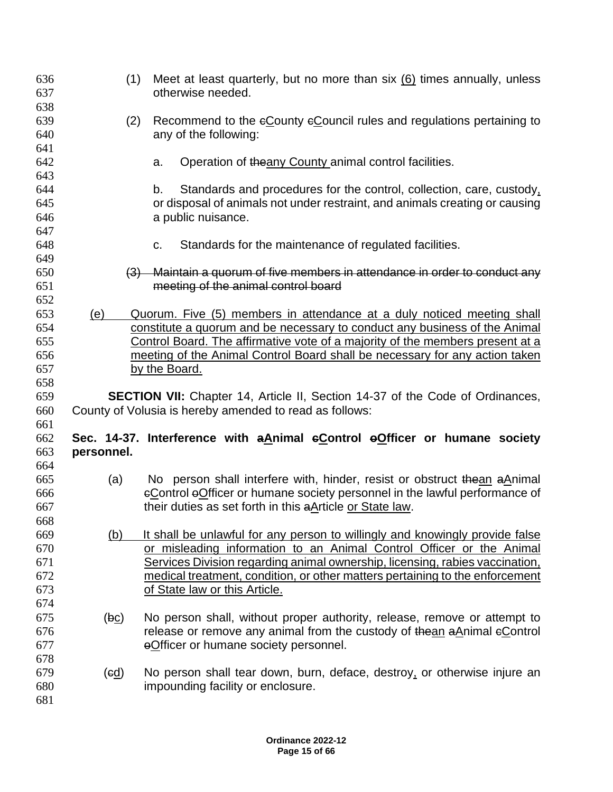| 636<br>637<br>638        | (1)                                    | Meet at least quarterly, but no more than six $(6)$ times annually, unless<br>otherwise needed.                                                                                                                      |
|--------------------------|----------------------------------------|----------------------------------------------------------------------------------------------------------------------------------------------------------------------------------------------------------------------|
| 639<br>640<br>641        | (2)                                    | Recommend to the eCounty eCouncil rules and regulations pertaining to<br>any of the following:                                                                                                                       |
| 642<br>643               |                                        | Operation of the any County animal control facilities.<br>a.                                                                                                                                                         |
| 644                      |                                        | Standards and procedures for the control, collection, care, custody,<br>b.                                                                                                                                           |
| 645<br>646               |                                        | or disposal of animals not under restraint, and animals creating or causing<br>a public nuisance.                                                                                                                    |
| 647<br>648               |                                        | Standards for the maintenance of regulated facilities.<br>C.                                                                                                                                                         |
| 649<br>650<br>651        |                                        | (3) Maintain a quorum of five members in attendance in order to conduct any<br>meeting of the animal control board                                                                                                   |
| 652<br>653<br>654        | (e)                                    | Quorum. Five (5) members in attendance at a duly noticed meeting shall<br>constitute a quorum and be necessary to conduct any business of the Animal                                                                 |
| 655<br>656               |                                        | <u>Control Board. The affirmative vote of a majority of the members present at a</u><br>meeting of the Animal Control Board shall be necessary for any action taken                                                  |
| 657                      |                                        | by the Board.                                                                                                                                                                                                        |
| 658<br>659               |                                        | <b>SECTION VII:</b> Chapter 14, Article II, Section 14-37 of the Code of Ordinances,                                                                                                                                 |
| 660<br>661               |                                        | County of Volusia is hereby amended to read as follows:                                                                                                                                                              |
| 662                      |                                        | Sec. 14-37. Interference with a Animal eControl eOfficer or humane society                                                                                                                                           |
| 663<br>664               | personnel.                             |                                                                                                                                                                                                                      |
| 665<br>666<br>667        | (a)                                    | No person shall interfere with, hinder, resist or obstruct the an a Animal<br>eControl eOfficer or humane society personnel in the lawful performance of<br>their duties as set forth in this aArticle or State law. |
| 668<br>669               | (b)                                    | It shall be unlawful for any person to willingly and knowingly provide false                                                                                                                                         |
| 670<br>671               |                                        | or misleading information to an Animal Control Officer or the Animal<br>Services Division regarding animal ownership, licensing, rabies vaccination,                                                                 |
| 672<br>673               |                                        | medical treatment, condition, or other matters pertaining to the enforcement<br>of State law or this Article.                                                                                                        |
| 674<br>675<br>676<br>677 | (bc)                                   | No person shall, without proper authority, release, remove or attempt to<br>release or remove any animal from the custody of the an a Animal eControl<br>eOfficer or humane society personnel.                       |
| 678<br>679<br>680<br>681 | $\left(\underline{\mathrm{ed}}\right)$ | No person shall tear down, burn, deface, destroy, or otherwise injure an<br>impounding facility or enclosure.                                                                                                        |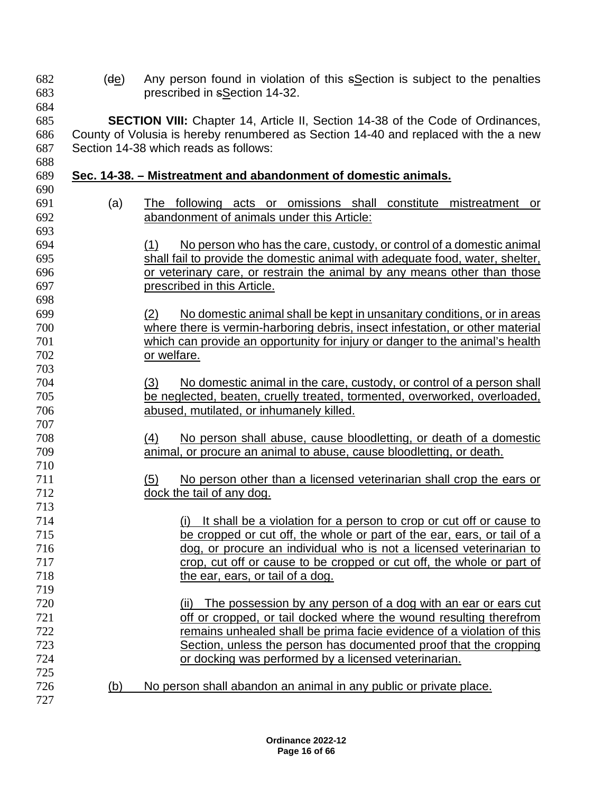- (de) Any person found in violation of this sSection is subject to the penalties prescribed in sSection 14-32.
- 

 **SECTION VIII:** Chapter 14, Article II, Section 14-38 of the Code of Ordinances, County of Volusia is hereby renumbered as Section 14-40 and replaced with the a new Section 14-38 which reads as follows: 

## **Sec. 14-38. – Mistreatment and abandonment of domestic animals.**

- (a) The following acts or omissions shall constitute mistreatment or abandonment of animals under this Article:
- (1) No person who has the care, custody, or control of a domestic animal shall fail to provide the domestic animal with adequate food, water, shelter, or veterinary care, or restrain the animal by any means other than those prescribed in this Article.
- (2) No domestic animal shall be kept in unsanitary conditions, or in areas where there is vermin-harboring debris, insect infestation, or other material which can provide an opportunity for injury or danger to the animal's health or welfare.
- (3) No domestic animal in the care, custody, or control of a person shall be neglected, beaten, cruelly treated, tormented, overworked, overloaded, abused, mutilated, or inhumanely killed.
- (4) No person shall abuse, cause bloodletting, or death of a domestic animal, or procure an animal to abuse, cause bloodletting, or death.
- (5) No person other than a licensed veterinarian shall crop the ears or dock the tail of any dog.
- (i) It shall be a violation for a person to crop or cut off or cause to be cropped or cut off, the whole or part of the ear, ears, or tail of a dog, or procure an individual who is not a licensed veterinarian to crop, cut off or cause to be cropped or cut off, the whole or part of the ear, ears, or tail of a dog.
- (ii) The possession by any person of a dog with an ear or ears cut off or cropped, or tail docked where the wound resulting therefrom remains unhealed shall be prima facie evidence of a violation of this Section, unless the person has documented proof that the cropping or docking was performed by a licensed veterinarian.
- (b) No person shall abandon an animal in any public or private place.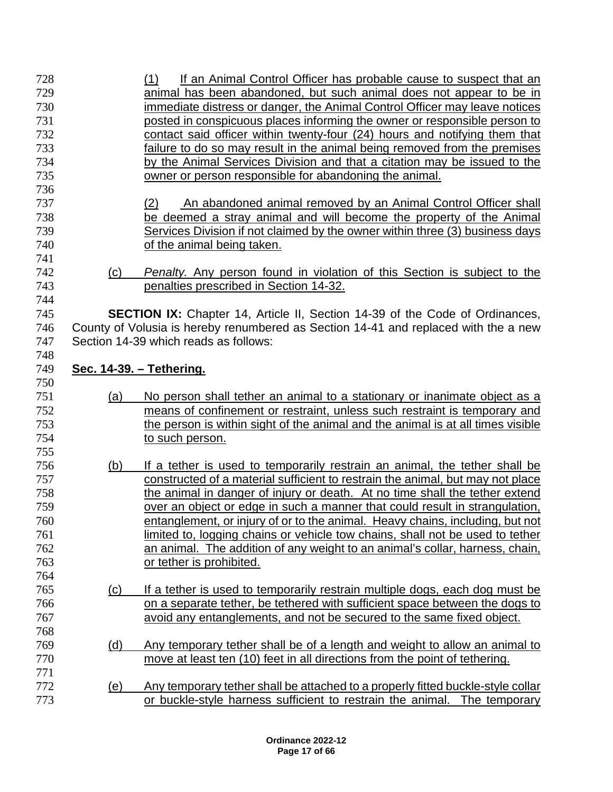| 728<br>729<br>730<br>731        |            | If an Animal Control Officer has probable cause to suspect that an<br>(1)<br>animal has been abandoned, but such animal does not appear to be in<br>immediate distress or danger, the Animal Control Officer may leave notices<br>posted in conspicuous places informing the owner or responsible person to |
|---------------------------------|------------|-------------------------------------------------------------------------------------------------------------------------------------------------------------------------------------------------------------------------------------------------------------------------------------------------------------|
| 732<br>733<br>734<br>735<br>736 |            | contact said officer within twenty-four (24) hours and notifying them that<br>failure to do so may result in the animal being removed from the premises<br>by the Animal Services Division and that a citation may be issued to the<br>owner or person responsible for abandoning the animal.               |
| 737<br>738<br>739<br>740<br>741 |            | (2)<br>An abandoned animal removed by an Animal Control Officer shall<br>be deemed a stray animal and will become the property of the Animal<br>Services Division if not claimed by the owner within three (3) business days<br>of the animal being taken.                                                  |
| 742<br>743<br>744               | (c)        | <b>Penalty.</b> Any person found in violation of this Section is subject to the<br>penalties prescribed in Section 14-32.                                                                                                                                                                                   |
| 745<br>746<br>747               |            | <b>SECTION IX:</b> Chapter 14, Article II, Section 14-39 of the Code of Ordinances,<br>County of Volusia is hereby renumbered as Section 14-41 and replaced with the a new<br>Section 14-39 which reads as follows:                                                                                         |
| 748<br>749                      |            | Sec. 14-39. - Tethering.                                                                                                                                                                                                                                                                                    |
| 750<br>751                      | (a)        | No person shall tether an animal to a stationary or inanimate object as a                                                                                                                                                                                                                                   |
|                                 |            |                                                                                                                                                                                                                                                                                                             |
| 752                             |            | means of confinement or restraint, unless such restraint is temporary and                                                                                                                                                                                                                                   |
| 753                             |            | the person is within sight of the animal and the animal is at all times visible                                                                                                                                                                                                                             |
| 754                             |            | to such person.                                                                                                                                                                                                                                                                                             |
| 755                             |            |                                                                                                                                                                                                                                                                                                             |
| 756                             | (b)        | If a tether is used to temporarily restrain an animal, the tether shall be                                                                                                                                                                                                                                  |
| 757                             |            | constructed of a material sufficient to restrain the animal, but may not place                                                                                                                                                                                                                              |
| 758                             |            | the animal in danger of injury or death. At no time shall the tether extend                                                                                                                                                                                                                                 |
| 759                             |            | over an object or edge in such a manner that could result in strangulation,                                                                                                                                                                                                                                 |
| 760                             |            | entanglement, or injury of or to the animal. Heavy chains, including, but not                                                                                                                                                                                                                               |
| 761                             |            | limited to, logging chains or vehicle tow chains, shall not be used to tether                                                                                                                                                                                                                               |
| 762                             |            | an animal. The addition of any weight to an animal's collar, harness, chain,                                                                                                                                                                                                                                |
| 763<br>764                      |            | or tether is prohibited.                                                                                                                                                                                                                                                                                    |
| 765                             | <u>(c)</u> | If a tether is used to temporarily restrain multiple dogs, each dog must be                                                                                                                                                                                                                                 |
| 766                             |            | on a separate tether, be tethered with sufficient space between the dogs to                                                                                                                                                                                                                                 |
| 767                             |            | avoid any entanglements, and not be secured to the same fixed object.                                                                                                                                                                                                                                       |
| 768                             |            |                                                                                                                                                                                                                                                                                                             |
| 769                             | <u>(d)</u> | Any temporary tether shall be of a length and weight to allow an animal to                                                                                                                                                                                                                                  |
| 770                             |            | move at least ten (10) feet in all directions from the point of tethering.                                                                                                                                                                                                                                  |
| 771                             |            |                                                                                                                                                                                                                                                                                                             |
| 772<br>773                      | <u>(e)</u> | Any temporary tether shall be attached to a properly fitted buckle-style collar<br>or buckle-style harness sufficient to restrain the animal. The temporary                                                                                                                                                 |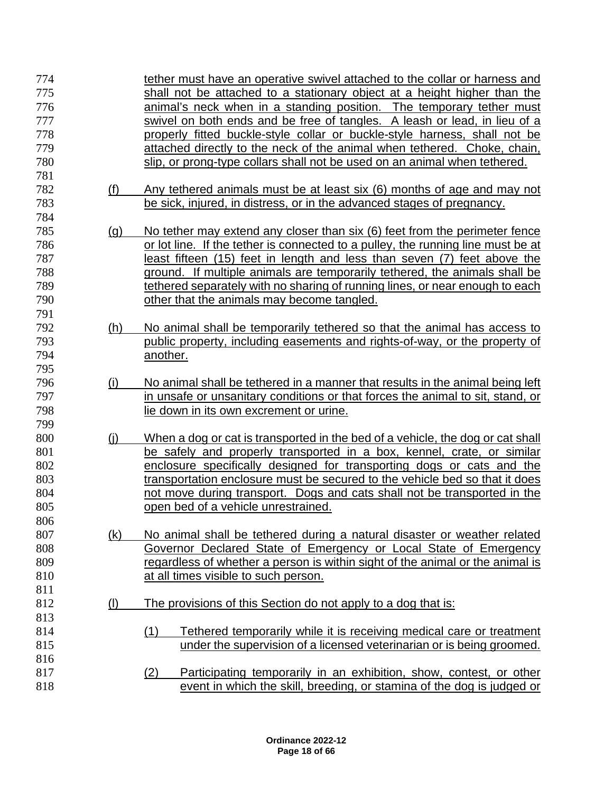| 774<br>775<br>776<br>777<br>778<br>779 |            | tether must have an operative swivel attached to the collar or harness and<br>shall not be attached to a stationary object at a height higher than the<br>animal's neck when in a standing position. The temporary tether must<br>swivel on both ends and be free of tangles. A leash or lead, in lieu of a<br>properly fitted buckle-style collar or buckle-style harness, shall not be<br>attached directly to the neck of the animal when tethered. Choke, chain, |
|----------------------------------------|------------|----------------------------------------------------------------------------------------------------------------------------------------------------------------------------------------------------------------------------------------------------------------------------------------------------------------------------------------------------------------------------------------------------------------------------------------------------------------------|
| 780<br>781                             |            | slip, or prong-type collars shall not be used on an animal when tethered.                                                                                                                                                                                                                                                                                                                                                                                            |
| 782<br>783                             | (f)        | Any tethered animals must be at least six (6) months of age and may not<br>be sick, injured, in distress, or in the advanced stages of pregnancy.                                                                                                                                                                                                                                                                                                                    |
| 784                                    |            |                                                                                                                                                                                                                                                                                                                                                                                                                                                                      |
| 785<br>786                             | <u>(g)</u> | No tether may extend any closer than six (6) feet from the perimeter fence<br>or lot line. If the tether is connected to a pulley, the running line must be at                                                                                                                                                                                                                                                                                                       |
| 787                                    |            | least fifteen (15) feet in length and less than seven (7) feet above the                                                                                                                                                                                                                                                                                                                                                                                             |
| 788                                    |            | ground. If multiple animals are temporarily tethered, the animals shall be                                                                                                                                                                                                                                                                                                                                                                                           |
| 789                                    |            | tethered separately with no sharing of running lines, or near enough to each                                                                                                                                                                                                                                                                                                                                                                                         |
| 790                                    |            | other that the animals may become tangled.                                                                                                                                                                                                                                                                                                                                                                                                                           |
| 791                                    |            |                                                                                                                                                                                                                                                                                                                                                                                                                                                                      |
| 792                                    | (h)        | No animal shall be temporarily tethered so that the animal has access to                                                                                                                                                                                                                                                                                                                                                                                             |
| 793                                    |            | public property, including easements and rights-of-way, or the property of                                                                                                                                                                                                                                                                                                                                                                                           |
| 794                                    |            | another.                                                                                                                                                                                                                                                                                                                                                                                                                                                             |
| 795                                    |            |                                                                                                                                                                                                                                                                                                                                                                                                                                                                      |
| 796                                    | (i)        | No animal shall be tethered in a manner that results in the animal being left                                                                                                                                                                                                                                                                                                                                                                                        |
| 797                                    |            | in unsafe or unsanitary conditions or that forces the animal to sit, stand, or                                                                                                                                                                                                                                                                                                                                                                                       |
| 798                                    |            | lie down in its own excrement or urine.                                                                                                                                                                                                                                                                                                                                                                                                                              |
| 799<br>800                             |            |                                                                                                                                                                                                                                                                                                                                                                                                                                                                      |
| 801                                    | (i)        | When a dog or cat is transported in the bed of a vehicle, the dog or cat shall<br>be safely and properly transported in a box, kennel, crate, or similar                                                                                                                                                                                                                                                                                                             |
| 802                                    |            | enclosure specifically designed for transporting dogs or cats and the                                                                                                                                                                                                                                                                                                                                                                                                |
| 803                                    |            | transportation enclosure must be secured to the vehicle bed so that it does                                                                                                                                                                                                                                                                                                                                                                                          |
| 804                                    |            | not move during transport. Dogs and cats shall not be transported in the                                                                                                                                                                                                                                                                                                                                                                                             |
| 805                                    |            | open bed of a vehicle unrestrained.                                                                                                                                                                                                                                                                                                                                                                                                                                  |
| 806                                    |            |                                                                                                                                                                                                                                                                                                                                                                                                                                                                      |
| 807                                    | (k)        | No animal shall be tethered during a natural disaster or weather related                                                                                                                                                                                                                                                                                                                                                                                             |
| 808                                    |            | Governor Declared State of Emergency or Local State of Emergency                                                                                                                                                                                                                                                                                                                                                                                                     |
| 809                                    |            | regardless of whether a person is within sight of the animal or the animal is                                                                                                                                                                                                                                                                                                                                                                                        |
| 810                                    |            | at all times visible to such person.                                                                                                                                                                                                                                                                                                                                                                                                                                 |
| 811                                    |            |                                                                                                                                                                                                                                                                                                                                                                                                                                                                      |
| 812                                    | $($ l $)$  | The provisions of this Section do not apply to a dog that is:                                                                                                                                                                                                                                                                                                                                                                                                        |
| 813                                    |            |                                                                                                                                                                                                                                                                                                                                                                                                                                                                      |
| 814                                    |            | Tethered temporarily while it is receiving medical care or treatment<br>(1)                                                                                                                                                                                                                                                                                                                                                                                          |
| 815                                    |            | under the supervision of a licensed veterinarian or is being groomed.                                                                                                                                                                                                                                                                                                                                                                                                |
| 816                                    |            |                                                                                                                                                                                                                                                                                                                                                                                                                                                                      |
| 817                                    |            | Participating temporarily in an exhibition, show, contest, or other<br>(2)                                                                                                                                                                                                                                                                                                                                                                                           |
| 818                                    |            | event in which the skill, breeding, or stamina of the dog is judged or                                                                                                                                                                                                                                                                                                                                                                                               |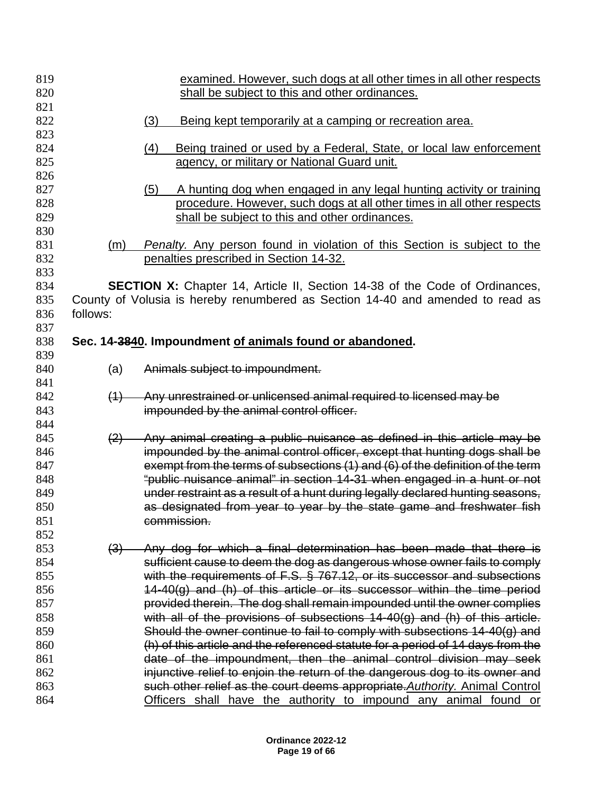| 819        |          | examined. However, such dogs at all other times in all other respects                                                                                 |
|------------|----------|-------------------------------------------------------------------------------------------------------------------------------------------------------|
| 820        |          | shall be subject to this and other ordinances.                                                                                                        |
| 821        |          |                                                                                                                                                       |
| 822        |          | (3)<br>Being kept temporarily at a camping or recreation area.                                                                                        |
| 823        |          |                                                                                                                                                       |
| 824        |          | Being trained or used by a Federal, State, or local law enforcement<br>(4)                                                                            |
| 825        |          | agency, or military or National Guard unit.                                                                                                           |
| 826        |          |                                                                                                                                                       |
| 827        |          | (5)<br>A hunting dog when engaged in any legal hunting activity or training                                                                           |
| 828        |          | procedure. However, such dogs at all other times in all other respects                                                                                |
| 829        |          | shall be subject to this and other ordinances.                                                                                                        |
| 830<br>831 |          |                                                                                                                                                       |
| 832        | (m)      | Penalty. Any person found in violation of this Section is subject to the<br>penalties prescribed in Section 14-32.                                    |
| 833        |          |                                                                                                                                                       |
| 834        |          | <b>SECTION X:</b> Chapter 14, Article II, Section 14-38 of the Code of Ordinances,                                                                    |
| 835        |          | County of Volusia is hereby renumbered as Section 14-40 and amended to read as                                                                        |
| 836        | follows: |                                                                                                                                                       |
| 837        |          |                                                                                                                                                       |
| 838        |          | Sec. 14-3840. Impoundment of animals found or abandoned.                                                                                              |
| 839        |          |                                                                                                                                                       |
| 840        | (a)      | Animals subject to impoundment.                                                                                                                       |
| 841        |          |                                                                                                                                                       |
| 842        | (4)      | Any unrestrained or unlicensed animal required to licensed may be                                                                                     |
| 843        |          | impounded by the animal control officer.                                                                                                              |
| 844        |          |                                                                                                                                                       |
| 845        | (2)      | Any animal creating a public nuisance as defined in this article may be                                                                               |
| 846        |          | impounded by the animal control officer, except that hunting dogs shall be                                                                            |
| 847        |          | exempt from the terms of subsections (1) and (6) of the definition of the term                                                                        |
| 848        |          | "public nuisance animal" in section 14-31 when engaged in a hunt or not                                                                               |
| 849        |          | under restraint as a result of a hunt during legally declared hunting seasons,                                                                        |
| 850        |          | as designated from year to year by the state game and freshwater fish                                                                                 |
| 851        |          | commission.                                                                                                                                           |
| 852        |          |                                                                                                                                                       |
| 853        | (3)      | Any dog for which a final determination has been made that there is                                                                                   |
| 854        |          | sufficient cause to deem the dog as dangerous whose owner fails to comply                                                                             |
| 855<br>856 |          | with the requirements of F.S. § 767.12, or its successor and subsections                                                                              |
| 857        |          | 14-40(g) and (h) of this article or its successor within the time period<br>provided therein. The dog shall remain impounded until the owner complies |
| 858        |          | with all of the provisions of subsections 14-40(g) and (h) of this article.                                                                           |
| 859        |          | Should the owner continue to fail to comply with subsections 14-40(g) and                                                                             |
| 860        |          | (h) of this article and the referenced statute for a period of 14 days from the                                                                       |
| 861        |          | date of the impoundment, then the animal control division may seek                                                                                    |
| 862        |          | injunctive relief to enjoin the return of the dangerous dog to its owner and                                                                          |
| 863        |          | such other relief as the court deems appropriate. Authority. Animal Control                                                                           |
| 864        |          | Officers shall have the authority to impound any animal found or                                                                                      |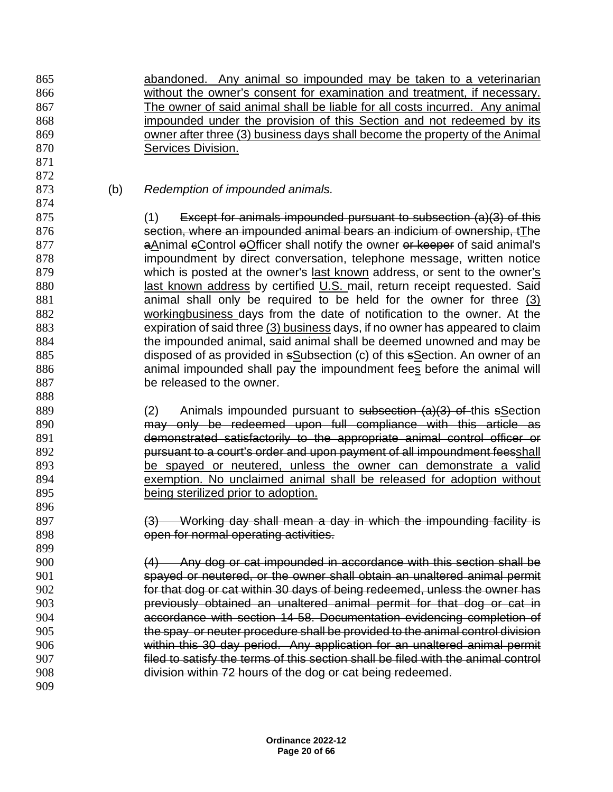abandoned. Any animal so impounded may be taken to a veterinarian without the owner's consent for examination and treatment, if necessary. The owner of said animal shall be liable for all costs incurred. Any animal impounded under the provision of this Section and not redeemed by its owner after three (3) business days shall become the property of the Animal Services Division.

(b) *Redemption of impounded animals.*

 

 (1) Except for animals impounded pursuant to subsection (a)(3) of this section, where an impounded animal bears an indicium of ownership, tThe **aAnimal eControl eOfficer shall notify the owner or keeper of said animal's**  impoundment by direct conversation, telephone message, written notice which is posted at the owner's last known address, or sent to the owner's 880 last known address by certified U.S. mail, return receipt requested. Said animal shall only be required to be held for the owner for three (3) 882 workingbusiness days from the date of notification to the owner. At the expiration of said three (3) business days, if no owner has appeared to claim the impounded animal, said animal shall be deemed unowned and may be disposed of as provided in sSubsection (c) of this sSection. An owner of an 886 animal impounded shall pay the impoundment fees before the animal will be released to the owner.

889 (2) Animals impounded pursuant to subsection (a)(3) of this sSection may only be redeemed upon full compliance with this article as demonstrated satisfactorily to the appropriate animal control officer or **pursuant to a court's order and upon payment of all impoundment feesshall**  be spayed or neutered, unless the owner can demonstrate a valid exemption. No unclaimed animal shall be released for adoption without being sterilized prior to adoption. 

 (3) Working day shall mean a day in which the impounding facility is **SPR** open for normal operating activities.

 (4) Any dog or cat impounded in accordance with this section shall be spayed or neutered, or the owner shall obtain an unaltered animal permit for that dog or cat within 30 days of being redeemed, unless the owner has previously obtained an unaltered animal permit for that dog or cat in accordance with section 14-58. Documentation evidencing completion of the spay or neuter procedure shall be provided to the animal control division within this 30 day period. Any application for an unaltered animal permit filed to satisfy the terms of this section shall be filed with the animal control division within 72 hours of the dog or cat being redeemed.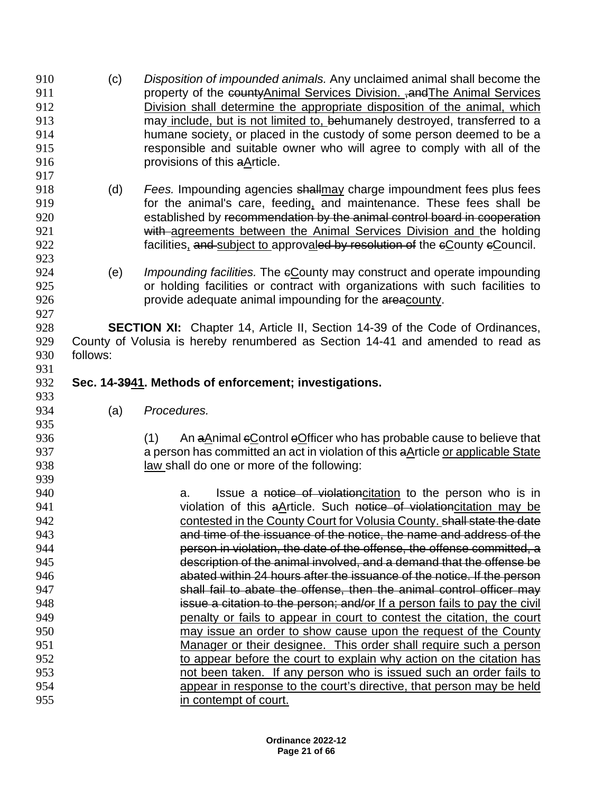**property of the countyAnimal Services Division. , and The Animal Services**  Division shall determine the appropriate disposition of the animal, which may include, but is not limited to, behumanely destroyed, transferred to a humane society, or placed in the custody of some person deemed to be a responsible and suitable owner who will agree to comply with all of the provisions of this aArticle. (d) *Fees.* Impounding agencies shallmay charge impoundment fees plus fees **6** for the animal's care, feeding, and maintenance. These fees shall be established by recommendation by the animal control board in cooperation **with agreements between the Animal Services Division and the holding** 922 facilities, and subject to approvaled by resolution of the eCounty eCouncil. (e) *Impounding facilities.* The cCounty may construct and operate impounding or holding facilities or contract with organizations with such facilities to provide adequate animal impounding for the areacounty. **SECTION XI:** Chapter 14, Article II, Section 14-39 of the Code of Ordinances, County of Volusia is hereby renumbered as Section 14-41 and amended to read as follows: **Sec. 14-3941. Methods of enforcement; investigations.** (a) *Procedures.* (1) An aAnimal cControl oOfficer who has probable cause to believe that a person has committed an act in violation of this aArticle or applicable State law shall do one or more of the following: **a.** Issue a notice of violationcitation to the person who is in 941 violation of this aArticle. Such notice of violationcitation may be contested in the County Court for Volusia County. shall state the date and time of the issuance of the notice, the name and address of the person in violation, the date of the offense, the offense committed, a description of the animal involved, and a demand that the offense be abated within 24 hours after the issuance of the notice. If the person shall fail to abate the offense, then the animal control officer may issue a citation to the person; and/or If a person fails to pay the civil penalty or fails to appear in court to contest the citation, the court may issue an order to show cause upon the request of the County Manager or their designee. This order shall require such a person to appear before the court to explain why action on the citation has not been taken. If any person who is issued such an order fails to appear in response to the court's directive, that person may be held in contempt of court.

(c) *Disposition of impounded animals.* Any unclaimed animal shall become the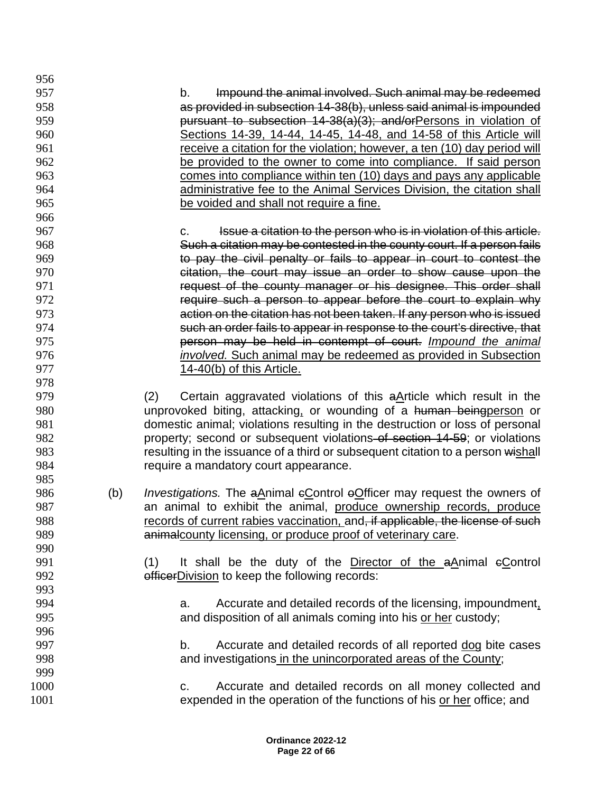b. Impound the animal involved. Such animal may be redeemed as provided in subsection 14-38(b), unless said animal is impounded **pursuant to subsection 14-38(a)(3); and/orPersons in violation of**  Sections 14-39, 14-44, 14-45, 14-48, and 14-58 of this Article will receive a citation for the violation; however, a ten (10) day period will be provided to the owner to come into compliance. If said person comes into compliance within ten (10) days and pays any applicable administrative fee to the Animal Services Division, the citation shall be voided and shall not require a fine. 967 extending to the series of the person who is in violation of this article. Such a citation may be contested in the county court. If a person fails to pay the civil penalty or fails to appear in court to contest the 970 citation, the court may issue an order to show cause upon the **request of the county manager or his designee. This order shall**  require such a person to appear before the court to explain why action on the citation has not been taken. If any person who is issued such an order fails to appear in response to the court's directive, that person may be held in contempt of court. *Impound the animal involved.* Such animal may be redeemed as provided in Subsection **14-40(b)** of this Article. (2) Certain aggravated violations of this aArticle which result in the unprovoked biting, attacking, or wounding of a human beingperson or domestic animal; violations resulting in the destruction or loss of personal **property**; second or subsequent violations of section 14-59; or violations 983 resulting in the issuance of a third or subsequent citation to a person wishall require a mandatory court appearance. 986 (b) *Investigations.* The aAnimal eControl eOfficer may request the owners of an animal to exhibit the animal, produce ownership records, produce 988 records of current rabies vaccination, and, if applicable, the license of such **animalcounty licensing, or produce proof of veterinary care.**  (1) It shall be the duty of the Director of the aAnimal cControl **officerDivision to keep the following records:**  a. Accurate and detailed records of the licensing, impoundment, and disposition of all animals coming into his or her custody; b. Accurate and detailed records of all reported dog bite cases and investigations in the unincorporated areas of the County; c. Accurate and detailed records on all money collected and expended in the operation of the functions of his or her office; and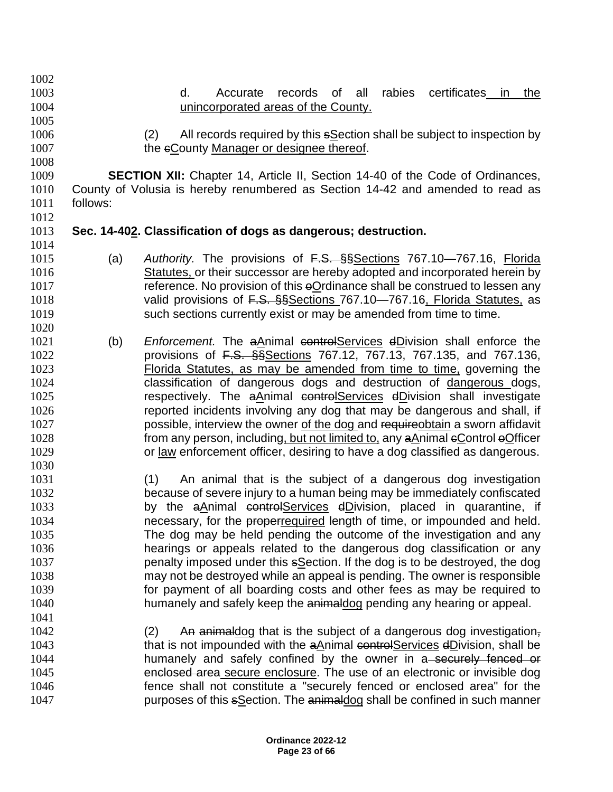- d. Accurate records of all rabies certificates in the unincorporated areas of the County. (2) All records required by this sSection shall be subject to inspection by 1007 the eCounty Manager or designee thereof. **SECTION XII:** Chapter 14, Article II, Section 14-40 of the Code of Ordinances, County of Volusia is hereby renumbered as Section 14-42 and amended to read as follows: **Sec. 14-402. Classification of dogs as dangerous; destruction.** (a) *Authority.* The provisions of F.S. §§Sections 767.10—767.16, Florida Statutes, or their successor are hereby adopted and incorporated herein by 1017 reference. No provision of this eOrdinance shall be construed to lessen any 1018 valid provisions of F.S. §§Sections 767.10–767.16, Florida Statutes, as such sections currently exist or may be amended from time to time. (b) *Enforcement.* The aAnimal controlServices dDivision shall enforce the 1022 **provisions of <del>F.S. §§</del>Sections 767.12, 767.13, 767.135, and 767.136,**  Florida Statutes, as may be amended from time to time, governing the classification of dangerous dogs and destruction of dangerous dogs, 1025 respectively. The aAnimal controlServices dDivision shall investigate reported incidents involving any dog that may be dangerous and shall, if **possible, interview the owner of the dog and requireobtain a sworn affidavit** 1028 from any person, including, but not limited to, any aAnimal eControl eOfficer or law enforcement officer, desiring to have a dog classified as dangerous. (1) An animal that is the subject of a dangerous dog investigation because of severe injury to a human being may be immediately confiscated 1033 by the aAnimal controlServices dDivision, placed in quarantine, if 1034 necessary, for the properrequired length of time, or impounded and held. The dog may be held pending the outcome of the investigation and any hearings or appeals related to the dangerous dog classification or any penalty imposed under this sSection. If the dog is to be destroyed, the dog may not be destroyed while an appeal is pending. The owner is responsible for payment of all boarding costs and other fees as may be required to 1040 humanely and safely keep the animaldog pending any hearing or appeal. (2) An animaldog that is the subject of a dangerous dog investigation, 1043 that is not impounded with the aAnimal controlServices dDivision, shall be
	- 1044 humanely and safely confined by the owner in a securely fenced or enclosed area secure enclosure. The use of an electronic or invisible dog fence shall not constitute a "securely fenced or enclosed area" for the **purposes of this sSection. The animaldog shall be confined in such manner**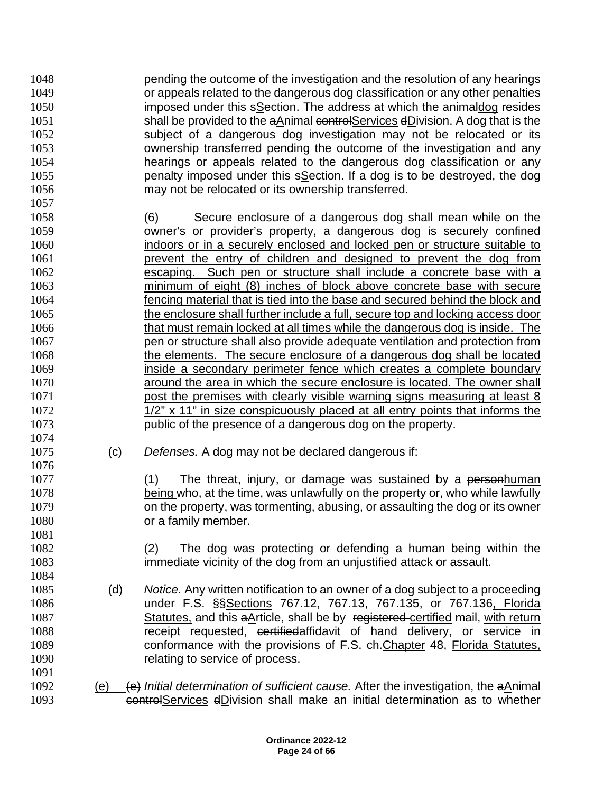pending the outcome of the investigation and the resolution of any hearings or appeals related to the dangerous dog classification or any other penalties **imposed under this sSection.** The address at which the animaldog resides 1051 shall be provided to the aAnimal controlServices dDivision. A dog that is the subject of a dangerous dog investigation may not be relocated or its ownership transferred pending the outcome of the investigation and any hearings or appeals related to the dangerous dog classification or any penalty imposed under this sSection. If a dog is to be destroyed, the dog may not be relocated or its ownership transferred. 

- (6) Secure enclosure of a dangerous dog shall mean while on the owner's or provider's property, a dangerous dog is securely confined indoors or in a securely enclosed and locked pen or structure suitable to prevent the entry of children and designed to prevent the dog from escaping. Such pen or structure shall include a concrete base with a minimum of eight (8) inches of block above concrete base with secure fencing material that is tied into the base and secured behind the block and the enclosure shall further include a full, secure top and locking access door that must remain locked at all times while the dangerous dog is inside. The pen or structure shall also provide adequate ventilation and protection from the elements. The secure enclosure of a dangerous dog shall be located inside a secondary perimeter fence which creates a complete boundary around the area in which the secure enclosure is located. The owner shall **post the premises with clearly visible warning signs measuring at least 8** 1072 1/2" x 11" in size conspicuously placed at all entry points that informs the public of the presence of a dangerous dog on the property.
- (c) *Defenses.* A dog may not be declared dangerous if:

1077 (1) The threat, injury, or damage was sustained by a personhuman being who, at the time, was unlawfully on the property or, who while lawfully on the property, was tormenting, abusing, or assaulting the dog or its owner 1080 or a family member.

 (2) The dog was protecting or defending a human being within the immediate vicinity of the dog from an unjustified attack or assault.

- (d) *Notice.* Any written notification to an owner of a dog subject to a proceeding **under F.S. §§Sections 767.12, 767.13, 767.135**, or 767.136, Florida 1087 Statutes, and this aArticle, shall be by registered-certified mail, with return 1088 receipt requested, certifiedaffidavit of hand delivery, or service in conformance with the provisions of F.S. ch.Chapter 48, Florida Statutes, 1090 relating to service of process.
- 1092 (e) (e) *Initial determination of sufficient cause.* After the investigation, the a*Animal* controlServices dDivision shall make an initial determination as to whether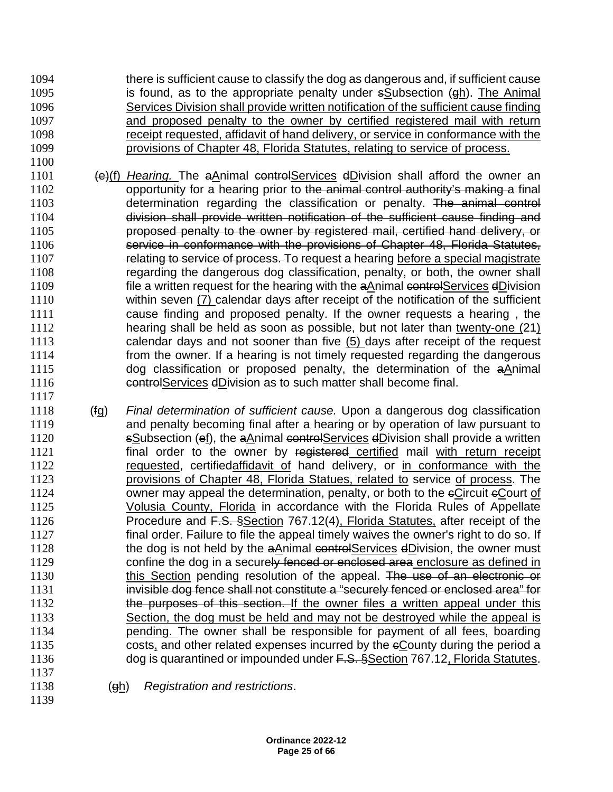- there is sufficient cause to classify the dog as dangerous and, if sufficient cause is found, as to the appropriate penalty under sSubsection (gh). The Animal Services Division shall provide written notification of the sufficient cause finding and proposed penalty to the owner by certified registered mail with return receipt requested, affidavit of hand delivery, or service in conformance with the provisions of Chapter 48, Florida Statutes, relating to service of process.
- 1101 (e)(f) *Hearing*. The aAnimal controlServices dDivision shall afford the owner an 1102 opportunity for a hearing prior to the animal control authority's making a final determination regarding the classification or penalty. The animal control division shall provide written notification of the sufficient cause finding and proposed penalty to the owner by registered mail, certified hand delivery, or service in conformance with the provisions of Chapter 48, Florida Statutes, 1107 relating to service of process. To request a hearing before a special magistrate regarding the dangerous dog classification, penalty, or both, the owner shall 1109 file a written request for the hearing with the aAnimal controlServices dDivision within seven (7) calendar days after receipt of the notification of the sufficient cause finding and proposed penalty. If the owner requests a hearing , the hearing shall be held as soon as possible, but not later than twenty-one (21) calendar days and not sooner than five (5) days after receipt of the request from the owner. If a hearing is not timely requested regarding the dangerous dog classification or proposed penalty, the determination of the aAnimal controlServices dDivision as to such matter shall become final.
- (fg) *Final determination of sufficient cause.* Upon a dangerous dog classification and penalty becoming final after a hearing or by operation of law pursuant to 1120 sSubsection (ef), the aAnimal controlServices dDivision shall provide a written **final order to the owner by registered certified mail with return receipt**  requested, certifiedaffidavit of hand delivery, or in conformance with the provisions of Chapter 48, Florida Statues, related to service of process. The 1124 owner may appeal the determination, penalty, or both to the eCircuit eCourt of Volusia County, Florida in accordance with the Florida Rules of Appellate 1126 Procedure and F.S. §Section 767.12(4), Florida Statutes, after receipt of the final order. Failure to file the appeal timely waives the owner's right to do so. If 1128 the dog is not held by the aAnimal controlServices dDivision, the owner must 1129 confine the dog in a securely fenced or enclosed area enclosure as defined in 1130 this Section pending resolution of the appeal. The use of an electronic or 1131 invisible dog fence shall not constitute a "securely fenced or enclosed area" for **the purposes of this section.** If the owner files a written appeal under this 1133 Section, the dog must be held and may not be destroyed while the appeal is pending. The owner shall be responsible for payment of all fees, boarding costs, and other related expenses incurred by the cCounty during the period a 1136 dog is quarantined or impounded under F.S. §Section 767.12, Florida Statutes.
- (gh) *Registration and restrictions*.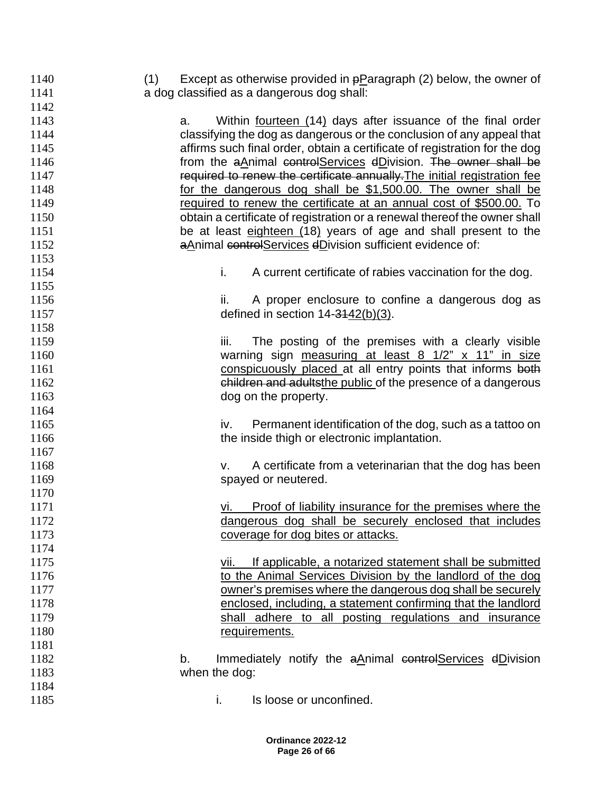| 1142<br>1143<br>Within fourteen (14) days after issuance of the final order<br>a.<br>classifying the dog as dangerous or the conclusion of any appeal that<br>1144<br>affirms such final order, obtain a certificate of registration for the dog<br>1145<br>from the aAnimal controlServices dDivision. The owner shall be<br>1146<br>required to renew the certificate annually. The initial registration fee<br>1147<br>for the dangerous dog shall be \$1,500.00. The owner shall be<br>1148<br>1149<br>required to renew the certificate at an annual cost of \$500.00. To<br>1150<br>obtain a certificate of registration or a renewal thereof the owner shall<br>be at least eighteen (18) years of age and shall present to the<br>1151<br>aAnimal controlServices dDivision sufficient evidence of:<br>1152<br>1153<br>i.<br>1154<br>A current certificate of rabies vaccination for the dog.<br>1155<br>1156<br>A proper enclosure to confine a dangerous dog as<br>ii.<br>defined in section $14 - 3142(b)(3)$ .<br>1157<br>1158<br>1159<br>iii.<br>The posting of the premises with a clearly visible<br>warning sign measuring at least 8 1/2" x 11" in size<br>1160<br>conspicuously placed at all entry points that informs both<br>1161<br>children and adultsthe public of the presence of a dangerous<br>1162<br>1163<br>dog on the property.<br>1164<br>1165<br>Permanent identification of the dog, such as a tattoo on<br>iv.<br>1166<br>the inside thigh or electronic implantation.<br>1167<br>A certificate from a veterinarian that the dog has been<br>1168<br>V.<br>spayed or neutered.<br>1169<br>1170<br>Proof of liability insurance for the premises where the<br>1171<br>dangerous dog shall be securely enclosed that includes<br>1172<br>1173<br>coverage for dog bites or attacks.<br>1174<br>1175<br>If applicable, a notarized statement shall be submitted<br>vii.<br>1176<br>to the Animal Services Division by the landlord of the dog<br>owner's premises where the dangerous dog shall be securely<br>1177<br>1178<br>enclosed, including, a statement confirming that the landlord<br>1179<br>shall adhere to all posting regulations and insurance<br>1180<br>requirements.<br>1181<br>1182<br>Immediately notify the aAnimal controlServices dDivision<br>b.<br>1183<br>when the dog:<br>1184<br>1185<br>i.<br>Is loose or unconfined. | 1140 | Except as otherwise provided in $p$ Paragraph (2) below, the owner of<br>(1) |
|------------------------------------------------------------------------------------------------------------------------------------------------------------------------------------------------------------------------------------------------------------------------------------------------------------------------------------------------------------------------------------------------------------------------------------------------------------------------------------------------------------------------------------------------------------------------------------------------------------------------------------------------------------------------------------------------------------------------------------------------------------------------------------------------------------------------------------------------------------------------------------------------------------------------------------------------------------------------------------------------------------------------------------------------------------------------------------------------------------------------------------------------------------------------------------------------------------------------------------------------------------------------------------------------------------------------------------------------------------------------------------------------------------------------------------------------------------------------------------------------------------------------------------------------------------------------------------------------------------------------------------------------------------------------------------------------------------------------------------------------------------------------------------------------------------------------------------------------------------------------------------------------------------------------------------------------------------------------------------------------------------------------------------------------------------------------------------------------------------------------------------------------------------------------------------------------------------------------------------------------------------------------------------------------------------------------------------------------------------------------------------|------|------------------------------------------------------------------------------|
|                                                                                                                                                                                                                                                                                                                                                                                                                                                                                                                                                                                                                                                                                                                                                                                                                                                                                                                                                                                                                                                                                                                                                                                                                                                                                                                                                                                                                                                                                                                                                                                                                                                                                                                                                                                                                                                                                                                                                                                                                                                                                                                                                                                                                                                                                                                                                                                    | 1141 | a dog classified as a dangerous dog shall:                                   |
|                                                                                                                                                                                                                                                                                                                                                                                                                                                                                                                                                                                                                                                                                                                                                                                                                                                                                                                                                                                                                                                                                                                                                                                                                                                                                                                                                                                                                                                                                                                                                                                                                                                                                                                                                                                                                                                                                                                                                                                                                                                                                                                                                                                                                                                                                                                                                                                    |      |                                                                              |
|                                                                                                                                                                                                                                                                                                                                                                                                                                                                                                                                                                                                                                                                                                                                                                                                                                                                                                                                                                                                                                                                                                                                                                                                                                                                                                                                                                                                                                                                                                                                                                                                                                                                                                                                                                                                                                                                                                                                                                                                                                                                                                                                                                                                                                                                                                                                                                                    |      |                                                                              |
|                                                                                                                                                                                                                                                                                                                                                                                                                                                                                                                                                                                                                                                                                                                                                                                                                                                                                                                                                                                                                                                                                                                                                                                                                                                                                                                                                                                                                                                                                                                                                                                                                                                                                                                                                                                                                                                                                                                                                                                                                                                                                                                                                                                                                                                                                                                                                                                    |      |                                                                              |
|                                                                                                                                                                                                                                                                                                                                                                                                                                                                                                                                                                                                                                                                                                                                                                                                                                                                                                                                                                                                                                                                                                                                                                                                                                                                                                                                                                                                                                                                                                                                                                                                                                                                                                                                                                                                                                                                                                                                                                                                                                                                                                                                                                                                                                                                                                                                                                                    |      |                                                                              |
|                                                                                                                                                                                                                                                                                                                                                                                                                                                                                                                                                                                                                                                                                                                                                                                                                                                                                                                                                                                                                                                                                                                                                                                                                                                                                                                                                                                                                                                                                                                                                                                                                                                                                                                                                                                                                                                                                                                                                                                                                                                                                                                                                                                                                                                                                                                                                                                    |      |                                                                              |
|                                                                                                                                                                                                                                                                                                                                                                                                                                                                                                                                                                                                                                                                                                                                                                                                                                                                                                                                                                                                                                                                                                                                                                                                                                                                                                                                                                                                                                                                                                                                                                                                                                                                                                                                                                                                                                                                                                                                                                                                                                                                                                                                                                                                                                                                                                                                                                                    |      |                                                                              |
|                                                                                                                                                                                                                                                                                                                                                                                                                                                                                                                                                                                                                                                                                                                                                                                                                                                                                                                                                                                                                                                                                                                                                                                                                                                                                                                                                                                                                                                                                                                                                                                                                                                                                                                                                                                                                                                                                                                                                                                                                                                                                                                                                                                                                                                                                                                                                                                    |      |                                                                              |
|                                                                                                                                                                                                                                                                                                                                                                                                                                                                                                                                                                                                                                                                                                                                                                                                                                                                                                                                                                                                                                                                                                                                                                                                                                                                                                                                                                                                                                                                                                                                                                                                                                                                                                                                                                                                                                                                                                                                                                                                                                                                                                                                                                                                                                                                                                                                                                                    |      |                                                                              |
|                                                                                                                                                                                                                                                                                                                                                                                                                                                                                                                                                                                                                                                                                                                                                                                                                                                                                                                                                                                                                                                                                                                                                                                                                                                                                                                                                                                                                                                                                                                                                                                                                                                                                                                                                                                                                                                                                                                                                                                                                                                                                                                                                                                                                                                                                                                                                                                    |      |                                                                              |
|                                                                                                                                                                                                                                                                                                                                                                                                                                                                                                                                                                                                                                                                                                                                                                                                                                                                                                                                                                                                                                                                                                                                                                                                                                                                                                                                                                                                                                                                                                                                                                                                                                                                                                                                                                                                                                                                                                                                                                                                                                                                                                                                                                                                                                                                                                                                                                                    |      |                                                                              |
|                                                                                                                                                                                                                                                                                                                                                                                                                                                                                                                                                                                                                                                                                                                                                                                                                                                                                                                                                                                                                                                                                                                                                                                                                                                                                                                                                                                                                                                                                                                                                                                                                                                                                                                                                                                                                                                                                                                                                                                                                                                                                                                                                                                                                                                                                                                                                                                    |      |                                                                              |
|                                                                                                                                                                                                                                                                                                                                                                                                                                                                                                                                                                                                                                                                                                                                                                                                                                                                                                                                                                                                                                                                                                                                                                                                                                                                                                                                                                                                                                                                                                                                                                                                                                                                                                                                                                                                                                                                                                                                                                                                                                                                                                                                                                                                                                                                                                                                                                                    |      |                                                                              |
|                                                                                                                                                                                                                                                                                                                                                                                                                                                                                                                                                                                                                                                                                                                                                                                                                                                                                                                                                                                                                                                                                                                                                                                                                                                                                                                                                                                                                                                                                                                                                                                                                                                                                                                                                                                                                                                                                                                                                                                                                                                                                                                                                                                                                                                                                                                                                                                    |      |                                                                              |
|                                                                                                                                                                                                                                                                                                                                                                                                                                                                                                                                                                                                                                                                                                                                                                                                                                                                                                                                                                                                                                                                                                                                                                                                                                                                                                                                                                                                                                                                                                                                                                                                                                                                                                                                                                                                                                                                                                                                                                                                                                                                                                                                                                                                                                                                                                                                                                                    |      |                                                                              |
|                                                                                                                                                                                                                                                                                                                                                                                                                                                                                                                                                                                                                                                                                                                                                                                                                                                                                                                                                                                                                                                                                                                                                                                                                                                                                                                                                                                                                                                                                                                                                                                                                                                                                                                                                                                                                                                                                                                                                                                                                                                                                                                                                                                                                                                                                                                                                                                    |      |                                                                              |
|                                                                                                                                                                                                                                                                                                                                                                                                                                                                                                                                                                                                                                                                                                                                                                                                                                                                                                                                                                                                                                                                                                                                                                                                                                                                                                                                                                                                                                                                                                                                                                                                                                                                                                                                                                                                                                                                                                                                                                                                                                                                                                                                                                                                                                                                                                                                                                                    |      |                                                                              |
|                                                                                                                                                                                                                                                                                                                                                                                                                                                                                                                                                                                                                                                                                                                                                                                                                                                                                                                                                                                                                                                                                                                                                                                                                                                                                                                                                                                                                                                                                                                                                                                                                                                                                                                                                                                                                                                                                                                                                                                                                                                                                                                                                                                                                                                                                                                                                                                    |      |                                                                              |
|                                                                                                                                                                                                                                                                                                                                                                                                                                                                                                                                                                                                                                                                                                                                                                                                                                                                                                                                                                                                                                                                                                                                                                                                                                                                                                                                                                                                                                                                                                                                                                                                                                                                                                                                                                                                                                                                                                                                                                                                                                                                                                                                                                                                                                                                                                                                                                                    |      |                                                                              |
|                                                                                                                                                                                                                                                                                                                                                                                                                                                                                                                                                                                                                                                                                                                                                                                                                                                                                                                                                                                                                                                                                                                                                                                                                                                                                                                                                                                                                                                                                                                                                                                                                                                                                                                                                                                                                                                                                                                                                                                                                                                                                                                                                                                                                                                                                                                                                                                    |      |                                                                              |
|                                                                                                                                                                                                                                                                                                                                                                                                                                                                                                                                                                                                                                                                                                                                                                                                                                                                                                                                                                                                                                                                                                                                                                                                                                                                                                                                                                                                                                                                                                                                                                                                                                                                                                                                                                                                                                                                                                                                                                                                                                                                                                                                                                                                                                                                                                                                                                                    |      |                                                                              |
|                                                                                                                                                                                                                                                                                                                                                                                                                                                                                                                                                                                                                                                                                                                                                                                                                                                                                                                                                                                                                                                                                                                                                                                                                                                                                                                                                                                                                                                                                                                                                                                                                                                                                                                                                                                                                                                                                                                                                                                                                                                                                                                                                                                                                                                                                                                                                                                    |      |                                                                              |
|                                                                                                                                                                                                                                                                                                                                                                                                                                                                                                                                                                                                                                                                                                                                                                                                                                                                                                                                                                                                                                                                                                                                                                                                                                                                                                                                                                                                                                                                                                                                                                                                                                                                                                                                                                                                                                                                                                                                                                                                                                                                                                                                                                                                                                                                                                                                                                                    |      |                                                                              |
|                                                                                                                                                                                                                                                                                                                                                                                                                                                                                                                                                                                                                                                                                                                                                                                                                                                                                                                                                                                                                                                                                                                                                                                                                                                                                                                                                                                                                                                                                                                                                                                                                                                                                                                                                                                                                                                                                                                                                                                                                                                                                                                                                                                                                                                                                                                                                                                    |      |                                                                              |
|                                                                                                                                                                                                                                                                                                                                                                                                                                                                                                                                                                                                                                                                                                                                                                                                                                                                                                                                                                                                                                                                                                                                                                                                                                                                                                                                                                                                                                                                                                                                                                                                                                                                                                                                                                                                                                                                                                                                                                                                                                                                                                                                                                                                                                                                                                                                                                                    |      |                                                                              |
|                                                                                                                                                                                                                                                                                                                                                                                                                                                                                                                                                                                                                                                                                                                                                                                                                                                                                                                                                                                                                                                                                                                                                                                                                                                                                                                                                                                                                                                                                                                                                                                                                                                                                                                                                                                                                                                                                                                                                                                                                                                                                                                                                                                                                                                                                                                                                                                    |      |                                                                              |
|                                                                                                                                                                                                                                                                                                                                                                                                                                                                                                                                                                                                                                                                                                                                                                                                                                                                                                                                                                                                                                                                                                                                                                                                                                                                                                                                                                                                                                                                                                                                                                                                                                                                                                                                                                                                                                                                                                                                                                                                                                                                                                                                                                                                                                                                                                                                                                                    |      |                                                                              |
|                                                                                                                                                                                                                                                                                                                                                                                                                                                                                                                                                                                                                                                                                                                                                                                                                                                                                                                                                                                                                                                                                                                                                                                                                                                                                                                                                                                                                                                                                                                                                                                                                                                                                                                                                                                                                                                                                                                                                                                                                                                                                                                                                                                                                                                                                                                                                                                    |      |                                                                              |
|                                                                                                                                                                                                                                                                                                                                                                                                                                                                                                                                                                                                                                                                                                                                                                                                                                                                                                                                                                                                                                                                                                                                                                                                                                                                                                                                                                                                                                                                                                                                                                                                                                                                                                                                                                                                                                                                                                                                                                                                                                                                                                                                                                                                                                                                                                                                                                                    |      |                                                                              |
|                                                                                                                                                                                                                                                                                                                                                                                                                                                                                                                                                                                                                                                                                                                                                                                                                                                                                                                                                                                                                                                                                                                                                                                                                                                                                                                                                                                                                                                                                                                                                                                                                                                                                                                                                                                                                                                                                                                                                                                                                                                                                                                                                                                                                                                                                                                                                                                    |      |                                                                              |
|                                                                                                                                                                                                                                                                                                                                                                                                                                                                                                                                                                                                                                                                                                                                                                                                                                                                                                                                                                                                                                                                                                                                                                                                                                                                                                                                                                                                                                                                                                                                                                                                                                                                                                                                                                                                                                                                                                                                                                                                                                                                                                                                                                                                                                                                                                                                                                                    |      |                                                                              |
|                                                                                                                                                                                                                                                                                                                                                                                                                                                                                                                                                                                                                                                                                                                                                                                                                                                                                                                                                                                                                                                                                                                                                                                                                                                                                                                                                                                                                                                                                                                                                                                                                                                                                                                                                                                                                                                                                                                                                                                                                                                                                                                                                                                                                                                                                                                                                                                    |      |                                                                              |
|                                                                                                                                                                                                                                                                                                                                                                                                                                                                                                                                                                                                                                                                                                                                                                                                                                                                                                                                                                                                                                                                                                                                                                                                                                                                                                                                                                                                                                                                                                                                                                                                                                                                                                                                                                                                                                                                                                                                                                                                                                                                                                                                                                                                                                                                                                                                                                                    |      |                                                                              |
|                                                                                                                                                                                                                                                                                                                                                                                                                                                                                                                                                                                                                                                                                                                                                                                                                                                                                                                                                                                                                                                                                                                                                                                                                                                                                                                                                                                                                                                                                                                                                                                                                                                                                                                                                                                                                                                                                                                                                                                                                                                                                                                                                                                                                                                                                                                                                                                    |      |                                                                              |
|                                                                                                                                                                                                                                                                                                                                                                                                                                                                                                                                                                                                                                                                                                                                                                                                                                                                                                                                                                                                                                                                                                                                                                                                                                                                                                                                                                                                                                                                                                                                                                                                                                                                                                                                                                                                                                                                                                                                                                                                                                                                                                                                                                                                                                                                                                                                                                                    |      |                                                                              |
|                                                                                                                                                                                                                                                                                                                                                                                                                                                                                                                                                                                                                                                                                                                                                                                                                                                                                                                                                                                                                                                                                                                                                                                                                                                                                                                                                                                                                                                                                                                                                                                                                                                                                                                                                                                                                                                                                                                                                                                                                                                                                                                                                                                                                                                                                                                                                                                    |      |                                                                              |
|                                                                                                                                                                                                                                                                                                                                                                                                                                                                                                                                                                                                                                                                                                                                                                                                                                                                                                                                                                                                                                                                                                                                                                                                                                                                                                                                                                                                                                                                                                                                                                                                                                                                                                                                                                                                                                                                                                                                                                                                                                                                                                                                                                                                                                                                                                                                                                                    |      |                                                                              |
|                                                                                                                                                                                                                                                                                                                                                                                                                                                                                                                                                                                                                                                                                                                                                                                                                                                                                                                                                                                                                                                                                                                                                                                                                                                                                                                                                                                                                                                                                                                                                                                                                                                                                                                                                                                                                                                                                                                                                                                                                                                                                                                                                                                                                                                                                                                                                                                    |      |                                                                              |
|                                                                                                                                                                                                                                                                                                                                                                                                                                                                                                                                                                                                                                                                                                                                                                                                                                                                                                                                                                                                                                                                                                                                                                                                                                                                                                                                                                                                                                                                                                                                                                                                                                                                                                                                                                                                                                                                                                                                                                                                                                                                                                                                                                                                                                                                                                                                                                                    |      |                                                                              |
|                                                                                                                                                                                                                                                                                                                                                                                                                                                                                                                                                                                                                                                                                                                                                                                                                                                                                                                                                                                                                                                                                                                                                                                                                                                                                                                                                                                                                                                                                                                                                                                                                                                                                                                                                                                                                                                                                                                                                                                                                                                                                                                                                                                                                                                                                                                                                                                    |      |                                                                              |
|                                                                                                                                                                                                                                                                                                                                                                                                                                                                                                                                                                                                                                                                                                                                                                                                                                                                                                                                                                                                                                                                                                                                                                                                                                                                                                                                                                                                                                                                                                                                                                                                                                                                                                                                                                                                                                                                                                                                                                                                                                                                                                                                                                                                                                                                                                                                                                                    |      |                                                                              |
|                                                                                                                                                                                                                                                                                                                                                                                                                                                                                                                                                                                                                                                                                                                                                                                                                                                                                                                                                                                                                                                                                                                                                                                                                                                                                                                                                                                                                                                                                                                                                                                                                                                                                                                                                                                                                                                                                                                                                                                                                                                                                                                                                                                                                                                                                                                                                                                    |      |                                                                              |
|                                                                                                                                                                                                                                                                                                                                                                                                                                                                                                                                                                                                                                                                                                                                                                                                                                                                                                                                                                                                                                                                                                                                                                                                                                                                                                                                                                                                                                                                                                                                                                                                                                                                                                                                                                                                                                                                                                                                                                                                                                                                                                                                                                                                                                                                                                                                                                                    |      |                                                                              |
|                                                                                                                                                                                                                                                                                                                                                                                                                                                                                                                                                                                                                                                                                                                                                                                                                                                                                                                                                                                                                                                                                                                                                                                                                                                                                                                                                                                                                                                                                                                                                                                                                                                                                                                                                                                                                                                                                                                                                                                                                                                                                                                                                                                                                                                                                                                                                                                    |      |                                                                              |
|                                                                                                                                                                                                                                                                                                                                                                                                                                                                                                                                                                                                                                                                                                                                                                                                                                                                                                                                                                                                                                                                                                                                                                                                                                                                                                                                                                                                                                                                                                                                                                                                                                                                                                                                                                                                                                                                                                                                                                                                                                                                                                                                                                                                                                                                                                                                                                                    |      |                                                                              |
|                                                                                                                                                                                                                                                                                                                                                                                                                                                                                                                                                                                                                                                                                                                                                                                                                                                                                                                                                                                                                                                                                                                                                                                                                                                                                                                                                                                                                                                                                                                                                                                                                                                                                                                                                                                                                                                                                                                                                                                                                                                                                                                                                                                                                                                                                                                                                                                    |      |                                                                              |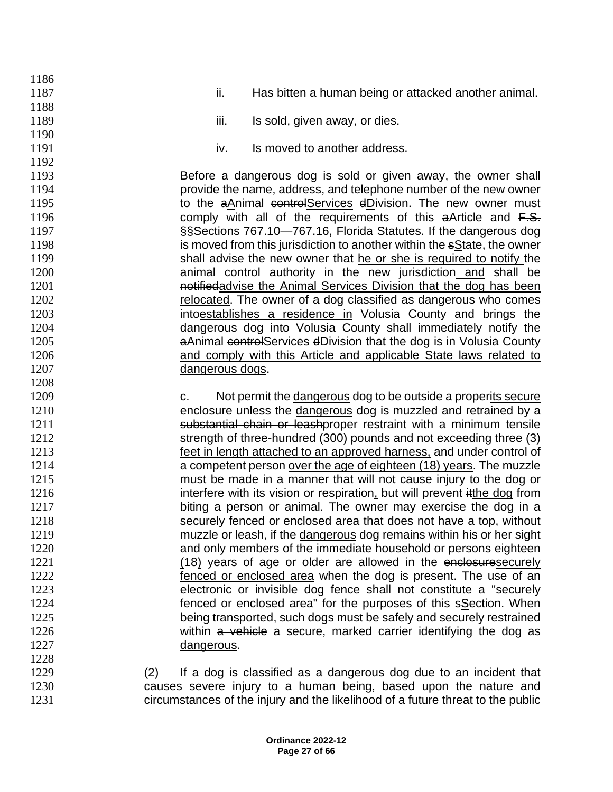| 1186 |                                                                                 |
|------|---------------------------------------------------------------------------------|
| 1187 | ii.<br>Has bitten a human being or attacked another animal.                     |
| 1188 |                                                                                 |
| 1189 | iii.<br>Is sold, given away, or dies.                                           |
| 1190 |                                                                                 |
| 1191 | Is moved to another address.<br>iv.                                             |
| 1192 |                                                                                 |
| 1193 | Before a dangerous dog is sold or given away, the owner shall                   |
| 1194 | provide the name, address, and telephone number of the new owner                |
| 1195 | to the aAnimal controlServices dDivision. The new owner must                    |
| 1196 | comply with all of the requirements of this $a$ Article and $F.S.$              |
| 1197 | §§Sections 767.10-767.16, Florida Statutes. If the dangerous dog                |
| 1198 | is moved from this jurisdiction to another within the sState, the owner         |
| 1199 | shall advise the new owner that he or she is required to notify the             |
| 1200 | animal control authority in the new jurisdiction and shall be                   |
| 1201 | notifiedadvise the Animal Services Division that the dog has been               |
| 1202 | relocated. The owner of a dog classified as dangerous who comes                 |
| 1203 | intoestablishes a residence in Volusia County and brings the                    |
| 1204 | dangerous dog into Volusia County shall immediately notify the                  |
| 1205 | aAnimal controlServices dDivision that the dog is in Volusia County             |
| 1206 | and comply with this Article and applicable State laws related to               |
| 1207 | dangerous dogs.                                                                 |
| 1208 |                                                                                 |
| 1209 | Not permit the dangerous dog to be outside a properits secure<br>C.             |
| 1210 | enclosure unless the dangerous dog is muzzled and retrained by a                |
| 1211 | substantial chain or leashproper restraint with a minimum tensile               |
| 1212 | strength of three-hundred (300) pounds and not exceeding three (3)              |
| 1213 | feet in length attached to an approved harness, and under control of            |
| 1214 | a competent person over the age of eighteen (18) years. The muzzle              |
| 1215 | must be made in a manner that will not cause injury to the dog or               |
| 1216 | interfere with its vision or respiration, but will prevent itthe dog from       |
| 1217 | biting a person or animal. The owner may exercise the dog in a                  |
| 1218 | securely fenced or enclosed area that does not have a top, without              |
| 1219 | muzzle or leash, if the dangerous dog remains within his or her sight           |
| 1220 | and only members of the immediate household or persons eighteen                 |
| 1221 | (18) years of age or older are allowed in the enclosuresecurely                 |
| 1222 | fenced or enclosed area when the dog is present. The use of an                  |
| 1223 | electronic or invisible dog fence shall not constitute a "securely              |
| 1224 | fenced or enclosed area" for the purposes of this sSection. When                |
| 1225 | being transported, such dogs must be safely and securely restrained             |
| 1226 | within a vehicle a secure, marked carrier identifying the dog as                |
| 1227 | dangerous.                                                                      |
| 1228 |                                                                                 |
| 1229 | If a dog is classified as a dangerous dog due to an incident that<br>(2)        |
| 1230 | causes severe injury to a human being, based upon the nature and                |
| 1231 | circumstances of the injury and the likelihood of a future threat to the public |
|      |                                                                                 |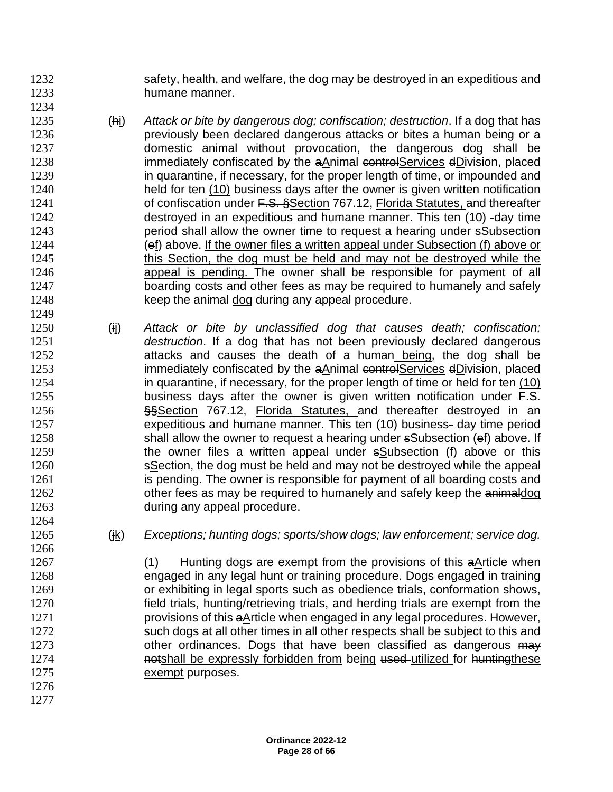1232 safety, health, and welfare, the dog may be destroyed in an expeditious and humane manner.

- (hi) *Attack or bite by dangerous dog; confiscation; destruction*. If a dog that has **previously been declared dangerous attacks or bites a human being or a**  domestic animal without provocation, the dangerous dog shall be **immediately confiscated by the aAnimal controlServices dDivision, placed** 1239 in quarantine, if necessary, for the proper length of time, or impounded and held for ten (10) business days after the owner is given written notification 1241 of confiscation under F.S. §Section 767.12, Florida Statutes, and thereafter destroyed in an expeditious and humane manner. This ten (10) -day time period shall allow the owner time to request a hearing under sSubsection (ef) above. If the owner files a written appeal under Subsection (f) above or 1245 this Section, the dog must be held and may not be destroyed while the **appeal is pending. The owner shall be responsible for payment of all 1246**  boarding costs and other fees as may be required to humanely and safely 1248 keep the animal dog during any appeal procedure.
- (ij) *Attack or bite by unclassified dog that causes death; confiscation; destruction*. If a dog that has not been previously declared dangerous 1252 attacks and causes the death of a human being, the dog shall be **immediately confiscated by the aAnimal controlServices dDivision, placed**  in quarantine, if necessary, for the proper length of time or held for ten (10) 1255 business days after the owner is given written notification under  $F.S.$ **§§Section 767.12, Florida Statutes, and thereafter destroyed in an** 1257 expeditious and humane manner. This ten (10) business- day time period 1258 shall allow the owner to request a hearing under sSubsection (ef) above. If 1259 the owner files a written appeal under sSubsection (f) above or this 1260 sSection, the dog must be held and may not be destroyed while the appeal 1261 is pending. The owner is responsible for payment of all boarding costs and 1262 other fees as may be required to humanely and safely keep the animaldog during any appeal procedure.
	-

(jk) *Exceptions; hunting dogs; sports/show dogs; law enforcement; service dog.*

 (1) Hunting dogs are exempt from the provisions of this aArticle when engaged in any legal hunt or training procedure. Dogs engaged in training or exhibiting in legal sports such as obedience trials, conformation shows, field trials, hunting/retrieving trials, and herding trials are exempt from the provisions of this aArticle when engaged in any legal procedures. However, 1272 such dogs at all other times in all other respects shall be subject to this and 1273 other ordinances. Dogs that have been classified as dangerous may **hotshall be expressly forbidden from being used-utilized for huntingthese** exempt purposes.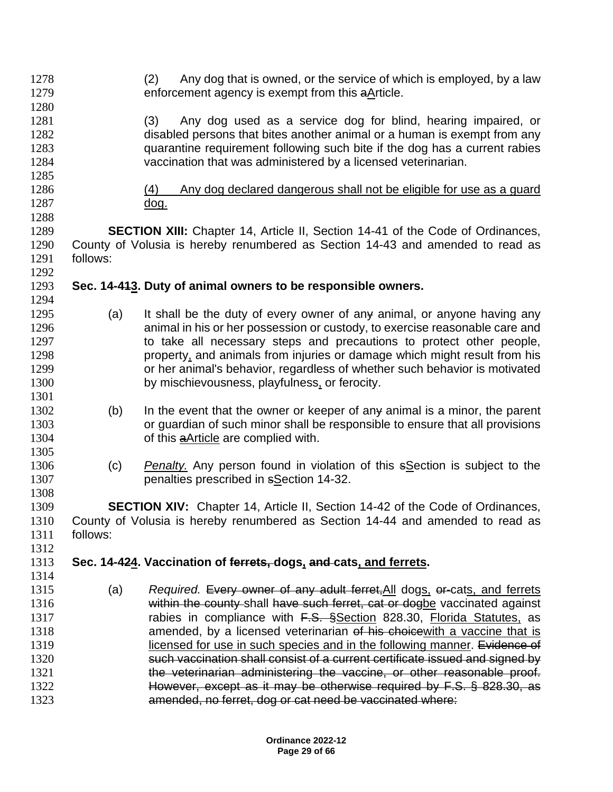| 1280<br>1281<br>Any dog used as a service dog for blind, hearing impaired, or<br>(3)<br>disabled persons that bites another animal or a human is exempt from any<br>1282<br>quarantine requirement following such bite if the dog has a current rabies<br>1283<br>1284<br>vaccination that was administered by a licensed veterinarian.<br>1285<br>1286<br>Any dog declared dangerous shall not be eligible for use as a guard<br>(4)<br>1287<br><u>dog.</u><br>1288<br>1289<br><b>SECTION XIII:</b> Chapter 14, Article II, Section 14-41 of the Code of Ordinances,<br>County of Volusia is hereby renumbered as Section 14-43 and amended to read as<br>1290<br>1291<br>follows:<br>1292<br>Sec. 14-443. Duty of animal owners to be responsible owners.<br>1293<br>1294<br>It shall be the duty of every owner of any animal, or anyone having any<br>1295<br>(a)<br>animal in his or her possession or custody, to exercise reasonable care and<br>1296<br>to take all necessary steps and precautions to protect other people,<br>1297<br>property, and animals from injuries or damage which might result from his<br>1298<br>or her animal's behavior, regardless of whether such behavior is motivated<br>1299<br>by mischievousness, playfulness, or ferocity.<br>1300<br>1301<br>In the event that the owner or keeper of any animal is a minor, the parent<br>1302<br>(b)<br>or guardian of such minor shall be responsible to ensure that all provisions<br>1303<br>1304<br>of this <b>aArticle</b> are complied with.<br>1305 |
|---------------------------------------------------------------------------------------------------------------------------------------------------------------------------------------------------------------------------------------------------------------------------------------------------------------------------------------------------------------------------------------------------------------------------------------------------------------------------------------------------------------------------------------------------------------------------------------------------------------------------------------------------------------------------------------------------------------------------------------------------------------------------------------------------------------------------------------------------------------------------------------------------------------------------------------------------------------------------------------------------------------------------------------------------------------------------------------------------------------------------------------------------------------------------------------------------------------------------------------------------------------------------------------------------------------------------------------------------------------------------------------------------------------------------------------------------------------------------------------------------------------------------------------------|
|                                                                                                                                                                                                                                                                                                                                                                                                                                                                                                                                                                                                                                                                                                                                                                                                                                                                                                                                                                                                                                                                                                                                                                                                                                                                                                                                                                                                                                                                                                                                             |
|                                                                                                                                                                                                                                                                                                                                                                                                                                                                                                                                                                                                                                                                                                                                                                                                                                                                                                                                                                                                                                                                                                                                                                                                                                                                                                                                                                                                                                                                                                                                             |
|                                                                                                                                                                                                                                                                                                                                                                                                                                                                                                                                                                                                                                                                                                                                                                                                                                                                                                                                                                                                                                                                                                                                                                                                                                                                                                                                                                                                                                                                                                                                             |
|                                                                                                                                                                                                                                                                                                                                                                                                                                                                                                                                                                                                                                                                                                                                                                                                                                                                                                                                                                                                                                                                                                                                                                                                                                                                                                                                                                                                                                                                                                                                             |
|                                                                                                                                                                                                                                                                                                                                                                                                                                                                                                                                                                                                                                                                                                                                                                                                                                                                                                                                                                                                                                                                                                                                                                                                                                                                                                                                                                                                                                                                                                                                             |
|                                                                                                                                                                                                                                                                                                                                                                                                                                                                                                                                                                                                                                                                                                                                                                                                                                                                                                                                                                                                                                                                                                                                                                                                                                                                                                                                                                                                                                                                                                                                             |
|                                                                                                                                                                                                                                                                                                                                                                                                                                                                                                                                                                                                                                                                                                                                                                                                                                                                                                                                                                                                                                                                                                                                                                                                                                                                                                                                                                                                                                                                                                                                             |
|                                                                                                                                                                                                                                                                                                                                                                                                                                                                                                                                                                                                                                                                                                                                                                                                                                                                                                                                                                                                                                                                                                                                                                                                                                                                                                                                                                                                                                                                                                                                             |
|                                                                                                                                                                                                                                                                                                                                                                                                                                                                                                                                                                                                                                                                                                                                                                                                                                                                                                                                                                                                                                                                                                                                                                                                                                                                                                                                                                                                                                                                                                                                             |
|                                                                                                                                                                                                                                                                                                                                                                                                                                                                                                                                                                                                                                                                                                                                                                                                                                                                                                                                                                                                                                                                                                                                                                                                                                                                                                                                                                                                                                                                                                                                             |
|                                                                                                                                                                                                                                                                                                                                                                                                                                                                                                                                                                                                                                                                                                                                                                                                                                                                                                                                                                                                                                                                                                                                                                                                                                                                                                                                                                                                                                                                                                                                             |
|                                                                                                                                                                                                                                                                                                                                                                                                                                                                                                                                                                                                                                                                                                                                                                                                                                                                                                                                                                                                                                                                                                                                                                                                                                                                                                                                                                                                                                                                                                                                             |
|                                                                                                                                                                                                                                                                                                                                                                                                                                                                                                                                                                                                                                                                                                                                                                                                                                                                                                                                                                                                                                                                                                                                                                                                                                                                                                                                                                                                                                                                                                                                             |
|                                                                                                                                                                                                                                                                                                                                                                                                                                                                                                                                                                                                                                                                                                                                                                                                                                                                                                                                                                                                                                                                                                                                                                                                                                                                                                                                                                                                                                                                                                                                             |
|                                                                                                                                                                                                                                                                                                                                                                                                                                                                                                                                                                                                                                                                                                                                                                                                                                                                                                                                                                                                                                                                                                                                                                                                                                                                                                                                                                                                                                                                                                                                             |
|                                                                                                                                                                                                                                                                                                                                                                                                                                                                                                                                                                                                                                                                                                                                                                                                                                                                                                                                                                                                                                                                                                                                                                                                                                                                                                                                                                                                                                                                                                                                             |
|                                                                                                                                                                                                                                                                                                                                                                                                                                                                                                                                                                                                                                                                                                                                                                                                                                                                                                                                                                                                                                                                                                                                                                                                                                                                                                                                                                                                                                                                                                                                             |
|                                                                                                                                                                                                                                                                                                                                                                                                                                                                                                                                                                                                                                                                                                                                                                                                                                                                                                                                                                                                                                                                                                                                                                                                                                                                                                                                                                                                                                                                                                                                             |
|                                                                                                                                                                                                                                                                                                                                                                                                                                                                                                                                                                                                                                                                                                                                                                                                                                                                                                                                                                                                                                                                                                                                                                                                                                                                                                                                                                                                                                                                                                                                             |
|                                                                                                                                                                                                                                                                                                                                                                                                                                                                                                                                                                                                                                                                                                                                                                                                                                                                                                                                                                                                                                                                                                                                                                                                                                                                                                                                                                                                                                                                                                                                             |
|                                                                                                                                                                                                                                                                                                                                                                                                                                                                                                                                                                                                                                                                                                                                                                                                                                                                                                                                                                                                                                                                                                                                                                                                                                                                                                                                                                                                                                                                                                                                             |
|                                                                                                                                                                                                                                                                                                                                                                                                                                                                                                                                                                                                                                                                                                                                                                                                                                                                                                                                                                                                                                                                                                                                                                                                                                                                                                                                                                                                                                                                                                                                             |
|                                                                                                                                                                                                                                                                                                                                                                                                                                                                                                                                                                                                                                                                                                                                                                                                                                                                                                                                                                                                                                                                                                                                                                                                                                                                                                                                                                                                                                                                                                                                             |
|                                                                                                                                                                                                                                                                                                                                                                                                                                                                                                                                                                                                                                                                                                                                                                                                                                                                                                                                                                                                                                                                                                                                                                                                                                                                                                                                                                                                                                                                                                                                             |
|                                                                                                                                                                                                                                                                                                                                                                                                                                                                                                                                                                                                                                                                                                                                                                                                                                                                                                                                                                                                                                                                                                                                                                                                                                                                                                                                                                                                                                                                                                                                             |
|                                                                                                                                                                                                                                                                                                                                                                                                                                                                                                                                                                                                                                                                                                                                                                                                                                                                                                                                                                                                                                                                                                                                                                                                                                                                                                                                                                                                                                                                                                                                             |
| 1306<br>(c)<br><b>Penalty.</b> Any person found in violation of this sSection is subject to the                                                                                                                                                                                                                                                                                                                                                                                                                                                                                                                                                                                                                                                                                                                                                                                                                                                                                                                                                                                                                                                                                                                                                                                                                                                                                                                                                                                                                                             |
| 1307<br>penalties prescribed in sSection 14-32.                                                                                                                                                                                                                                                                                                                                                                                                                                                                                                                                                                                                                                                                                                                                                                                                                                                                                                                                                                                                                                                                                                                                                                                                                                                                                                                                                                                                                                                                                             |
| 1308                                                                                                                                                                                                                                                                                                                                                                                                                                                                                                                                                                                                                                                                                                                                                                                                                                                                                                                                                                                                                                                                                                                                                                                                                                                                                                                                                                                                                                                                                                                                        |
| 1309<br><b>SECTION XIV:</b> Chapter 14, Article II, Section 14-42 of the Code of Ordinances,                                                                                                                                                                                                                                                                                                                                                                                                                                                                                                                                                                                                                                                                                                                                                                                                                                                                                                                                                                                                                                                                                                                                                                                                                                                                                                                                                                                                                                                |
| 1310<br>County of Volusia is hereby renumbered as Section 14-44 and amended to read as                                                                                                                                                                                                                                                                                                                                                                                                                                                                                                                                                                                                                                                                                                                                                                                                                                                                                                                                                                                                                                                                                                                                                                                                                                                                                                                                                                                                                                                      |
| 1311<br>follows:                                                                                                                                                                                                                                                                                                                                                                                                                                                                                                                                                                                                                                                                                                                                                                                                                                                                                                                                                                                                                                                                                                                                                                                                                                                                                                                                                                                                                                                                                                                            |
| 1312                                                                                                                                                                                                                                                                                                                                                                                                                                                                                                                                                                                                                                                                                                                                                                                                                                                                                                                                                                                                                                                                                                                                                                                                                                                                                                                                                                                                                                                                                                                                        |
| 1313<br>Sec. 14-424. Vaccination of ferrets, dogs, and cats, and ferrets.                                                                                                                                                                                                                                                                                                                                                                                                                                                                                                                                                                                                                                                                                                                                                                                                                                                                                                                                                                                                                                                                                                                                                                                                                                                                                                                                                                                                                                                                   |
| 1314                                                                                                                                                                                                                                                                                                                                                                                                                                                                                                                                                                                                                                                                                                                                                                                                                                                                                                                                                                                                                                                                                                                                                                                                                                                                                                                                                                                                                                                                                                                                        |
| Required. Every owner of any adult ferret, All dogs, or-cats, and ferrets<br>1315<br>(a)                                                                                                                                                                                                                                                                                                                                                                                                                                                                                                                                                                                                                                                                                                                                                                                                                                                                                                                                                                                                                                                                                                                                                                                                                                                                                                                                                                                                                                                    |
| within the county-shall have such ferret, cat or dogbe vaccinated against<br>1316                                                                                                                                                                                                                                                                                                                                                                                                                                                                                                                                                                                                                                                                                                                                                                                                                                                                                                                                                                                                                                                                                                                                                                                                                                                                                                                                                                                                                                                           |
| rabies in compliance with F.S. SSection 828.30, Florida Statutes, as<br>1317                                                                                                                                                                                                                                                                                                                                                                                                                                                                                                                                                                                                                                                                                                                                                                                                                                                                                                                                                                                                                                                                                                                                                                                                                                                                                                                                                                                                                                                                |
| amended, by a licensed veterinarian of his choice with a vaccine that is<br>1318                                                                                                                                                                                                                                                                                                                                                                                                                                                                                                                                                                                                                                                                                                                                                                                                                                                                                                                                                                                                                                                                                                                                                                                                                                                                                                                                                                                                                                                            |
| licensed for use in such species and in the following manner. Evidence of<br>1319                                                                                                                                                                                                                                                                                                                                                                                                                                                                                                                                                                                                                                                                                                                                                                                                                                                                                                                                                                                                                                                                                                                                                                                                                                                                                                                                                                                                                                                           |
| such vaccination shall consist of a current certificate issued and signed by<br>1320                                                                                                                                                                                                                                                                                                                                                                                                                                                                                                                                                                                                                                                                                                                                                                                                                                                                                                                                                                                                                                                                                                                                                                                                                                                                                                                                                                                                                                                        |
| 1321<br>the veterinarian administering the vaccine, or other reasonable proof.                                                                                                                                                                                                                                                                                                                                                                                                                                                                                                                                                                                                                                                                                                                                                                                                                                                                                                                                                                                                                                                                                                                                                                                                                                                                                                                                                                                                                                                              |
| 1322<br>However, except as it may be otherwise required by F.S. § 828.30, as                                                                                                                                                                                                                                                                                                                                                                                                                                                                                                                                                                                                                                                                                                                                                                                                                                                                                                                                                                                                                                                                                                                                                                                                                                                                                                                                                                                                                                                                |
| 1323<br>amended, no ferret, dog or cat need be vaccinated where:                                                                                                                                                                                                                                                                                                                                                                                                                                                                                                                                                                                                                                                                                                                                                                                                                                                                                                                                                                                                                                                                                                                                                                                                                                                                                                                                                                                                                                                                            |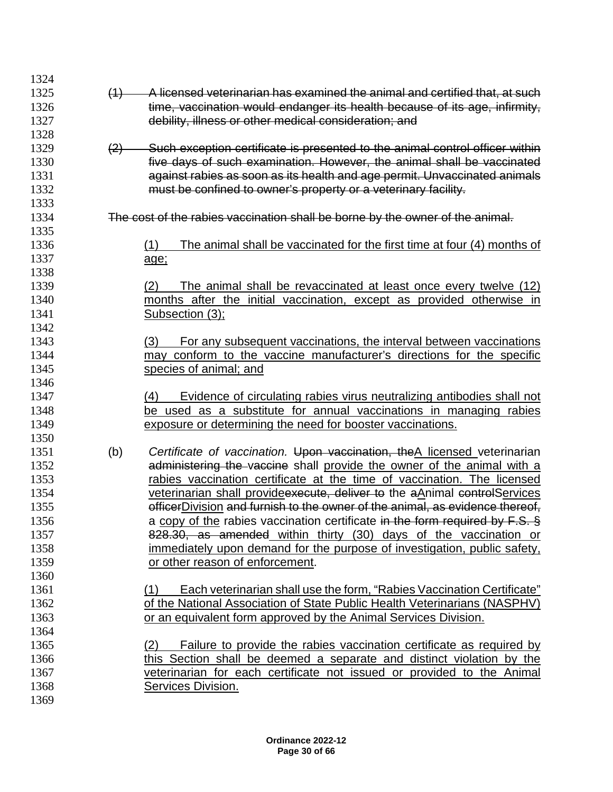| A licensed veterinarian has examined the animal and certified that, at such<br>1325<br>(4)<br>time, vaccination would endanger its health because of its age, infirmity,<br>1326<br>debility, illness or other medical consideration; and<br>1327<br>1328<br>Such exception certificate is presented to the animal control officer within<br>1329<br>(2)<br>five days of such examination. However, the animal shall be vaccinated<br>1330<br>against rabies as soon as its health and age permit. Unvaccinated animals<br>1331<br>must be confined to owner's property or a veterinary facility.<br>1332<br>1333<br>The cost of the rabies vaccination shall be borne by the owner of the animal.<br>1334<br>1335<br>1336<br>(1)<br>The animal shall be vaccinated for the first time at four (4) months of<br>1337<br>age;<br>1338<br>1339<br>The animal shall be revaccinated at least once every twelve (12)<br>(2)<br>1340<br>months after the initial vaccination, except as provided otherwise in<br>1341<br>Subsection (3);<br>1342<br>1343<br>(3)<br>For any subsequent vaccinations, the interval between vaccinations<br>may conform to the vaccine manufacturer's directions for the specific<br>1344<br>1345<br>species of animal; and<br>1346<br>1347<br>Evidence of circulating rabies virus neutralizing antibodies shall not<br>(4)<br>be used as a substitute for annual vaccinations in managing rabies<br>1348<br>1349<br>exposure or determining the need for booster vaccinations.<br>1350<br>1351<br>(b)<br>Certificate of vaccination. Upon vaccination, the A licensed veterinarian<br>administering the vaccine shall provide the owner of the animal with a<br>1352<br>1353<br>rabies vaccination certificate at the time of vaccination. The licensed<br>1354<br>veterinarian shall provide execute, deliver to the aAnimal controlServices<br>officerDivision and furnish to the owner of the animal, as evidence thereof,<br>1355<br>a copy of the rabies vaccination certificate in the form required by F.S. §<br>1356<br>828.30, as amended within thirty (30) days of the vaccination or<br>1357<br>1358<br>immediately upon demand for the purpose of investigation, public safety,<br>1359<br>or other reason of enforcement.<br>1360<br>1361<br>Each veterinarian shall use the form, "Rabies Vaccination Certificate"<br>(1)<br>of the National Association of State Public Health Veterinarians (NASPHV)<br>1362<br>1363<br>or an equivalent form approved by the Animal Services Division.<br>1364<br>1365<br>Failure to provide the rabies vaccination certificate as required by<br>(2)<br>1366<br>this Section shall be deemed a separate and distinct violation by the<br>1367<br>veterinarian for each certificate not issued or provided to the Animal<br>1368<br>Services Division. | 1324 |  |
|------------------------------------------------------------------------------------------------------------------------------------------------------------------------------------------------------------------------------------------------------------------------------------------------------------------------------------------------------------------------------------------------------------------------------------------------------------------------------------------------------------------------------------------------------------------------------------------------------------------------------------------------------------------------------------------------------------------------------------------------------------------------------------------------------------------------------------------------------------------------------------------------------------------------------------------------------------------------------------------------------------------------------------------------------------------------------------------------------------------------------------------------------------------------------------------------------------------------------------------------------------------------------------------------------------------------------------------------------------------------------------------------------------------------------------------------------------------------------------------------------------------------------------------------------------------------------------------------------------------------------------------------------------------------------------------------------------------------------------------------------------------------------------------------------------------------------------------------------------------------------------------------------------------------------------------------------------------------------------------------------------------------------------------------------------------------------------------------------------------------------------------------------------------------------------------------------------------------------------------------------------------------------------------------------------------------------------------------------------------------------------------------------------------------------------------------------------------------------------------------------------------------------------------------------------------------------------------------------------------------------------------------------------------------------------------------------------------------------------------------------------------------------------------------------------------------------------|------|--|
|                                                                                                                                                                                                                                                                                                                                                                                                                                                                                                                                                                                                                                                                                                                                                                                                                                                                                                                                                                                                                                                                                                                                                                                                                                                                                                                                                                                                                                                                                                                                                                                                                                                                                                                                                                                                                                                                                                                                                                                                                                                                                                                                                                                                                                                                                                                                                                                                                                                                                                                                                                                                                                                                                                                                                                                                                                    |      |  |
|                                                                                                                                                                                                                                                                                                                                                                                                                                                                                                                                                                                                                                                                                                                                                                                                                                                                                                                                                                                                                                                                                                                                                                                                                                                                                                                                                                                                                                                                                                                                                                                                                                                                                                                                                                                                                                                                                                                                                                                                                                                                                                                                                                                                                                                                                                                                                                                                                                                                                                                                                                                                                                                                                                                                                                                                                                    |      |  |
|                                                                                                                                                                                                                                                                                                                                                                                                                                                                                                                                                                                                                                                                                                                                                                                                                                                                                                                                                                                                                                                                                                                                                                                                                                                                                                                                                                                                                                                                                                                                                                                                                                                                                                                                                                                                                                                                                                                                                                                                                                                                                                                                                                                                                                                                                                                                                                                                                                                                                                                                                                                                                                                                                                                                                                                                                                    |      |  |
|                                                                                                                                                                                                                                                                                                                                                                                                                                                                                                                                                                                                                                                                                                                                                                                                                                                                                                                                                                                                                                                                                                                                                                                                                                                                                                                                                                                                                                                                                                                                                                                                                                                                                                                                                                                                                                                                                                                                                                                                                                                                                                                                                                                                                                                                                                                                                                                                                                                                                                                                                                                                                                                                                                                                                                                                                                    |      |  |
|                                                                                                                                                                                                                                                                                                                                                                                                                                                                                                                                                                                                                                                                                                                                                                                                                                                                                                                                                                                                                                                                                                                                                                                                                                                                                                                                                                                                                                                                                                                                                                                                                                                                                                                                                                                                                                                                                                                                                                                                                                                                                                                                                                                                                                                                                                                                                                                                                                                                                                                                                                                                                                                                                                                                                                                                                                    |      |  |
|                                                                                                                                                                                                                                                                                                                                                                                                                                                                                                                                                                                                                                                                                                                                                                                                                                                                                                                                                                                                                                                                                                                                                                                                                                                                                                                                                                                                                                                                                                                                                                                                                                                                                                                                                                                                                                                                                                                                                                                                                                                                                                                                                                                                                                                                                                                                                                                                                                                                                                                                                                                                                                                                                                                                                                                                                                    |      |  |
|                                                                                                                                                                                                                                                                                                                                                                                                                                                                                                                                                                                                                                                                                                                                                                                                                                                                                                                                                                                                                                                                                                                                                                                                                                                                                                                                                                                                                                                                                                                                                                                                                                                                                                                                                                                                                                                                                                                                                                                                                                                                                                                                                                                                                                                                                                                                                                                                                                                                                                                                                                                                                                                                                                                                                                                                                                    |      |  |
|                                                                                                                                                                                                                                                                                                                                                                                                                                                                                                                                                                                                                                                                                                                                                                                                                                                                                                                                                                                                                                                                                                                                                                                                                                                                                                                                                                                                                                                                                                                                                                                                                                                                                                                                                                                                                                                                                                                                                                                                                                                                                                                                                                                                                                                                                                                                                                                                                                                                                                                                                                                                                                                                                                                                                                                                                                    |      |  |
|                                                                                                                                                                                                                                                                                                                                                                                                                                                                                                                                                                                                                                                                                                                                                                                                                                                                                                                                                                                                                                                                                                                                                                                                                                                                                                                                                                                                                                                                                                                                                                                                                                                                                                                                                                                                                                                                                                                                                                                                                                                                                                                                                                                                                                                                                                                                                                                                                                                                                                                                                                                                                                                                                                                                                                                                                                    |      |  |
|                                                                                                                                                                                                                                                                                                                                                                                                                                                                                                                                                                                                                                                                                                                                                                                                                                                                                                                                                                                                                                                                                                                                                                                                                                                                                                                                                                                                                                                                                                                                                                                                                                                                                                                                                                                                                                                                                                                                                                                                                                                                                                                                                                                                                                                                                                                                                                                                                                                                                                                                                                                                                                                                                                                                                                                                                                    |      |  |
|                                                                                                                                                                                                                                                                                                                                                                                                                                                                                                                                                                                                                                                                                                                                                                                                                                                                                                                                                                                                                                                                                                                                                                                                                                                                                                                                                                                                                                                                                                                                                                                                                                                                                                                                                                                                                                                                                                                                                                                                                                                                                                                                                                                                                                                                                                                                                                                                                                                                                                                                                                                                                                                                                                                                                                                                                                    |      |  |
|                                                                                                                                                                                                                                                                                                                                                                                                                                                                                                                                                                                                                                                                                                                                                                                                                                                                                                                                                                                                                                                                                                                                                                                                                                                                                                                                                                                                                                                                                                                                                                                                                                                                                                                                                                                                                                                                                                                                                                                                                                                                                                                                                                                                                                                                                                                                                                                                                                                                                                                                                                                                                                                                                                                                                                                                                                    |      |  |
|                                                                                                                                                                                                                                                                                                                                                                                                                                                                                                                                                                                                                                                                                                                                                                                                                                                                                                                                                                                                                                                                                                                                                                                                                                                                                                                                                                                                                                                                                                                                                                                                                                                                                                                                                                                                                                                                                                                                                                                                                                                                                                                                                                                                                                                                                                                                                                                                                                                                                                                                                                                                                                                                                                                                                                                                                                    |      |  |
|                                                                                                                                                                                                                                                                                                                                                                                                                                                                                                                                                                                                                                                                                                                                                                                                                                                                                                                                                                                                                                                                                                                                                                                                                                                                                                                                                                                                                                                                                                                                                                                                                                                                                                                                                                                                                                                                                                                                                                                                                                                                                                                                                                                                                                                                                                                                                                                                                                                                                                                                                                                                                                                                                                                                                                                                                                    |      |  |
|                                                                                                                                                                                                                                                                                                                                                                                                                                                                                                                                                                                                                                                                                                                                                                                                                                                                                                                                                                                                                                                                                                                                                                                                                                                                                                                                                                                                                                                                                                                                                                                                                                                                                                                                                                                                                                                                                                                                                                                                                                                                                                                                                                                                                                                                                                                                                                                                                                                                                                                                                                                                                                                                                                                                                                                                                                    |      |  |
|                                                                                                                                                                                                                                                                                                                                                                                                                                                                                                                                                                                                                                                                                                                                                                                                                                                                                                                                                                                                                                                                                                                                                                                                                                                                                                                                                                                                                                                                                                                                                                                                                                                                                                                                                                                                                                                                                                                                                                                                                                                                                                                                                                                                                                                                                                                                                                                                                                                                                                                                                                                                                                                                                                                                                                                                                                    |      |  |
|                                                                                                                                                                                                                                                                                                                                                                                                                                                                                                                                                                                                                                                                                                                                                                                                                                                                                                                                                                                                                                                                                                                                                                                                                                                                                                                                                                                                                                                                                                                                                                                                                                                                                                                                                                                                                                                                                                                                                                                                                                                                                                                                                                                                                                                                                                                                                                                                                                                                                                                                                                                                                                                                                                                                                                                                                                    |      |  |
|                                                                                                                                                                                                                                                                                                                                                                                                                                                                                                                                                                                                                                                                                                                                                                                                                                                                                                                                                                                                                                                                                                                                                                                                                                                                                                                                                                                                                                                                                                                                                                                                                                                                                                                                                                                                                                                                                                                                                                                                                                                                                                                                                                                                                                                                                                                                                                                                                                                                                                                                                                                                                                                                                                                                                                                                                                    |      |  |
|                                                                                                                                                                                                                                                                                                                                                                                                                                                                                                                                                                                                                                                                                                                                                                                                                                                                                                                                                                                                                                                                                                                                                                                                                                                                                                                                                                                                                                                                                                                                                                                                                                                                                                                                                                                                                                                                                                                                                                                                                                                                                                                                                                                                                                                                                                                                                                                                                                                                                                                                                                                                                                                                                                                                                                                                                                    |      |  |
|                                                                                                                                                                                                                                                                                                                                                                                                                                                                                                                                                                                                                                                                                                                                                                                                                                                                                                                                                                                                                                                                                                                                                                                                                                                                                                                                                                                                                                                                                                                                                                                                                                                                                                                                                                                                                                                                                                                                                                                                                                                                                                                                                                                                                                                                                                                                                                                                                                                                                                                                                                                                                                                                                                                                                                                                                                    |      |  |
|                                                                                                                                                                                                                                                                                                                                                                                                                                                                                                                                                                                                                                                                                                                                                                                                                                                                                                                                                                                                                                                                                                                                                                                                                                                                                                                                                                                                                                                                                                                                                                                                                                                                                                                                                                                                                                                                                                                                                                                                                                                                                                                                                                                                                                                                                                                                                                                                                                                                                                                                                                                                                                                                                                                                                                                                                                    |      |  |
|                                                                                                                                                                                                                                                                                                                                                                                                                                                                                                                                                                                                                                                                                                                                                                                                                                                                                                                                                                                                                                                                                                                                                                                                                                                                                                                                                                                                                                                                                                                                                                                                                                                                                                                                                                                                                                                                                                                                                                                                                                                                                                                                                                                                                                                                                                                                                                                                                                                                                                                                                                                                                                                                                                                                                                                                                                    |      |  |
|                                                                                                                                                                                                                                                                                                                                                                                                                                                                                                                                                                                                                                                                                                                                                                                                                                                                                                                                                                                                                                                                                                                                                                                                                                                                                                                                                                                                                                                                                                                                                                                                                                                                                                                                                                                                                                                                                                                                                                                                                                                                                                                                                                                                                                                                                                                                                                                                                                                                                                                                                                                                                                                                                                                                                                                                                                    |      |  |
|                                                                                                                                                                                                                                                                                                                                                                                                                                                                                                                                                                                                                                                                                                                                                                                                                                                                                                                                                                                                                                                                                                                                                                                                                                                                                                                                                                                                                                                                                                                                                                                                                                                                                                                                                                                                                                                                                                                                                                                                                                                                                                                                                                                                                                                                                                                                                                                                                                                                                                                                                                                                                                                                                                                                                                                                                                    |      |  |
|                                                                                                                                                                                                                                                                                                                                                                                                                                                                                                                                                                                                                                                                                                                                                                                                                                                                                                                                                                                                                                                                                                                                                                                                                                                                                                                                                                                                                                                                                                                                                                                                                                                                                                                                                                                                                                                                                                                                                                                                                                                                                                                                                                                                                                                                                                                                                                                                                                                                                                                                                                                                                                                                                                                                                                                                                                    |      |  |
|                                                                                                                                                                                                                                                                                                                                                                                                                                                                                                                                                                                                                                                                                                                                                                                                                                                                                                                                                                                                                                                                                                                                                                                                                                                                                                                                                                                                                                                                                                                                                                                                                                                                                                                                                                                                                                                                                                                                                                                                                                                                                                                                                                                                                                                                                                                                                                                                                                                                                                                                                                                                                                                                                                                                                                                                                                    |      |  |
|                                                                                                                                                                                                                                                                                                                                                                                                                                                                                                                                                                                                                                                                                                                                                                                                                                                                                                                                                                                                                                                                                                                                                                                                                                                                                                                                                                                                                                                                                                                                                                                                                                                                                                                                                                                                                                                                                                                                                                                                                                                                                                                                                                                                                                                                                                                                                                                                                                                                                                                                                                                                                                                                                                                                                                                                                                    |      |  |
|                                                                                                                                                                                                                                                                                                                                                                                                                                                                                                                                                                                                                                                                                                                                                                                                                                                                                                                                                                                                                                                                                                                                                                                                                                                                                                                                                                                                                                                                                                                                                                                                                                                                                                                                                                                                                                                                                                                                                                                                                                                                                                                                                                                                                                                                                                                                                                                                                                                                                                                                                                                                                                                                                                                                                                                                                                    |      |  |
|                                                                                                                                                                                                                                                                                                                                                                                                                                                                                                                                                                                                                                                                                                                                                                                                                                                                                                                                                                                                                                                                                                                                                                                                                                                                                                                                                                                                                                                                                                                                                                                                                                                                                                                                                                                                                                                                                                                                                                                                                                                                                                                                                                                                                                                                                                                                                                                                                                                                                                                                                                                                                                                                                                                                                                                                                                    |      |  |
|                                                                                                                                                                                                                                                                                                                                                                                                                                                                                                                                                                                                                                                                                                                                                                                                                                                                                                                                                                                                                                                                                                                                                                                                                                                                                                                                                                                                                                                                                                                                                                                                                                                                                                                                                                                                                                                                                                                                                                                                                                                                                                                                                                                                                                                                                                                                                                                                                                                                                                                                                                                                                                                                                                                                                                                                                                    |      |  |
|                                                                                                                                                                                                                                                                                                                                                                                                                                                                                                                                                                                                                                                                                                                                                                                                                                                                                                                                                                                                                                                                                                                                                                                                                                                                                                                                                                                                                                                                                                                                                                                                                                                                                                                                                                                                                                                                                                                                                                                                                                                                                                                                                                                                                                                                                                                                                                                                                                                                                                                                                                                                                                                                                                                                                                                                                                    |      |  |
|                                                                                                                                                                                                                                                                                                                                                                                                                                                                                                                                                                                                                                                                                                                                                                                                                                                                                                                                                                                                                                                                                                                                                                                                                                                                                                                                                                                                                                                                                                                                                                                                                                                                                                                                                                                                                                                                                                                                                                                                                                                                                                                                                                                                                                                                                                                                                                                                                                                                                                                                                                                                                                                                                                                                                                                                                                    |      |  |
|                                                                                                                                                                                                                                                                                                                                                                                                                                                                                                                                                                                                                                                                                                                                                                                                                                                                                                                                                                                                                                                                                                                                                                                                                                                                                                                                                                                                                                                                                                                                                                                                                                                                                                                                                                                                                                                                                                                                                                                                                                                                                                                                                                                                                                                                                                                                                                                                                                                                                                                                                                                                                                                                                                                                                                                                                                    |      |  |
|                                                                                                                                                                                                                                                                                                                                                                                                                                                                                                                                                                                                                                                                                                                                                                                                                                                                                                                                                                                                                                                                                                                                                                                                                                                                                                                                                                                                                                                                                                                                                                                                                                                                                                                                                                                                                                                                                                                                                                                                                                                                                                                                                                                                                                                                                                                                                                                                                                                                                                                                                                                                                                                                                                                                                                                                                                    |      |  |
|                                                                                                                                                                                                                                                                                                                                                                                                                                                                                                                                                                                                                                                                                                                                                                                                                                                                                                                                                                                                                                                                                                                                                                                                                                                                                                                                                                                                                                                                                                                                                                                                                                                                                                                                                                                                                                                                                                                                                                                                                                                                                                                                                                                                                                                                                                                                                                                                                                                                                                                                                                                                                                                                                                                                                                                                                                    |      |  |
|                                                                                                                                                                                                                                                                                                                                                                                                                                                                                                                                                                                                                                                                                                                                                                                                                                                                                                                                                                                                                                                                                                                                                                                                                                                                                                                                                                                                                                                                                                                                                                                                                                                                                                                                                                                                                                                                                                                                                                                                                                                                                                                                                                                                                                                                                                                                                                                                                                                                                                                                                                                                                                                                                                                                                                                                                                    |      |  |
|                                                                                                                                                                                                                                                                                                                                                                                                                                                                                                                                                                                                                                                                                                                                                                                                                                                                                                                                                                                                                                                                                                                                                                                                                                                                                                                                                                                                                                                                                                                                                                                                                                                                                                                                                                                                                                                                                                                                                                                                                                                                                                                                                                                                                                                                                                                                                                                                                                                                                                                                                                                                                                                                                                                                                                                                                                    |      |  |
|                                                                                                                                                                                                                                                                                                                                                                                                                                                                                                                                                                                                                                                                                                                                                                                                                                                                                                                                                                                                                                                                                                                                                                                                                                                                                                                                                                                                                                                                                                                                                                                                                                                                                                                                                                                                                                                                                                                                                                                                                                                                                                                                                                                                                                                                                                                                                                                                                                                                                                                                                                                                                                                                                                                                                                                                                                    |      |  |
|                                                                                                                                                                                                                                                                                                                                                                                                                                                                                                                                                                                                                                                                                                                                                                                                                                                                                                                                                                                                                                                                                                                                                                                                                                                                                                                                                                                                                                                                                                                                                                                                                                                                                                                                                                                                                                                                                                                                                                                                                                                                                                                                                                                                                                                                                                                                                                                                                                                                                                                                                                                                                                                                                                                                                                                                                                    |      |  |
|                                                                                                                                                                                                                                                                                                                                                                                                                                                                                                                                                                                                                                                                                                                                                                                                                                                                                                                                                                                                                                                                                                                                                                                                                                                                                                                                                                                                                                                                                                                                                                                                                                                                                                                                                                                                                                                                                                                                                                                                                                                                                                                                                                                                                                                                                                                                                                                                                                                                                                                                                                                                                                                                                                                                                                                                                                    |      |  |
|                                                                                                                                                                                                                                                                                                                                                                                                                                                                                                                                                                                                                                                                                                                                                                                                                                                                                                                                                                                                                                                                                                                                                                                                                                                                                                                                                                                                                                                                                                                                                                                                                                                                                                                                                                                                                                                                                                                                                                                                                                                                                                                                                                                                                                                                                                                                                                                                                                                                                                                                                                                                                                                                                                                                                                                                                                    |      |  |
|                                                                                                                                                                                                                                                                                                                                                                                                                                                                                                                                                                                                                                                                                                                                                                                                                                                                                                                                                                                                                                                                                                                                                                                                                                                                                                                                                                                                                                                                                                                                                                                                                                                                                                                                                                                                                                                                                                                                                                                                                                                                                                                                                                                                                                                                                                                                                                                                                                                                                                                                                                                                                                                                                                                                                                                                                                    |      |  |
|                                                                                                                                                                                                                                                                                                                                                                                                                                                                                                                                                                                                                                                                                                                                                                                                                                                                                                                                                                                                                                                                                                                                                                                                                                                                                                                                                                                                                                                                                                                                                                                                                                                                                                                                                                                                                                                                                                                                                                                                                                                                                                                                                                                                                                                                                                                                                                                                                                                                                                                                                                                                                                                                                                                                                                                                                                    |      |  |
|                                                                                                                                                                                                                                                                                                                                                                                                                                                                                                                                                                                                                                                                                                                                                                                                                                                                                                                                                                                                                                                                                                                                                                                                                                                                                                                                                                                                                                                                                                                                                                                                                                                                                                                                                                                                                                                                                                                                                                                                                                                                                                                                                                                                                                                                                                                                                                                                                                                                                                                                                                                                                                                                                                                                                                                                                                    |      |  |
|                                                                                                                                                                                                                                                                                                                                                                                                                                                                                                                                                                                                                                                                                                                                                                                                                                                                                                                                                                                                                                                                                                                                                                                                                                                                                                                                                                                                                                                                                                                                                                                                                                                                                                                                                                                                                                                                                                                                                                                                                                                                                                                                                                                                                                                                                                                                                                                                                                                                                                                                                                                                                                                                                                                                                                                                                                    | 1369 |  |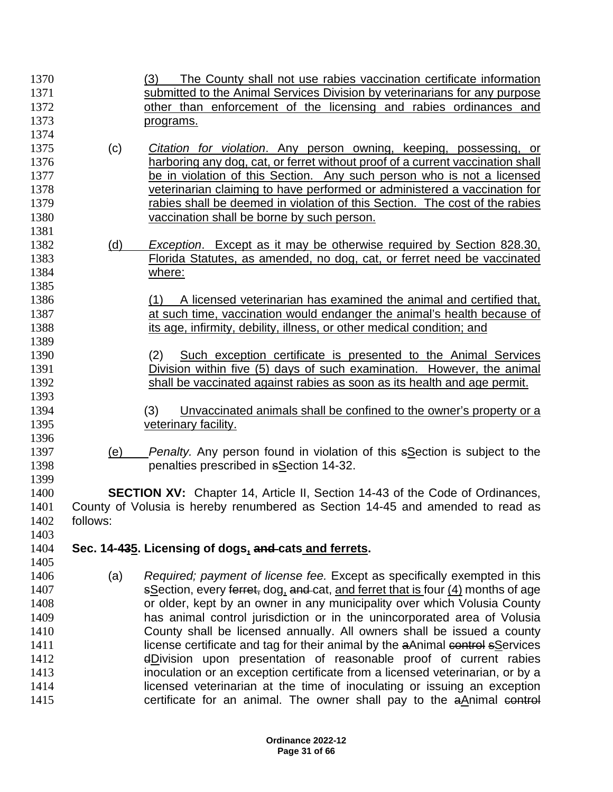| 1370 |          | The County shall not use rabies vaccination certificate information<br>(3)          |
|------|----------|-------------------------------------------------------------------------------------|
| 1371 |          | submitted to the Animal Services Division by veterinarians for any purpose          |
| 1372 |          | other than enforcement of the licensing and rabies ordinances and                   |
| 1373 |          | programs.                                                                           |
| 1374 |          |                                                                                     |
| 1375 | (c)      | <i>Citation for violation.</i> Any person owning, keeping, possessing, or           |
| 1376 |          | harboring any dog, cat, or ferret without proof of a current vaccination shall      |
| 1377 |          | be in violation of this Section. Any such person who is not a licensed              |
| 1378 |          | veterinarian claiming to have performed or administered a vaccination for           |
| 1379 |          | rabies shall be deemed in violation of this Section. The cost of the rabies         |
| 1380 |          | vaccination shall be borne by such person.                                          |
| 1381 |          |                                                                                     |
| 1382 | (d)      | <b>Exception.</b> Except as it may be otherwise required by Section 828.30,         |
| 1383 |          | Florida Statutes, as amended, no dog, cat, or ferret need be vaccinated             |
| 1384 |          | where:                                                                              |
| 1385 |          |                                                                                     |
| 1386 |          | A licensed veterinarian has examined the animal and certified that.<br>(1)          |
| 1387 |          | at such time, vaccination would endanger the animal's health because of             |
| 1388 |          | its age, infirmity, debility, illness, or other medical condition; and              |
| 1389 |          |                                                                                     |
| 1390 |          | Such exception certificate is presented to the Animal Services<br>(2)               |
| 1391 |          | Division within five (5) days of such examination. However, the animal              |
| 1392 |          | shall be vaccinated against rabies as soon as its health and age permit.            |
| 1393 |          |                                                                                     |
| 1394 |          | (3)<br>Unvaccinated animals shall be confined to the owner's property or a          |
| 1395 |          | veterinary facility.                                                                |
| 1396 |          |                                                                                     |
| 1397 | (e)      | <i>Penalty.</i> Any person found in violation of this sSection is subject to the    |
| 1398 |          | penalties prescribed in sSection 14-32.                                             |
| 1399 |          |                                                                                     |
| 1400 |          | <b>SECTION XV:</b> Chapter 14, Article II, Section 14-43 of the Code of Ordinances, |
| 1401 |          | County of Volusia is hereby renumbered as Section 14-45 and amended to read as      |
| 1402 | follows: |                                                                                     |
| 1403 |          |                                                                                     |
| 1404 |          | Sec. 14-435. Licensing of dogs, and cats and ferrets.                               |
| 1405 |          |                                                                                     |
| 1406 | (a)      | Required; payment of license fee. Except as specifically exempted in this           |
| 1407 |          | sSection, every ferret, dog, and cat, and ferret that is four (4) months of age     |
| 1408 |          | or older, kept by an owner in any municipality over which Volusia County            |
| 1409 |          | has animal control jurisdiction or in the unincorporated area of Volusia            |
| 1410 |          | County shall be licensed annually. All owners shall be issued a county              |
| 1411 |          | license certificate and tag for their animal by the aAnimal control sServices       |
| 1412 |          | dDivision upon presentation of reasonable proof of current rabies                   |
| 1413 |          | inoculation or an exception certificate from a licensed veterinarian, or by a       |
| 1414 |          | licensed veterinarian at the time of inoculating or issuing an exception            |
| 1415 |          | certificate for an animal. The owner shall pay to the aAnimal control               |
|      |          |                                                                                     |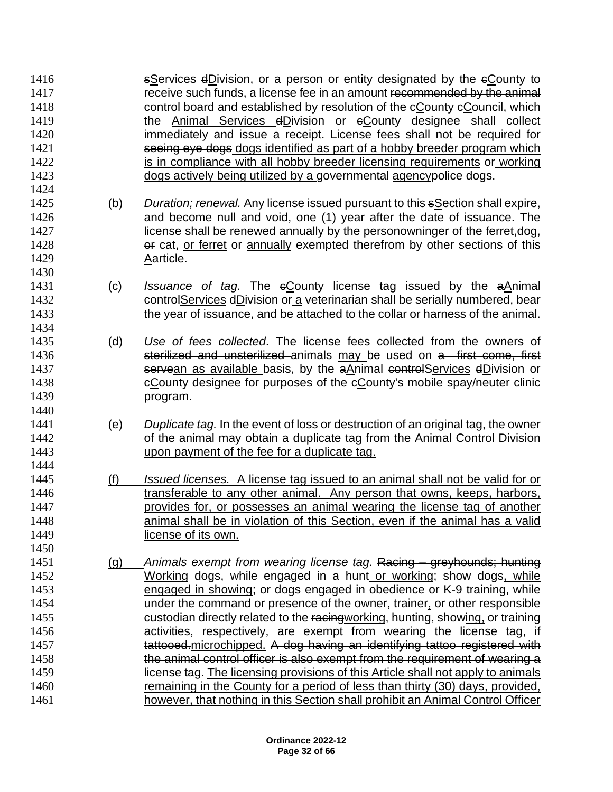sServices dDivision, or a person or entity designated by the cCounty to 1417 receive such funds, a license fee in an amount recommended by the animal **EXECO CONTROL BOARD AND EXAMPLE 2018 CONTROLLY CONTROLLY CONTROLLY CONTROLLY CONTROLLY CONTROLLY CONTROLLY the Animal Services dDivision or eCounty designee shall collect**  immediately and issue a receipt. License fees shall not be required for 1421 seeing eye dogs dogs identified as part of a hobby breeder program which 1422 is in compliance with all hobby breeder licensing requirements or working 1423 dogs actively being utilized by a governmental agencypolice dogs. 

 (b) *Duration; renewal.* Any license issued pursuant to this sSection shall expire, and become null and void, one (1) year after the date of issuance. The 1427 license shall be renewed annually by the personowninger of the ferret,dog, **or cat, or ferret or annually exempted therefrom by other sections of this** Aarticle.

- (c) *Issuance of tag.* The cCounty license tag issued by the aAnimal **controlServices dDivision or a veterinarian shall be serially numbered, bear** the year of issuance, and be attached to the collar or harness of the animal.
- (d) *Use of fees collected*. The license fees collected from the owners of **Sterilized and unsterilized** animals may be used on a first come, first **Servean as available basis, by the aAnimal controlServices dDivision or ECounty designee for purposes of the eCounty's mobile spay/neuter clinic** program.
- (e) *Duplicate tag.* In the event of loss or destruction of an original tag, the owner **of the animal may obtain a duplicate tag from the Animal Control Division** upon payment of the fee for a duplicate tag.
- (f) *Issued licenses.* A license tag issued to an animal shall not be valid for or transferable to any other animal. Any person that owns, keeps, harbors, provides for, or possesses an animal wearing the license tag of another animal shall be in violation of this Section, even if the animal has a valid **license of its own.**
- (g) *Animals exempt from wearing license tag.* Racing greyhounds; hunting Working dogs, while engaged in a hunt or working; show dogs, while engaged in showing; or dogs engaged in obedience or K-9 training, while under the command or presence of the owner, trainer, or other responsible custodian directly related to the racingworking, hunting, showing, or training **activities**, respectively, are exempt from wearing the license tag, if 1457 tattooed.microchipped. A dog having an identifying tattoo registered with 1458 the animal control officer is also exempt from the requirement of wearing a 1459 license tag. The licensing provisions of this Article shall not apply to animals remaining in the County for a period of less than thirty (30) days, provided, however, that nothing in this Section shall prohibit an Animal Control Officer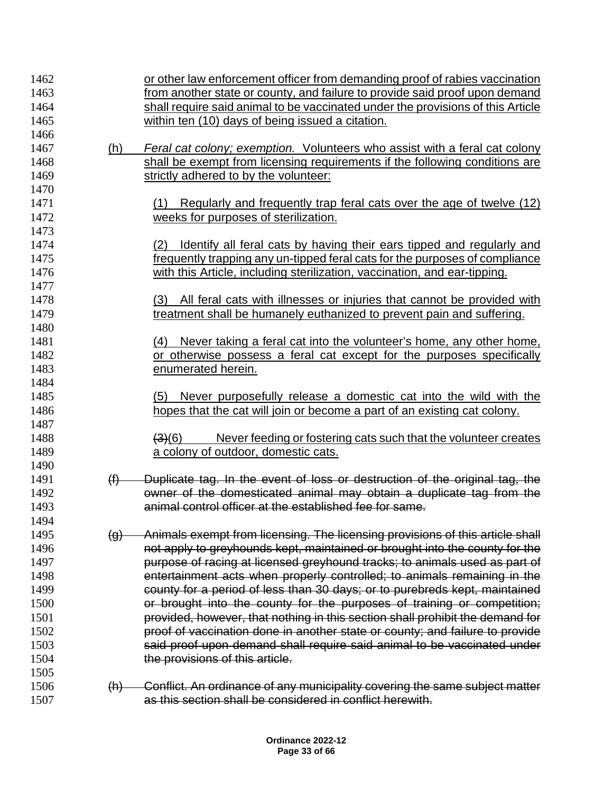| 1462 |                    | or other law enforcement officer from demanding proof of rabies vaccination         |
|------|--------------------|-------------------------------------------------------------------------------------|
| 1463 |                    | from another state or county, and failure to provide said proof upon demand         |
| 1464 |                    | shall require said animal to be vaccinated under the provisions of this Article     |
| 1465 |                    | within ten (10) days of being issued a citation.                                    |
| 1466 |                    |                                                                                     |
| 1467 | (h)                | Feral cat colony; exemption. Volunteers who assist with a feral cat colony          |
| 1468 |                    | shall be exempt from licensing requirements if the following conditions are         |
| 1469 |                    | strictly adhered to by the volunteer:                                               |
| 1470 |                    |                                                                                     |
| 1471 |                    | Regularly and frequently trap feral cats over the age of twelve (12)<br>(1)         |
| 1472 |                    | weeks for purposes of sterilization.                                                |
| 1473 |                    |                                                                                     |
| 1474 |                    | <u>Identify all feral cats by having their ears tipped and regularly and</u><br>(2) |
| 1475 |                    | frequently trapping any un-tipped feral cats for the purposes of compliance         |
| 1476 |                    | with this Article, including sterilization, vaccination, and ear-tipping.           |
| 1477 |                    |                                                                                     |
| 1478 |                    | All feral cats with illnesses or injuries that cannot be provided with<br>(3)       |
| 1479 |                    | treatment shall be humanely euthanized to prevent pain and suffering.               |
| 1480 |                    |                                                                                     |
| 1481 |                    | (4) Never taking a feral cat into the volunteer's home, any other home,             |
| 1482 |                    | or otherwise possess a feral cat except for the purposes specifically               |
| 1483 |                    | enumerated herein.                                                                  |
| 1484 |                    |                                                                                     |
| 1485 |                    | Never purposefully release a domestic cat into the wild with the<br>(5)             |
| 1486 |                    | hopes that the cat will join or become a part of an existing cat colony.            |
| 1487 |                    |                                                                                     |
| 1488 |                    | Never feeding or fostering cats such that the volunteer creates<br>(3)(6)           |
| 1489 |                    | a colony of outdoor, domestic cats.                                                 |
| 1490 |                    |                                                                                     |
| 1491 | (f)                | Duplicate tag. In the event of loss or destruction of the original tag, the         |
| 1492 |                    | owner of the domesticated animal may obtain a duplicate tag from the                |
| 1493 |                    | animal control officer at the established fee for same.                             |
| 1494 |                    |                                                                                     |
| 1495 | $\left( 9 \right)$ | Animals exempt from licensing. The licensing provisions of this article shall       |
| 1496 |                    | not apply to greyhounds kept, maintained or brought into the county for the         |
| 1497 |                    | purpose of racing at licensed greyhound tracks; to animals used as part of          |
| 1498 |                    | entertainment acts when properly controlled; to animals remaining in the            |
| 1499 |                    | county for a period of less than 30 days; or to purebreds kept, maintained          |
| 1500 |                    | or brought into the county for the purposes of training or competition;             |
| 1501 |                    | provided, however, that nothing in this section shall prohibit the demand for       |
| 1502 |                    | proof of vaccination done in another state or county; and failure to provide        |
| 1503 |                    | said proof upon demand shall require said animal to be vaccinated under             |
| 1504 |                    | the provisions of this article.                                                     |
| 1505 |                    |                                                                                     |
| 1506 | (h)                | Conflict. An ordinance of any municipality covering the same subject matter         |
| 1507 |                    | as this section shall be considered in conflict herewith.                           |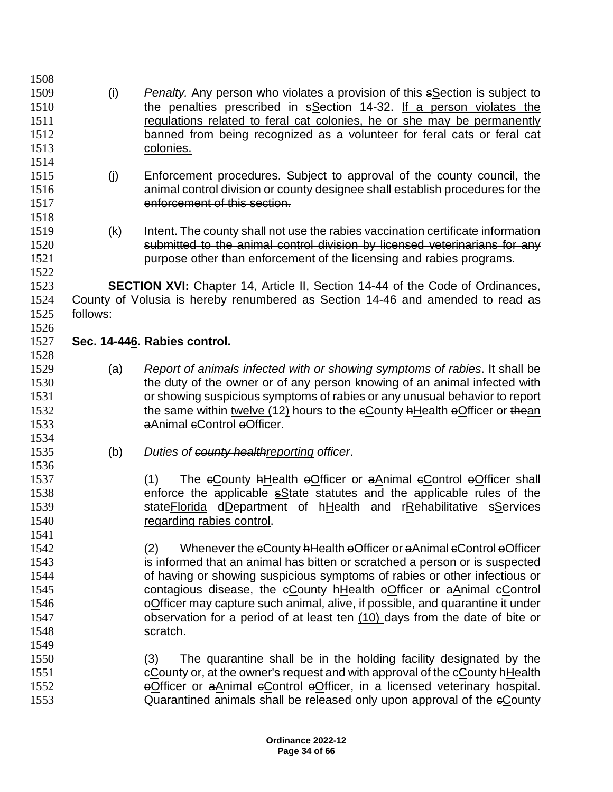| 1508 |          |                                                                                      |
|------|----------|--------------------------------------------------------------------------------------|
| 1509 | (i)      | <i>Penalty.</i> Any person who violates a provision of this sSection is subject to   |
| 1510 |          | the penalties prescribed in sSection 14-32. If a person violates the                 |
| 1511 |          | regulations related to feral cat colonies, he or she may be permanently              |
| 1512 |          | banned from being recognized as a volunteer for feral cats or feral cat              |
| 1513 |          | colonies.                                                                            |
| 1514 |          |                                                                                      |
| 1515 | $\theta$ | Enforcement procedures. Subject to approval of the county council, the               |
| 1516 |          | animal control division or county designee shall establish procedures for the        |
| 1517 |          | enforcement of this section.                                                         |
| 1518 |          |                                                                                      |
| 1519 |          | Intent. The county shall not use the rabies vaccination certificate information      |
|      | (k)      |                                                                                      |
| 1520 |          | submitted to the animal control division by licensed veterinarians for any           |
| 1521 |          | purpose other than enforcement of the licensing and rabies programs.                 |
| 1522 |          |                                                                                      |
| 1523 |          | <b>SECTION XVI:</b> Chapter 14, Article II, Section 14-44 of the Code of Ordinances, |
| 1524 |          | County of Volusia is hereby renumbered as Section 14-46 and amended to read as       |
| 1525 | follows: |                                                                                      |
| 1526 |          |                                                                                      |
| 1527 |          | Sec. 14-446. Rabies control.                                                         |
| 1528 |          |                                                                                      |
| 1529 | (a)      | Report of animals infected with or showing symptoms of rabies. It shall be           |
| 1530 |          | the duty of the owner or of any person knowing of an animal infected with            |
| 1531 |          | or showing suspicious symptoms of rabies or any unusual behavior to report           |
| 1532 |          | the same within twelve (12) hours to the eCounty <b>hHealth</b> a Officer or the an  |
| 1533 |          | aAnimal eControl eOfficer.                                                           |
| 1534 |          |                                                                                      |
| 1535 | (b)      | Duties of county healthreporting officer.                                            |
| 1536 |          |                                                                                      |
| 1537 |          | The eCounty hHealth eOfficer or aAnimal eControl eOfficer shall<br>(1)               |
| 1538 |          | enforce the applicable solate statutes and the applicable rules of the               |
| 1539 |          | state Florida dDepartment of hHealth and FRehabilitative sServices                   |
| 1540 |          | regarding rabies control.                                                            |
| 1541 |          |                                                                                      |
| 1542 |          | Whenever the eCounty hHealth oOfficer or aAnimal eControl oOfficer<br>(2)            |
| 1543 |          | is informed that an animal has bitten or scratched a person or is suspected          |
| 1544 |          | of having or showing suspicious symptoms of rabies or other infectious or            |
| 1545 |          | contagious disease, the eCounty hHealth eOfficer or aAnimal eControl                 |
| 1546 |          | eOfficer may capture such animal, alive, if possible, and quarantine it under        |
| 1547 |          | observation for a period of at least ten (10) days from the date of bite or          |
| 1548 |          | scratch.                                                                             |
| 1549 |          |                                                                                      |
| 1550 |          | (3)<br>The quarantine shall be in the holding facility designated by the             |
| 1551 |          | eCounty or, at the owner's request and with approval of the eCounty hHealth          |
| 1552 |          | eOfficer or aAnimal eControl eOfficer, in a licensed veterinary hospital.            |
| 1553 |          | Quarantined animals shall be released only upon approval of the eCounty              |
|      |          |                                                                                      |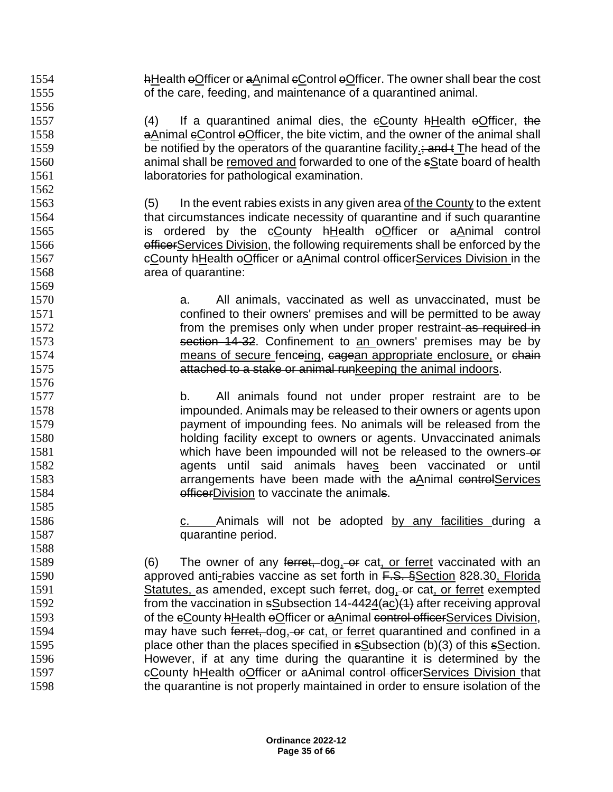1554 hHealth eOfficer or aAnimal eControl eOfficer. The owner shall bear the cost of the care, feeding, and maintenance of a quarantined animal. 1557 (4) If a quarantined animal dies, the eCounty hHealth eOfficer, the **a**Animal eControl eOfficer, the bite victim, and the owner of the animal shall 1559 be notified by the operators of the quarantine facility  $\frac{1}{2}$ ; and  $\frac{1}{2}$  The head of the animal shall be removed and forwarded to one of the sState board of health 1561 laboratories for pathological examination. (5) In the event rabies exists in any given area of the County to the extent that circumstances indicate necessity of quarantine and if such quarantine 1565 is ordered by the eCounty hHealth eOfficer or aAnimal control **officerServices Division, the following requirements shall be enforced by the** 1567 cCounty hHealth oOfficer or aAnimal control officerServices Division in the area of quarantine: a. All animals, vaccinated as well as unvaccinated, must be confined to their owners' premises and will be permitted to be away **from the premises only when under proper restraint as required in**  section 14-32. Confinement to an owners' premises may be by 1574 means of secure fenceing, cagean appropriate enclosure, or chain attached to a stake or animal runkeeping the animal indoors. b. All animals found not under proper restraint are to be impounded. Animals may be released to their owners or agents upon payment of impounding fees. No animals will be released from the holding facility except to owners or agents. Unvaccinated animals 1581 which have been impounded will not be released to the owners-or **agents** until said animals haves been vaccinated or until arrangements have been made with the aAnimal controlServices **officerDivision to vaccinate the animals.**  1586 c. Animals will not be adopted by any facilities during a quarantine period. 1588<br>1589 ) The owner of any ferret, dog, or cat, or ferret vaccinated with an **approved anti-rabies vaccine as set forth in F.S. §Section 828.30, Florida** 1591 Statutes, as amended, except such ferret, dog, or cat, or ferret exempted 1592 from the vaccination in sSubsection 14-4424(ac)(1) after receiving approval 1593 of the eCounty hHealth eOfficer or aAnimal control officerServices Division, 1594 may have such  $\overline{f}_{\text{erret}, \text{dog}, -\text{or cat}, \text{or ferret}}$  quarantined and confined in a place other than the places specified in sSubsection (b)(3) of this sSection. However, if at any time during the quarantine it is determined by the **cCounty AHealth eOfficer or aAnimal control officerServices Division that** the quarantine is not properly maintained in order to ensure isolation of the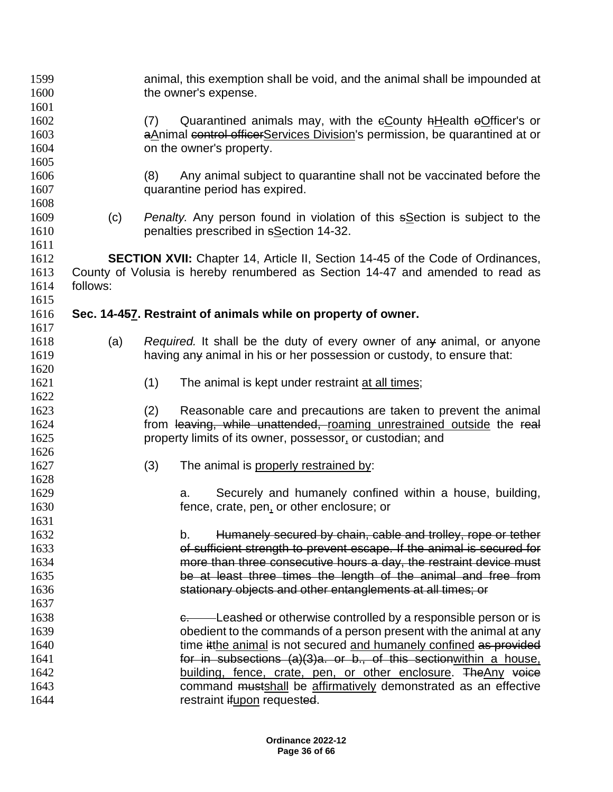| 1599<br>1600 |          |                                                                             | animal, this exemption shall be void, and the animal shall be impounded at<br>the owner's expense. |  |  |  |  |
|--------------|----------|-----------------------------------------------------------------------------|----------------------------------------------------------------------------------------------------|--|--|--|--|
| 1601         |          |                                                                             |                                                                                                    |  |  |  |  |
| 1602         |          | Quarantined animals may, with the eCounty hHealth eOfficer's or<br>(7)      |                                                                                                    |  |  |  |  |
| 1603         |          | aAnimal control officerServices Division's permission, be quarantined at or |                                                                                                    |  |  |  |  |
| 1604         |          | on the owner's property.                                                    |                                                                                                    |  |  |  |  |
| 1605         |          |                                                                             |                                                                                                    |  |  |  |  |
| 1606         |          | (8)                                                                         | Any animal subject to quarantine shall not be vaccinated before the                                |  |  |  |  |
| 1607         |          |                                                                             | quarantine period has expired.                                                                     |  |  |  |  |
| 1608         |          |                                                                             |                                                                                                    |  |  |  |  |
| 1609         | (c)      |                                                                             | <i>Penalty.</i> Any person found in violation of this s <b>Section</b> is subject to the           |  |  |  |  |
| 1610         |          |                                                                             | penalties prescribed in sSection 14-32.                                                            |  |  |  |  |
| 1611         |          |                                                                             |                                                                                                    |  |  |  |  |
| 1612<br>1613 |          |                                                                             | <b>SECTION XVII:</b> Chapter 14, Article II, Section 14-45 of the Code of Ordinances,              |  |  |  |  |
| 1614         | follows: |                                                                             | County of Volusia is hereby renumbered as Section 14-47 and amended to read as                     |  |  |  |  |
| 1615         |          |                                                                             |                                                                                                    |  |  |  |  |
| 1616         |          |                                                                             | Sec. 14-457. Restraint of animals while on property of owner.                                      |  |  |  |  |
| 1617         |          |                                                                             |                                                                                                    |  |  |  |  |
| 1618         | (a)      |                                                                             | Required. It shall be the duty of every owner of any animal, or anyone                             |  |  |  |  |
| 1619         |          |                                                                             | having any animal in his or her possession or custody, to ensure that:                             |  |  |  |  |
| 1620         |          |                                                                             |                                                                                                    |  |  |  |  |
| 1621         |          | (1)                                                                         | The animal is kept under restraint at all times;                                                   |  |  |  |  |
| 1622         |          |                                                                             |                                                                                                    |  |  |  |  |
| 1623         |          | (2)                                                                         | Reasonable care and precautions are taken to prevent the animal                                    |  |  |  |  |
| 1624         |          |                                                                             | from leaving, while unattended, roaming unrestrained outside the real                              |  |  |  |  |
| 1625         |          |                                                                             | property limits of its owner, possessor, or custodian; and                                         |  |  |  |  |
| 1626         |          |                                                                             |                                                                                                    |  |  |  |  |
| 1627         |          | (3)                                                                         | The animal is properly restrained by:                                                              |  |  |  |  |
| 1628         |          |                                                                             |                                                                                                    |  |  |  |  |
| 1629         |          |                                                                             | Securely and humanely confined within a house, building,<br>a.                                     |  |  |  |  |
| 1630         |          |                                                                             | fence, crate, pen, or other enclosure; or                                                          |  |  |  |  |
| 1631         |          |                                                                             |                                                                                                    |  |  |  |  |
| 1632         |          |                                                                             | Humanely secured by chain, cable and trolley, rope or tether<br>b.                                 |  |  |  |  |
| 1633         |          |                                                                             | of sufficient strength to prevent escape. If the animal is secured for                             |  |  |  |  |
| 1634         |          |                                                                             | more than three consecutive hours a day, the restraint device must                                 |  |  |  |  |
| 1635         |          |                                                                             | be at least three times the length of the animal and free from                                     |  |  |  |  |
| 1636         |          |                                                                             | stationary objects and other entanglements at all times; or                                        |  |  |  |  |
| 1637         |          |                                                                             |                                                                                                    |  |  |  |  |
| 1638         |          |                                                                             | e. Leashed or otherwise controlled by a responsible person or is                                   |  |  |  |  |
| 1639         |          |                                                                             | obedient to the commands of a person present with the animal at any                                |  |  |  |  |
| 1640         |          |                                                                             | time itthe animal is not secured and humanely confined as provided                                 |  |  |  |  |
| 1641         |          |                                                                             | for in subsections (a)(3)a. or b., of this section within a house,                                 |  |  |  |  |
| 1642         |          |                                                                             | building, fence, crate, pen, or other enclosure. The Any voice                                     |  |  |  |  |
| 1643         |          |                                                                             | command mustshall be affirmatively demonstrated as an effective                                    |  |  |  |  |
| 1644         |          |                                                                             | restraint ifupon requested.                                                                        |  |  |  |  |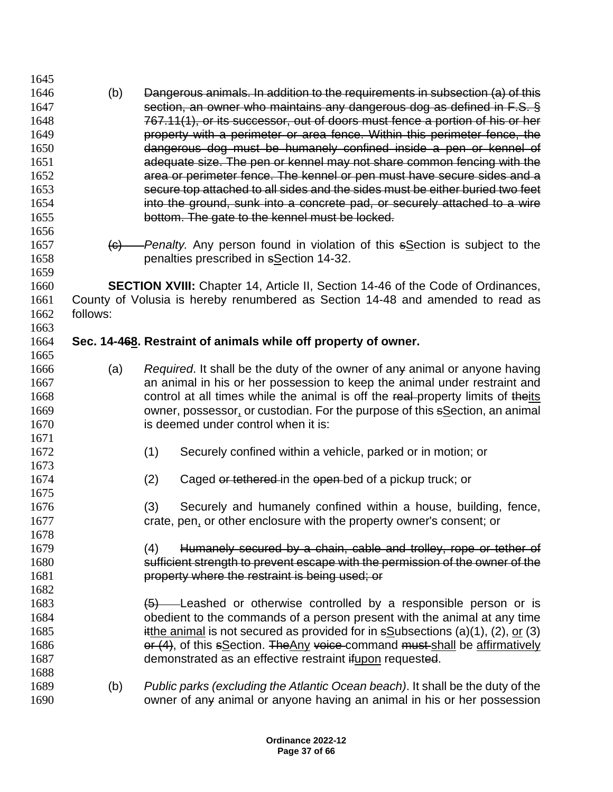| 1645 |          |                                                                                            |
|------|----------|--------------------------------------------------------------------------------------------|
| 1646 | (b)      | Dangerous animals. In addition to the requirements in subsection (a) of this               |
| 1647 |          | section, an owner who maintains any dangerous dog as defined in F.S. §                     |
| 1648 |          | 767.11(1), or its successor, out of doors must fence a portion of his or her               |
| 1649 |          | property with a perimeter or area fence. Within this perimeter fence, the                  |
| 1650 |          | dangerous dog must be humanely confined inside a pen or kennel of                          |
| 1651 |          | adequate size. The pen or kennel may not share common fencing with the                     |
| 1652 |          | area or perimeter fence. The kennel or pen must have secure sides and a                    |
| 1653 |          | secure top attached to all sides and the sides must be either buried two feet              |
| 1654 |          | into the ground, sunk into a concrete pad, or securely attached to a wire                  |
| 1655 |          | bottom. The gate to the kennel must be locked.                                             |
| 1656 |          |                                                                                            |
| 1657 |          | $\frac{1}{10}$ - Penalty. Any person found in violation of this sSection is subject to the |
| 1658 |          | penalties prescribed in sSection 14-32.                                                    |
| 1659 |          |                                                                                            |
| 1660 |          | SECTION XVIII: Chapter 14, Article II, Section 14-46 of the Code of Ordinances,            |
| 1661 |          | County of Volusia is hereby renumbered as Section 14-48 and amended to read as             |
| 1662 | follows: |                                                                                            |
| 1663 |          |                                                                                            |
| 1664 |          | Sec. 14-468. Restraint of animals while off property of owner.                             |
| 1665 |          |                                                                                            |
| 1666 | (a)      | Required. It shall be the duty of the owner of any animal or anyone having                 |
| 1667 |          | an animal in his or her possession to keep the animal under restraint and                  |
| 1668 |          | control at all times while the animal is off the real-property limits of theits            |
| 1669 |          | owner, possessor, or custodian. For the purpose of this sSection, an animal                |
| 1670 |          | is deemed under control when it is:                                                        |
| 1671 |          |                                                                                            |
| 1672 |          | (1)<br>Securely confined within a vehicle, parked or in motion; or                         |
| 1673 |          |                                                                                            |
| 1674 |          | (2)<br>Caged or tethered in the open-bed of a pickup truck; or                             |
| 1675 |          |                                                                                            |
| 1676 |          | (3)<br>Securely and humanely confined within a house, building, fence,                     |
| 1677 |          | crate, pen, or other enclosure with the property owner's consent; or                       |
| 1678 |          |                                                                                            |
| 1679 |          | Humanely secured by a chain, cable and trolley, rope or tether of<br>(4)                   |
| 1680 |          | sufficient strength to prevent escape with the permission of the owner of the              |
| 1681 |          | property where the restraint is being used; or                                             |
| 1682 |          |                                                                                            |
| 1683 |          | $\frac{1}{2}$ Leashed or otherwise controlled by a responsible person or is                |
| 1684 |          | obedient to the commands of a person present with the animal at any time                   |
| 1685 |          | itthe animal is not secured as provided for in $s\text{Subsections}$ (a)(1), (2), or (3)   |
| 1686 |          | or (4), of this sSection. The Any voice command must shall be affirmatively                |
| 1687 |          | demonstrated as an effective restraint if upon requested.                                  |
| 1688 |          |                                                                                            |
| 1689 | (b)      | Public parks (excluding the Atlantic Ocean beach). It shall be the duty of the             |
| 1690 |          | owner of any animal or anyone having an animal in his or her possession                    |
|      |          |                                                                                            |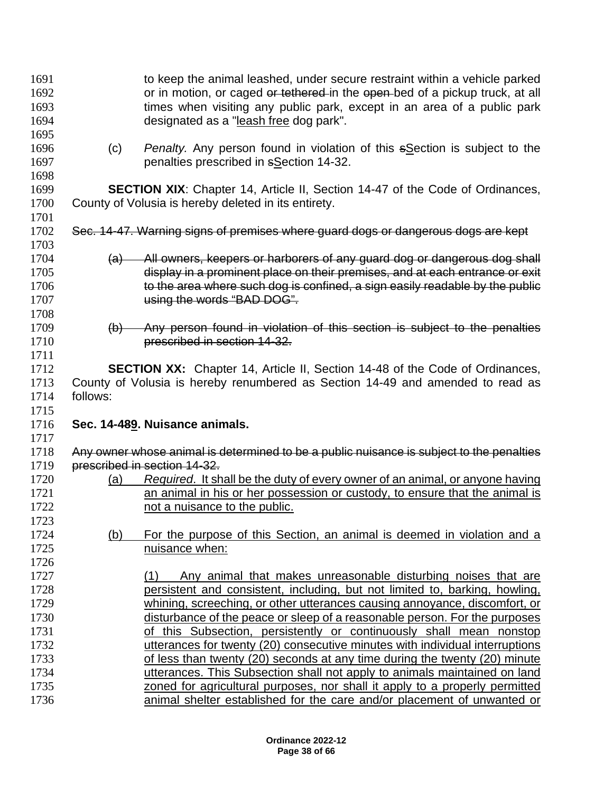| 1691<br>1692<br>1693                 |                | to keep the animal leashed, under secure restraint within a vehicle parked<br>or in motion, or caged or tethered in the open-bed of a pickup truck, at all<br>times when visiting any public park, except in an area of a public park                                  |
|--------------------------------------|----------------|------------------------------------------------------------------------------------------------------------------------------------------------------------------------------------------------------------------------------------------------------------------------|
| 1694<br>1695                         |                | designated as a "leash free dog park".                                                                                                                                                                                                                                 |
| 1696<br>1697<br>1698                 | (c)            | <i>Penalty.</i> Any person found in violation of this section is subject to the<br>penalties prescribed in sSection 14-32.                                                                                                                                             |
| 1699                                 |                | <b>SECTION XIX:</b> Chapter 14, Article II, Section 14-47 of the Code of Ordinances,                                                                                                                                                                                   |
| 1700<br>1701                         |                | County of Volusia is hereby deleted in its entirety.                                                                                                                                                                                                                   |
| 1702<br>1703                         |                | Sec. 14-47. Warning signs of premises where guard dogs or dangerous dogs are kept                                                                                                                                                                                      |
| 1704<br>1705<br>1706<br>1707<br>1708 | <del>(a)</del> | All owners, keepers or harborers of any guard dog or dangerous dog shall<br>display in a prominent place on their premises, and at each entrance or exit<br>to the area where such dog is confined, a sign easily readable by the public<br>using the words "BAD DOG". |
| 1709<br>1710<br>1711                 | (b)            | Any person found in violation of this section is subject to the penalties<br>prescribed in section 14-32.                                                                                                                                                              |
| 1712<br>1713<br>1714<br>1715         | follows:       | <b>SECTION XX:</b> Chapter 14, Article II, Section 14-48 of the Code of Ordinances,<br>County of Volusia is hereby renumbered as Section 14-49 and amended to read as                                                                                                  |
| 1716<br>1717                         |                | Sec. 14-489. Nuisance animals.                                                                                                                                                                                                                                         |
| 1718<br>1719                         |                | Any owner whose animal is determined to be a public nuisance is subject to the penalties<br>prescribed in section 14-32.                                                                                                                                               |
| 1720<br>1721<br>1722<br>1723         | (a)            | Required. It shall be the duty of every owner of an animal, or anyone having<br>an animal in his or her possession or custody, to ensure that the animal is<br><u>not a nuisance to the public.</u>                                                                    |
| 1724<br>1725<br>1726                 | (b)            | For the purpose of this Section, an animal is deemed in violation and a<br>nuisance when:                                                                                                                                                                              |
| 1727                                 |                | Any animal that makes unreasonable disturbing noises that are<br>(1)                                                                                                                                                                                                   |
| 1728<br>1729                         |                | persistent and consistent, including, but not limited to, barking, howling,<br>whining, screeching, or other utterances causing annoyance, discomfort, or                                                                                                              |
| 1730                                 |                | disturbance of the peace or sleep of a reasonable person. For the purposes                                                                                                                                                                                             |
| 1731                                 |                | of this Subsection, persistently or continuously shall mean nonstop                                                                                                                                                                                                    |
| 1732                                 |                | utterances for twenty (20) consecutive minutes with individual interruptions                                                                                                                                                                                           |
| 1733                                 |                | of less than twenty (20) seconds at any time during the twenty (20) minute                                                                                                                                                                                             |
| 1734                                 |                | utterances. This Subsection shall not apply to animals maintained on land                                                                                                                                                                                              |
| 1735                                 |                | zoned for agricultural purposes, nor shall it apply to a properly permitted                                                                                                                                                                                            |
| 1736                                 |                | animal shelter established for the care and/or placement of unwanted or                                                                                                                                                                                                |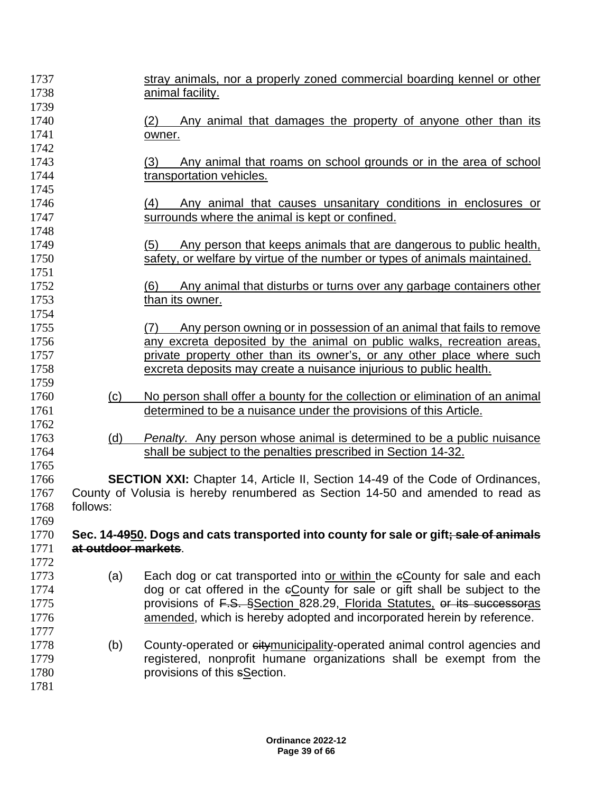| 1737 |                     | stray animals, nor a properly zoned commercial boarding kennel or other               |
|------|---------------------|---------------------------------------------------------------------------------------|
| 1738 |                     | animal facility.                                                                      |
| 1739 |                     |                                                                                       |
| 1740 |                     | Any animal that damages the property of anyone other than its<br>(2)                  |
| 1741 |                     | owner.                                                                                |
| 1742 |                     |                                                                                       |
| 1743 |                     | Any animal that roams on school grounds or in the area of school<br>(3)               |
| 1744 |                     | transportation vehicles.                                                              |
| 1745 |                     |                                                                                       |
| 1746 |                     | Any animal that causes unsanitary conditions in enclosures or<br>(4)                  |
| 1747 |                     | surrounds where the animal is kept or confined.                                       |
| 1748 |                     |                                                                                       |
| 1749 |                     | Any person that keeps animals that are dangerous to public health,<br>(5)             |
| 1750 |                     | safety, or welfare by virtue of the number or types of animals maintained.            |
| 1751 |                     |                                                                                       |
| 1752 |                     | Any animal that disturbs or turns over any garbage containers other<br>(6)            |
| 1753 |                     | than its owner.                                                                       |
| 1754 |                     |                                                                                       |
| 1755 |                     | Any person owning or in possession of an animal that fails to remove<br>(7)           |
| 1756 |                     | any excreta deposited by the animal on public walks, recreation areas,                |
| 1757 |                     | private property other than its owner's, or any other place where such                |
| 1758 |                     | excreta deposits may create a nuisance injurious to public health.                    |
| 1759 |                     |                                                                                       |
| 1760 | (c)                 | No person shall offer a bounty for the collection or elimination of an animal         |
| 1761 |                     | determined to be a nuisance under the provisions of this Article.                     |
| 1762 |                     |                                                                                       |
| 1763 | (d)                 | <i>Penalty.</i> Any person whose animal is determined to be a public nuisance         |
| 1764 |                     | shall be subject to the penalties prescribed in Section 14-32.                        |
| 1765 |                     |                                                                                       |
| 1766 |                     | <b>SECTION XXI:</b> Chapter 14, Article II, Section 14-49 of the Code of Ordinances,  |
| 1767 |                     | County of Volusia is hereby renumbered as Section 14-50 and amended to read as        |
| 1768 | follows:            |                                                                                       |
| 1769 |                     |                                                                                       |
| 1770 |                     | Sec. 14-4950. Dogs and cats transported into county for sale or gift; sale of animals |
| 1771 | at outdoor markets. |                                                                                       |
| 1772 |                     |                                                                                       |
| 1773 | (a)                 | Each dog or cat transported into or within the eCounty for sale and each              |
| 1774 |                     | dog or cat offered in the eCounty for sale or gift shall be subject to the            |
| 1775 |                     | provisions of F.S. §Section 828.29, Florida Statutes, or its successoras              |
| 1776 |                     | amended, which is hereby adopted and incorporated herein by reference.                |
| 1777 |                     |                                                                                       |
| 1778 | (b)                 | County-operated or citymunicipality-operated animal control agencies and              |
| 1779 |                     | registered, nonprofit humane organizations shall be exempt from the                   |
| 1780 |                     | provisions of this sSection.                                                          |
| 1781 |                     |                                                                                       |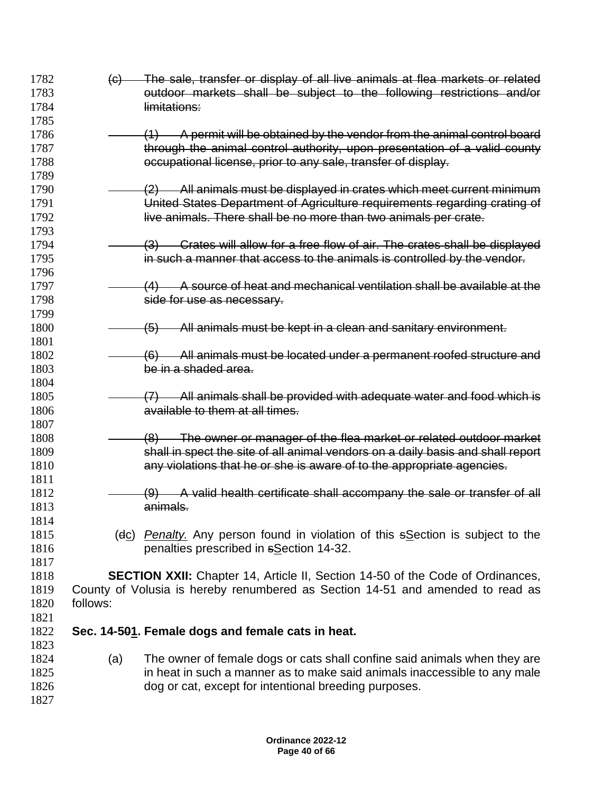1782 (c) The sale, transfer or display of all live animals at flea markets or related **butdoor markets shall be subject to the following restrictions and/or limitations:**  (1) A permit will be obtained by the vendor from the animal control board 1787 through the animal control authority, upon presentation of a valid county **Example 20 occupational license, prior to any sale, transfer of display. (2)** All animals must be displayed in crates which meet current minimum United States Department of Agriculture requirements regarding crating of **live animals. There shall be no more than two animals per crate. 1794** (3) Crates will allow for a free flow of air. The crates shall be displayed in such a manner that access to the animals is controlled by the vendor. **1797** (4) A source of heat and mechanical ventilation shall be available at the **side for use as necessary. (5)** All animals must be kept in a clean and sanitary environment. **1802** (6) All animals must be located under a permanent roofed structure and be in a shaded area. 1805 (7) All animals shall be provided with adequate water and food which is **available to them at all times.**  1808 (8) The owner or manager of the flea market or related outdoor market shall in spect the site of all animal vendors on a daily basis and shall report **any violations that he or she is aware of to the appropriate agencies. (9)** A valid health certificate shall accompany the sale or transfer of all animals. (dc) *Penalty.* Any person found in violation of this sSection is subject to the penalties prescribed in sSection 14-32. **SECTION XXII:** Chapter 14, Article II, Section 14-50 of the Code of Ordinances, County of Volusia is hereby renumbered as Section 14-51 and amended to read as follows: **Sec. 14-501. Female dogs and female cats in heat.** (a) The owner of female dogs or cats shall confine said animals when they are in heat in such a manner as to make said animals inaccessible to any male 1826 dog or cat, except for intentional breeding purposes.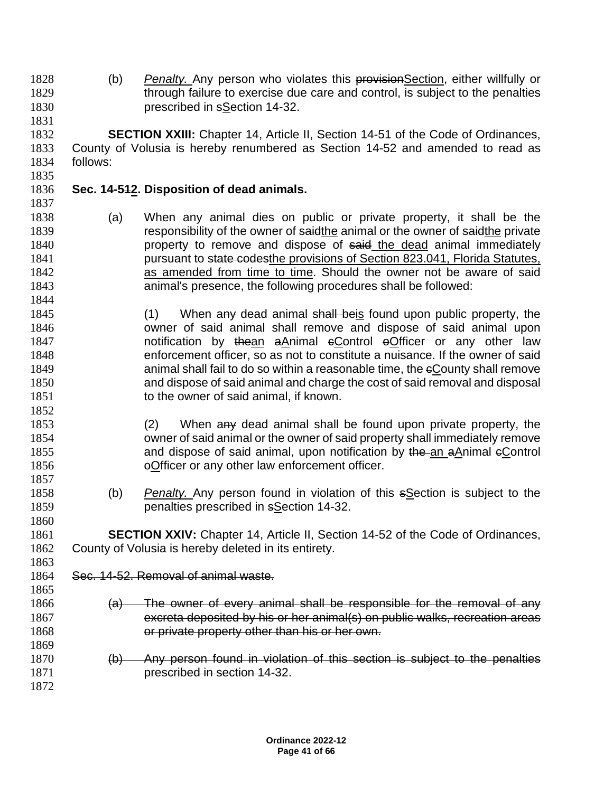(b) *Penalty.* Any person who violates this provisionSection, either willfully or 1829 through failure to exercise due care and control, is subject to the penalties prescribed in sSection 14-32.

 **SECTION XXIII:** Chapter 14, Article II, Section 14-51 of the Code of Ordinances, County of Volusia is hereby renumbered as Section 14-52 and amended to read as follows: 

## **Sec. 14-512. Disposition of dead animals.**

- (a) When any animal dies on public or private property, it shall be the 1839 responsibility of the owner of saidthe animal or the owner of saidthe private **property to remove and dispose of said the dead animal immediately pursuant to state codesthe provisions of Section 823.041, Florida Statutes,**  as amended from time to time. Should the owner not be aware of said animal's presence, the following procedures shall be followed:
- 1845 (1) When any dead animal shall beis found upon public property, the owner of said animal shall remove and dispose of said animal upon **notification by thean aAnimal eControl eOfficer or any other law**  enforcement officer, so as not to constitute a nuisance. If the owner of said **1849** animal shall fail to do so within a reasonable time, the eCounty shall remove and dispose of said animal and charge the cost of said removal and disposal 1851 to the owner of said animal, if known.
- (2) When any dead animal shall be found upon private property, the owner of said animal or the owner of said property shall immediately remove 1855 and dispose of said animal, upon notification by the an aAnimal eControl **or Exercise Section** of the law enforcement officer.
- (b) *Penalty.* Any person found in violation of this sSection is subject to the penalties prescribed in sSection 14-32.

 **SECTION XXIV:** Chapter 14, Article II, Section 14-52 of the Code of Ordinances, County of Volusia is hereby deleted in its entirety.

Sec. 14-52. Removal of animal waste.

- $\left( a\right)$  The owner of every animal shall be responsible for the removal of any excreta deposited by his or her animal(s) on public walks, recreation areas **or private property other than his or her own.**
- 1870 (b) Any person found in violation of this section is subject to the penalties prescribed in section 14-32.
-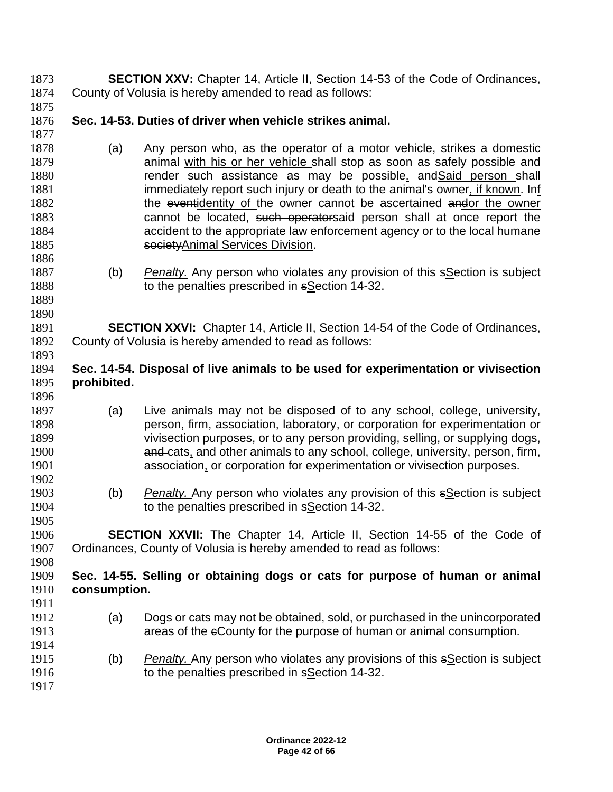| 1873         | <b>SECTION XXV:</b> Chapter 14, Article II, Section 14-53 of the Code of Ordinances, |                                                                                                                                                                |  |  |  |
|--------------|--------------------------------------------------------------------------------------|----------------------------------------------------------------------------------------------------------------------------------------------------------------|--|--|--|
| 1874         | County of Volusia is hereby amended to read as follows:                              |                                                                                                                                                                |  |  |  |
| 1875         |                                                                                      |                                                                                                                                                                |  |  |  |
| 1876         | Sec. 14-53. Duties of driver when vehicle strikes animal.                            |                                                                                                                                                                |  |  |  |
| 1877         |                                                                                      |                                                                                                                                                                |  |  |  |
| 1878         | (a)                                                                                  | Any person who, as the operator of a motor vehicle, strikes a domestic                                                                                         |  |  |  |
| 1879         |                                                                                      | animal with his or her vehicle shall stop as soon as safely possible and                                                                                       |  |  |  |
| 1880         |                                                                                      | render such assistance as may be possible, and Said person shall                                                                                               |  |  |  |
| 1881         |                                                                                      | immediately report such injury or death to the animal's owner, if known. Inf                                                                                   |  |  |  |
| 1882         |                                                                                      | the eventidentity of the owner cannot be ascertained andor the owner                                                                                           |  |  |  |
| 1883         |                                                                                      | cannot be located, such operatorsaid person shall at once report the                                                                                           |  |  |  |
| 1884         |                                                                                      | accident to the appropriate law enforcement agency or to the local humane                                                                                      |  |  |  |
| 1885         |                                                                                      | society Animal Services Division.                                                                                                                              |  |  |  |
| 1886         |                                                                                      |                                                                                                                                                                |  |  |  |
| 1887         | (b)                                                                                  | <b>Penalty.</b> Any person who violates any provision of this sSection is subject                                                                              |  |  |  |
| 1888         |                                                                                      | to the penalties prescribed in sSection 14-32.                                                                                                                 |  |  |  |
| 1889         |                                                                                      |                                                                                                                                                                |  |  |  |
| 1890         |                                                                                      |                                                                                                                                                                |  |  |  |
| 1891         |                                                                                      | <b>SECTION XXVI:</b> Chapter 14, Article II, Section 14-54 of the Code of Ordinances,                                                                          |  |  |  |
| 1892         |                                                                                      | County of Volusia is hereby amended to read as follows:                                                                                                        |  |  |  |
| 1893         |                                                                                      |                                                                                                                                                                |  |  |  |
| 1894         |                                                                                      | Sec. 14-54. Disposal of live animals to be used for experimentation or vivisection                                                                             |  |  |  |
| 1895         | prohibited.                                                                          |                                                                                                                                                                |  |  |  |
| 1896         |                                                                                      |                                                                                                                                                                |  |  |  |
| 1897         | (a)                                                                                  | Live animals may not be disposed of to any school, college, university,                                                                                        |  |  |  |
| 1898         |                                                                                      | person, firm, association, laboratory, or corporation for experimentation or                                                                                   |  |  |  |
| 1899<br>1900 |                                                                                      | vivisection purposes, or to any person providing, selling, or supplying dogs,<br>and cats, and other animals to any school, college, university, person, firm, |  |  |  |
| 1901         |                                                                                      | association, or corporation for experimentation or vivisection purposes.                                                                                       |  |  |  |
| 1902         |                                                                                      |                                                                                                                                                                |  |  |  |
| 1903         | (b)                                                                                  | Penalty. Any person who violates any provision of this sSection is subject                                                                                     |  |  |  |
| 1904         |                                                                                      | to the penalties prescribed in sSection 14-32.                                                                                                                 |  |  |  |
| 1905         |                                                                                      |                                                                                                                                                                |  |  |  |
| 1906         |                                                                                      | <b>SECTION XXVII:</b> The Chapter 14, Article II, Section 14-55 of the Code of                                                                                 |  |  |  |
| 1907         |                                                                                      | Ordinances, County of Volusia is hereby amended to read as follows:                                                                                            |  |  |  |
| 1908         |                                                                                      |                                                                                                                                                                |  |  |  |
| 1909         |                                                                                      | Sec. 14-55. Selling or obtaining dogs or cats for purpose of human or animal                                                                                   |  |  |  |
| 1910         | consumption.                                                                         |                                                                                                                                                                |  |  |  |
| 1911         |                                                                                      |                                                                                                                                                                |  |  |  |
| 1912         | (a)                                                                                  | Dogs or cats may not be obtained, sold, or purchased in the unincorporated                                                                                     |  |  |  |
| 1913         |                                                                                      | areas of the eCounty for the purpose of human or animal consumption.                                                                                           |  |  |  |
| 1914         |                                                                                      |                                                                                                                                                                |  |  |  |
| 1915         | (b)                                                                                  | <b>Penalty.</b> Any person who violates any provisions of this sSection is subject                                                                             |  |  |  |
| 1916         |                                                                                      | to the penalties prescribed in sSection 14-32.                                                                                                                 |  |  |  |
| 1917         |                                                                                      |                                                                                                                                                                |  |  |  |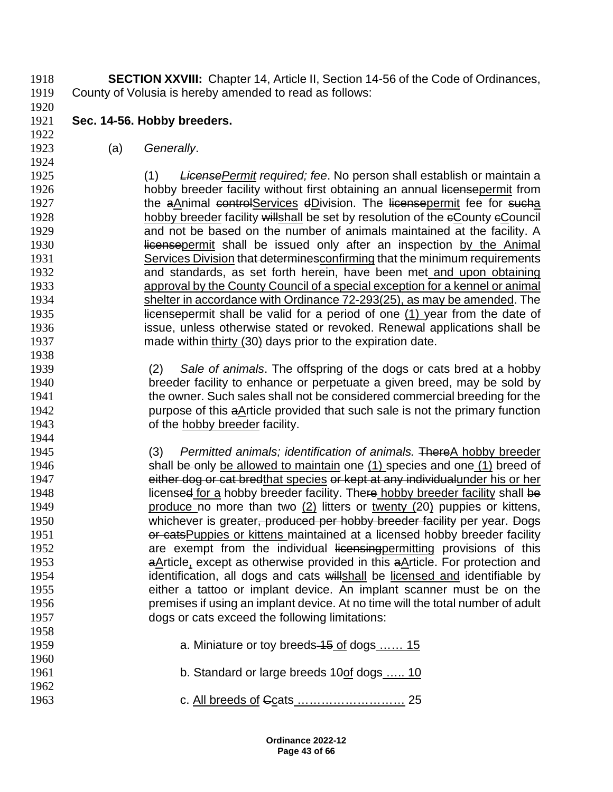**SECTION XXVIII:** Chapter 14, Article II, Section 14-56 of the Code of Ordinances, County of Volusia is hereby amended to read as follows:

**Sec. 14-56. Hobby breeders.**

(a) *Generally*.

 (1) *LicensePermit required; fee*. No person shall establish or maintain a 1926 hobby breeder facility without first obtaining an annual licensepermit from 1927 the aAnimal controlServices dDivision. The licensepermit fee for sucha 1928 hobby breeder facility willshall be set by resolution of the eCounty eCouncil and not be based on the number of animals maintained at the facility. A **Inconsepermit shall be issued only after an inspection by the Animal** 1931 Services Division that determines confirming that the minimum requirements and standards, as set forth herein, have been met and upon obtaining approval by the County Council of a special exception for a kennel or animal shelter in accordance with Ordinance 72-293(25), as may be amended. The **licensepermit shall be valid for a period of one (1) year from the date of**  issue, unless otherwise stated or revoked. Renewal applications shall be made within thirty (30) days prior to the expiration date.

- (2) *Sale of animals*. The offspring of the dogs or cats bred at a hobby breeder facility to enhance or perpetuate a given breed, may be sold by the owner. Such sales shall not be considered commercial breeding for the purpose of this aArticle provided that such sale is not the primary function of the hobby breeder facility.
- (3) *Permitted animals; identification of animals.* ThereA hobby breeder 1946 shall be only be allowed to maintain one (1) species and one (1) breed of 1947 either dog or cat bredthat species or kept at any individualunder his or her 1948 licensed for a hobby breeder facility. There hobby breeder facility shall be produce no more than two (2) litters or twenty (20) puppies or kittens, 1950 whichever is greater<del>, produced per hobby breeder facility</del> per year. Dogs **or cats Puppies or kittens maintained at a licensed hobby breeder facility** 1952 are exempt from the individual licensing provisions of this 1953 **aArticle, except as otherwise provided in this**  $a$ **Article. For protection and** 1954 identification, all dogs and cats willshall be licensed and identifiable by either a tattoo or implant device. An implant scanner must be on the premises if using an implant device. At no time will the total number of adult dogs or cats exceed the following limitations:
- **a. Miniature or toy breeds 45 of dogs** ...... 15 **b. Standard or large breeds 40of dogs ..... 10 c.** All breeds of Goats **............................** 25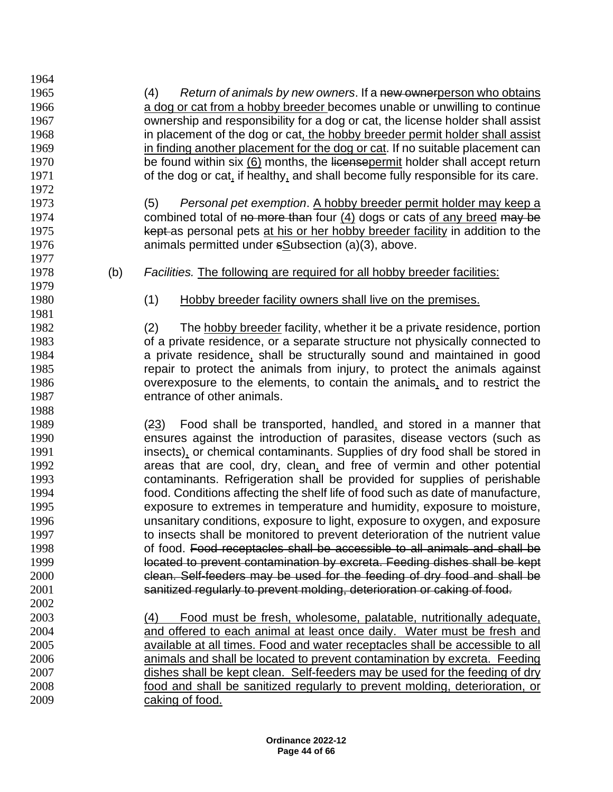(4) *Return of animals by new owners*. If a new ownerperson who obtains a dog or cat from a hobby breeder becomes unable or unwilling to continue ownership and responsibility for a dog or cat, the license holder shall assist 1968 in placement of the dog or cat, the hobby breeder permit holder shall assist 1969 in finding another placement for the dog or cat. If no suitable placement can 1970 be found within six (6) months, the licensepermit holder shall accept return 1971 of the dog or cat, if healthy, and shall become fully responsible for its care. (5) *Personal pet exemption*. A hobby breeder permit holder may keep a 1974 combined total of no more than four (4) dogs or cats of any breed may be 1975 kept as personal pets at his or her hobby breeder facility in addition to the animals permitted under sSubsection (a)(3), above. (b) *Facilities.* The following are required for all hobby breeder facilities: (1) Hobby breeder facility owners shall live on the premises. (2) The hobby breeder facility, whether it be a private residence, portion of a private residence, or a separate structure not physically connected to a private residence, shall be structurally sound and maintained in good repair to protect the animals from injury, to protect the animals against overexposure to the elements, to contain the animals, and to restrict the entrance of other animals. (23) Food shall be transported, handled, and stored in a manner that ensures against the introduction of parasites, disease vectors (such as insects), or chemical contaminants. Supplies of dry food shall be stored in areas that are cool, dry, clean, and free of vermin and other potential contaminants. Refrigeration shall be provided for supplies of perishable food. Conditions affecting the shelf life of food such as date of manufacture, exposure to extremes in temperature and humidity, exposure to moisture, unsanitary conditions, exposure to light, exposure to oxygen, and exposure to insects shall be monitored to prevent deterioration of the nutrient value of food. Food receptacles shall be accessible to all animals and shall be located to prevent contamination by excreta. Feeding dishes shall be kept clean. Self-feeders may be used for the feeding of dry food and shall be sanitized regularly to prevent molding, deterioration or caking of food. (4) Food must be fresh, wholesome, palatable, nutritionally adequate, and offered to each animal at least once daily. Water must be fresh and available at all times. Food and water receptacles shall be accessible to all animals and shall be located to prevent contamination by excreta. Feeding dishes shall be kept clean. Self-feeders may be used for the feeding of dry food and shall be sanitized regularly to prevent molding, deterioration, or caking of food.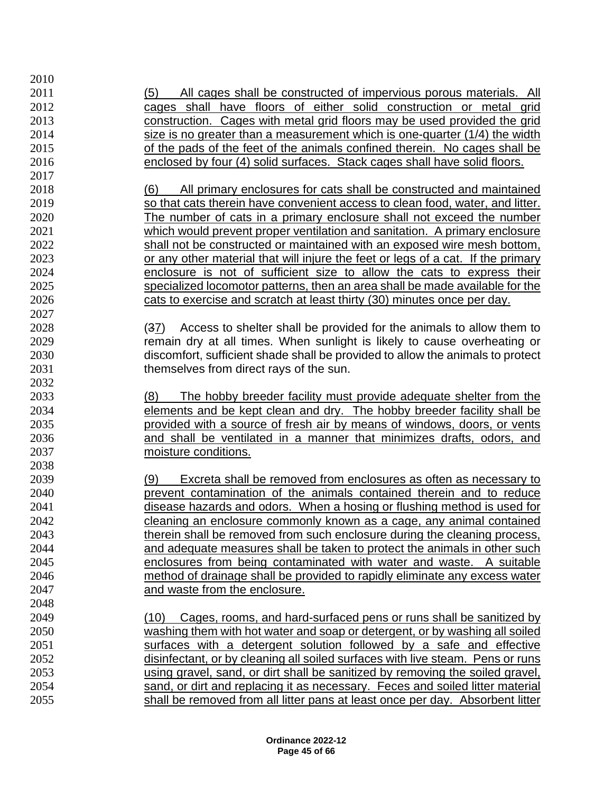| 2010 |                                                                                  |
|------|----------------------------------------------------------------------------------|
| 2011 | <u>All cages shall be constructed of impervious porous materials. All</u><br>(5) |
| 2012 | cages shall have floors of either solid construction or metal grid               |
| 2013 | construction. Cages with metal grid floors may be used provided the grid         |
| 2014 | size is no greater than a measurement which is one-quarter (1/4) the width       |
| 2015 | of the pads of the feet of the animals confined therein. No cages shall be       |
| 2016 | enclosed by four (4) solid surfaces. Stack cages shall have solid floors.        |
| 2017 |                                                                                  |
| 2018 | All primary enclosures for cats shall be constructed and maintained<br>(6)       |
| 2019 | so that cats therein have convenient access to clean food, water, and litter.    |
| 2020 | The number of cats in a primary enclosure shall not exceed the number            |
| 2021 | which would prevent proper ventilation and sanitation. A primary enclosure       |
| 2022 | shall not be constructed or maintained with an exposed wire mesh bottom,         |
| 2023 | or any other material that will injure the feet or legs of a cat. If the primary |
| 2024 | enclosure is not of sufficient size to allow the cats to express their           |
| 2025 | specialized locomotor patterns, then an area shall be made available for the     |
| 2026 | cats to exercise and scratch at least thirty (30) minutes once per day.          |
| 2027 |                                                                                  |
| 2028 | Access to shelter shall be provided for the animals to allow them to<br>(37)     |
| 2029 | remain dry at all times. When sunlight is likely to cause overheating or         |
| 2030 | discomfort, sufficient shade shall be provided to allow the animals to protect   |
| 2031 | themselves from direct rays of the sun.                                          |
| 2032 |                                                                                  |
| 2033 | The hobby breeder facility must provide adequate shelter from the<br>(8)         |
| 2034 | elements and be kept clean and dry. The hobby breeder facility shall be          |
| 2035 | provided with a source of fresh air by means of windows, doors, or vents         |
| 2036 | and shall be ventilated in a manner that minimizes drafts, odors, and            |
| 2037 | moisture conditions.                                                             |
| 2038 |                                                                                  |
| 2039 | Excreta shall be removed from enclosures as often as necessary to<br>(9)         |
| 2040 | prevent contamination of the animals contained therein and to reduce             |
| 2041 | disease hazards and odors. When a hosing or flushing method is used for          |
| 2042 | cleaning an enclosure commonly known as a cage, any animal contained             |
| 2043 | therein shall be removed from such enclosure during the cleaning process,        |
| 2044 | and adequate measures shall be taken to protect the animals in other such        |
| 2045 | enclosures from being contaminated with water and waste. A suitable              |
| 2046 | method of drainage shall be provided to rapidly eliminate any excess water       |
| 2047 | and waste from the enclosure.                                                    |
| 2048 |                                                                                  |
| 2049 | Cages, rooms, and hard-surfaced pens or runs shall be sanitized by<br>(10)       |
| 2050 | washing them with hot water and soap or detergent, or by washing all soiled      |
| 2051 | surfaces with a detergent solution followed by a safe and effective              |
| 2052 | disinfectant, or by cleaning all soiled surfaces with live steam. Pens or runs   |
| 2053 | using gravel, sand, or dirt shall be sanitized by removing the soiled gravel,    |
| 2054 | sand, or dirt and replacing it as necessary. Feces and soiled litter material    |
| 2055 | shall be removed from all litter pans at least once per day. Absorbent litter    |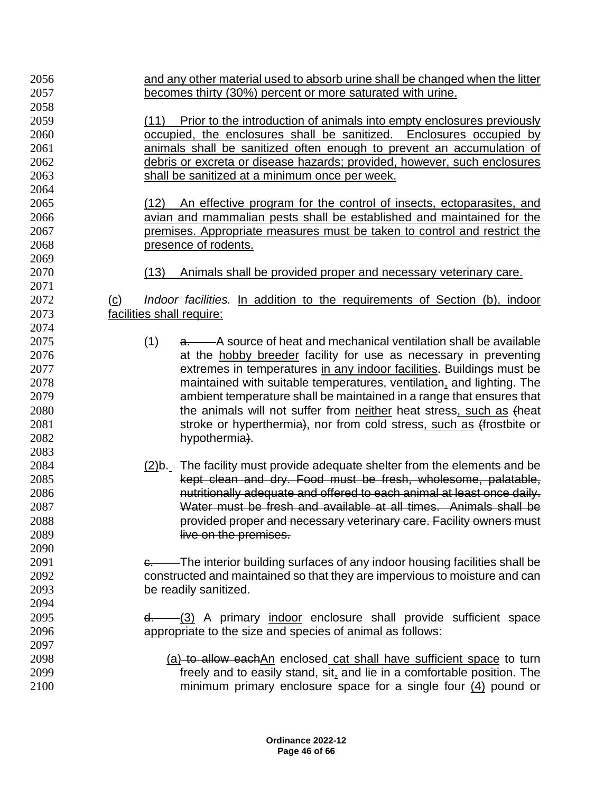| 2056 | and any other material used to absorb urine shall be changed when the litter         |
|------|--------------------------------------------------------------------------------------|
| 2057 | becomes thirty (30%) percent or more saturated with urine.                           |
| 2058 |                                                                                      |
| 2059 | Prior to the introduction of animals into empty enclosures previously<br>(11)        |
| 2060 | occupied, the enclosures shall be sanitized. Enclosures occupied by                  |
| 2061 | animals shall be sanitized often enough to prevent an accumulation of                |
| 2062 | debris or excreta or disease hazards; provided, however, such enclosures             |
| 2063 | shall be sanitized at a minimum once per week.                                       |
| 2064 |                                                                                      |
| 2065 | (12)<br>An effective program for the control of insects, ectoparasites, and          |
| 2066 | avian and mammalian pests shall be established and maintained for the                |
| 2067 | premises. Appropriate measures must be taken to control and restrict the             |
| 2068 | presence of rodents.                                                                 |
| 2069 |                                                                                      |
| 2070 | Animals shall be provided proper and necessary veterinary care.<br>(13)              |
| 2071 |                                                                                      |
| 2072 | Indoor facilities. In addition to the requirements of Section (b), indoor<br>$\circ$ |
| 2073 | facilities shall require:                                                            |
| 2074 |                                                                                      |
| 2075 | (1)<br>a. A source of heat and mechanical ventilation shall be available             |
| 2076 | at the hobby breeder facility for use as necessary in preventing                     |
| 2077 | extremes in temperatures in any indoor facilities. Buildings must be                 |
| 2078 | maintained with suitable temperatures, ventilation, and lighting. The                |
| 2079 | ambient temperature shall be maintained in a range that ensures that                 |
| 2080 | the animals will not suffer from neither heat stress, such as theat                  |
| 2081 | stroke or hyperthermia), nor from cold stress, such as (frostbite or                 |
| 2082 | hypothermia).                                                                        |
| 2083 |                                                                                      |
| 2084 | (2)b. The facility must provide adequate shelter from the elements and be            |
| 2085 | kept clean and dry. Food must be fresh, wholesome, palatable,                        |
| 2086 | nutritionally adequate and offered to each animal at least once daily.               |
| 2087 | Water must be fresh and available at all times. Animals shall be                     |
| 2088 | provided proper and necessary veterinary care. Facility owners must                  |
| 2089 | live on the premises.                                                                |
| 2090 |                                                                                      |
| 2091 | e. The interior building surfaces of any indoor housing facilities shall be          |
| 2092 | constructed and maintained so that they are impervious to moisture and can           |
| 2093 | be readily sanitized.                                                                |
| 2094 |                                                                                      |
| 2095 | $d.$ (3) A primary indoor enclosure shall provide sufficient space                   |
| 2096 | appropriate to the size and species of animal as follows:                            |
| 2097 |                                                                                      |
| 2098 | (a) to allow eachAn enclosed cat shall have sufficient space to turn                 |
| 2099 | freely and to easily stand, sit, and lie in a comfortable position. The              |
| 2100 | minimum primary enclosure space for a single four $(4)$ pound or                     |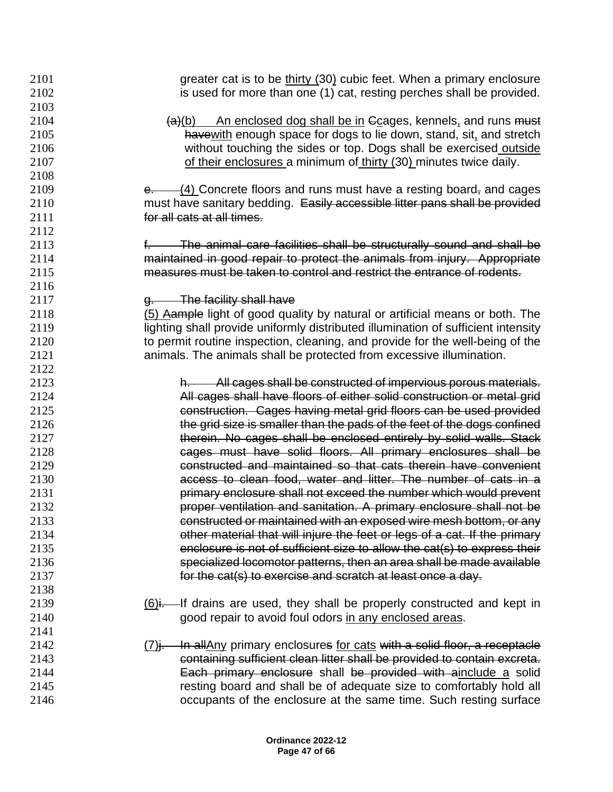| 2101 | greater cat is to be thirty (30) cubic feet. When a primary enclosure             |
|------|-----------------------------------------------------------------------------------|
| 2102 | is used for more than one (1) cat, resting perches shall be provided.             |
| 2103 |                                                                                   |
| 2104 | An enclosed dog shall be in Gcages, kennels, and runs must<br>(a)(b)              |
| 2105 | have with enough space for dogs to lie down, stand, sit, and stretch              |
| 2106 | without touching the sides or top. Dogs shall be exercised outside                |
| 2107 | of their enclosures a minimum of thirty (30) minutes twice daily.                 |
| 2108 |                                                                                   |
| 2109 | $\frac{1}{2}$ Concrete floors and runs must have a resting board, and cages       |
| 2110 | must have sanitary bedding. Easily accessible litter pans shall be provided       |
| 2111 | for all cats at all times.                                                        |
| 2112 |                                                                                   |
| 2113 | The animal care facilities shall be structurally sound and shall be               |
| 2114 | maintained in good repair to protect the animals from injury. Appropriate         |
| 2115 | measures must be taken to control and restrict the entrance of rodents.           |
| 2116 |                                                                                   |
| 2117 | The facility shall have<br>$q_{\cdot}$                                            |
| 2118 | (5) Aample light of good quality by natural or artificial means or both. The      |
| 2119 | lighting shall provide uniformly distributed illumination of sufficient intensity |
| 2120 | to permit routine inspection, cleaning, and provide for the well-being of the     |
| 2121 | animals. The animals shall be protected from excessive illumination.              |
| 2122 |                                                                                   |
| 2123 | All cages shall be constructed of impervious porous materials.                    |
| 2124 | All cages shall have floors of either solid construction or metal grid            |
| 2125 | construction. Cages having metal grid floors can be used provided                 |
| 2126 | the grid size is smaller than the pads of the feet of the dogs confined           |
| 2127 | therein. No cages shall be enclosed entirely by solid walls. Stack                |
| 2128 | cages must have solid floors. All primary enclosures shall be                     |
| 2129 | constructed and maintained so that cats therein have convenient                   |
| 2130 | access to clean food, water and litter. The number of cats in a                   |
| 2131 | primary enclosure shall not exceed the number which would prevent                 |
| 2132 | proper ventilation and sanitation. A primary enclosure shall not be               |
| 2133 | constructed or maintained with an exposed wire mesh bottom, or any                |
| 2134 | other material that will injure the feet or legs of a cat. If the primary         |
| 2135 | enclosure is not of sufficient size to allow the cat(s) to express their          |
| 2136 | specialized locomotor patterns, then an area shall be made available              |
|      |                                                                                   |
| 2137 | for the cat(s) to exercise and scratch at least once a day.                       |
| 2138 |                                                                                   |
| 2139 | $(6)$ i. If drains are used, they shall be properly constructed and kept in       |
| 2140 | good repair to avoid foul odors in any enclosed areas.                            |
| 2141 |                                                                                   |
| 2142 | In allAny primary enclosures for cats with a solid floor, a receptacle<br>$(7)$ . |
| 2143 | containing sufficient clean litter shall be provided to contain excreta.          |
| 2144 | Each primary enclosure shall be provided with ainclude a solid                    |
| 2145 | resting board and shall be of adequate size to comfortably hold all               |
| 2146 | occupants of the enclosure at the same time. Such resting surface                 |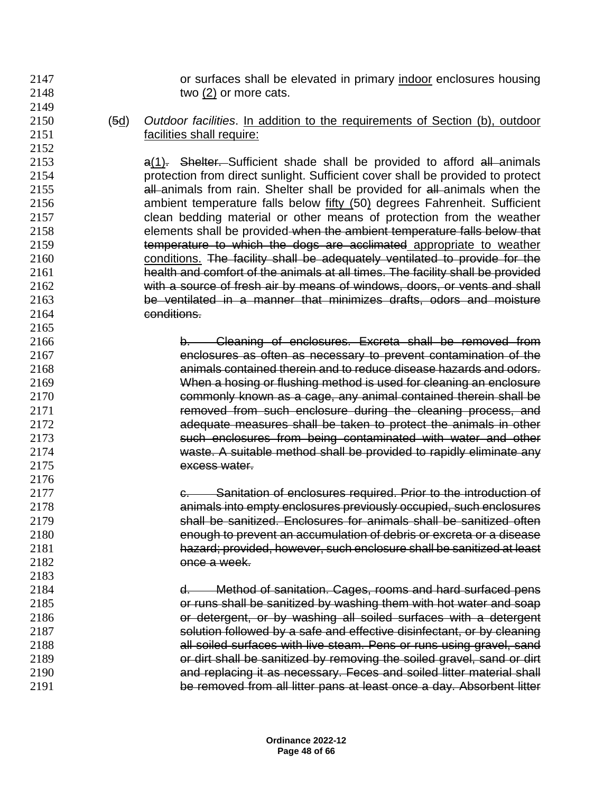or surfaces shall be elevated in primary indoor enclosures housing two (2) or more cats.

 (5d) *Outdoor facilities*. In addition to the requirements of Section (b), outdoor facilities shall require:

**and Shelter.** Sufficient shade shall be provided to afford all animals protection from direct sunlight. Sufficient cover shall be provided to protect **all animals from rain. Shelter shall be provided for all animals when the**  ambient temperature falls below fifty (50) degrees Fahrenheit. Sufficient clean bedding material or other means of protection from the weather elements shall be provided when the ambient temperature falls below that temperature to which the dogs are acclimated appropriate to weather 2160 conditions. The facility shall be adequately ventilated to provide for the health and comfort of the animals at all times. The facility shall be provided with a source of fresh air by means of windows, doors, or vents and shall be ventilated in a manner that minimizes drafts, odors and moisture conditions.

 b. Cleaning of enclosures. Excreta shall be removed from enclosures as often as necessary to prevent contamination of the animals contained therein and to reduce disease hazards and odors. When a hosing or flushing method is used for cleaning an enclosure commonly known as a cage, any animal contained therein shall be removed from such enclosure during the cleaning process, and adequate measures shall be taken to protect the animals in other such enclosures from being contaminated with water and other waste. A suitable method shall be provided to rapidly eliminate any excess water.

**c. Sanitation of enclosures required. Prior to the introduction of**  animals into empty enclosures previously occupied, such enclosures shall be sanitized. Enclosures for animals shall be sanitized often enough to prevent an accumulation of debris or excreta or a disease hazard; provided, however, such enclosure shall be sanitized at least once a week.

 d. Method of sanitation. Cages, rooms and hard surfaced pens or runs shall be sanitized by washing them with hot water and soap or detergent, or by washing all soiled surfaces with a detergent **Solution followed by a safe and effective disinfectant, or by cleaning**  all soiled surfaces with live steam. Pens or runs using gravel, sand or dirt shall be sanitized by removing the soiled gravel, sand or dirt and replacing it as necessary. Feces and soiled litter material shall be removed from all litter pans at least once a day. Absorbent litter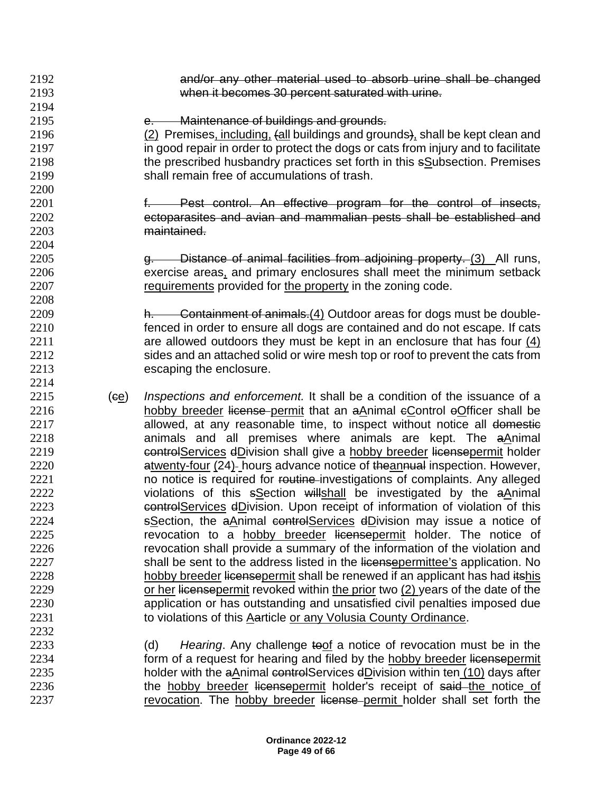- 2192 and/or any other material used to absorb urine shall be changed 2193 when it becomes 30 percent saturated with urine. 2194
- 2195 e. Maintenance of buildings and grounds.

2200

2204

2208

2214

- 2196 (2) Premises, including, (all buildings and grounds), shall be kept clean and 2197 in good repair in order to protect the dogs or cats from injury and to facilitate 2198 the prescribed husbandry practices set forth in this sSubsection. Premises 2199 shall remain free of accumulations of trash.
- 2201 f. Pest control. An effective program for the control of insects, 2202 ectoparasites and avian and mammalian pests shall be established and 2203 maintained.
- 2205 g. Distance of animal facilities from adjoining property. (3) All runs, 2206 exercise areas, and primary enclosures shall meet the minimum setback 2207 requirements provided for the property in the zoning code.

 h. Containment of animals.(4) Outdoor areas for dogs must be double- fenced in order to ensure all dogs are contained and do not escape. If cats are allowed outdoors they must be kept in an enclosure that has four  $(4)$  sides and an attached solid or wire mesh top or roof to prevent the cats from escaping the enclosure.

- 2215 (ce) *Inspections and enforcement.* It shall be a condition of the issuance of a 2216 hobby breeder license permit that an aAnimal eControl eOfficer shall be 2217 allowed, at any reasonable time, to inspect without notice all domestic 2218 **animals and all premises where animals are kept. The aAnimal** 2219 controlServices dDivision shall give a hobby breeder licensepermit holder 2220 **atwenty-four (24)**- hours advance notice of theannual inspection. However, 2221 ho notice is required for routine investigations of complaints. Any alleged 2222 violations of this  $s$ Section willshall be investigated by the aAnimal 2223  $e$ <sub>c</sub>ontrolServices dDivision. Upon receipt of information of violation of this 2224 **SSection, the aAnimal controlServices dDivision may issue a notice of** 2225 revocation to a hobby breeder licensepermit holder. The notice of 2226 revocation shall provide a summary of the information of the violation and 2227 shall be sent to the address listed in the licensepermittee's application. No 2228 hobby breeder licensepermit shall be renewed if an applicant has had itshis 2229 or her licensepermit revoked within the prior two (2) years of the date of the 2230 application or has outstanding and unsatisfied civil penalties imposed due 2231 to violations of this Aarticle or any Volusia County Ordinance. 2232
- 2233 (d) *Hearing*. Any challenge toof a notice of revocation must be in the 2234 form of a request for hearing and filed by the hobby breeder licensepermit 2235 holder with the aAnimal controlServices dDivision within ten (10) days after 2236 the hobby breeder licensepermit holder's receipt of said the notice of 2237 revocation. The hobby breeder license permit holder shall set forth the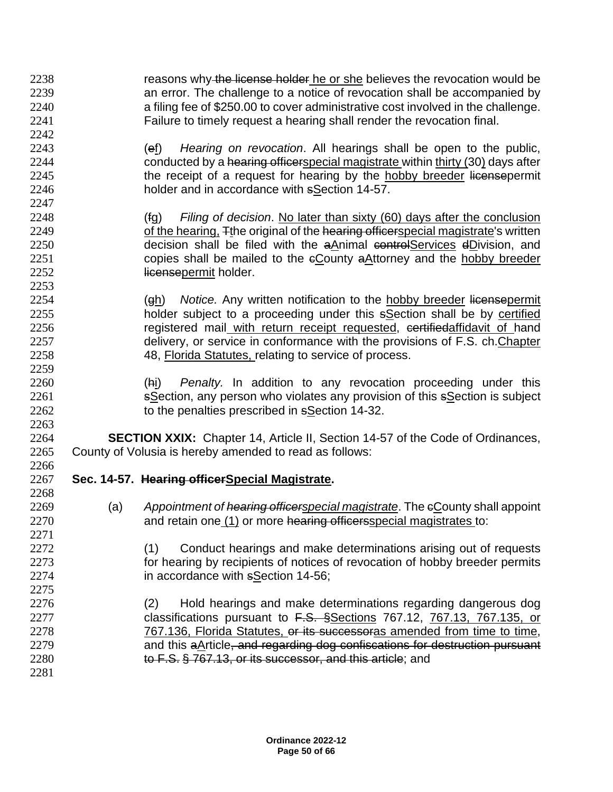2238 reasons why the license holder he or she believes the revocation would be an error. The challenge to a notice of revocation shall be accompanied by a filing fee of \$250.00 to cover administrative cost involved in the challenge. Failure to timely request a hearing shall render the revocation final. (ef) *Hearing on revocation*. All hearings shall be open to the public, 2244 conducted by a hearing officerspecial magistrate within thirty (30) days after 2245 the receipt of a request for hearing by the hobby breeder licensepermit holder and in accordance with sSection 14-57. (fg) *Filing of decision*. No later than sixty (60) days after the conclusion 2249 of the hearing, The original of the hearing officerspecial magistrate's written 2250 decision shall be filed with the aAnimal controlServices dDivision, and copies shall be mailed to the cCounty aAttorney and the hobby breeder 2252 licensepermit holder. (gh) *Notice.* Any written notification to the hobby breeder licensepermit holder subject to a proceeding under this sSection shall be by certified 2256 registered mail with return receipt requested, certifiedaffidavit of hand delivery, or service in conformance with the provisions of F.S. ch.Chapter 48, Florida Statutes, relating to service of process. (hi) *Penalty.* In addition to any revocation proceeding under this sSection, any person who violates any provision of this sSection is subject to the penalties prescribed in sSection 14-32. **SECTION XXIX:** Chapter 14, Article II, Section 14-57 of the Code of Ordinances, County of Volusia is hereby amended to read as follows: **Sec. 14-57. Hearing officerSpecial Magistrate.** (a) *Appointment of hearing officerspecial magistrate*. The cCounty shall appoint 2270 and retain one (1) or more hearing officersspecial magistrates to: 2272 (1) Conduct hearings and make determinations arising out of requests for hearing by recipients of notices of revocation of hobby breeder permits in accordance with sSection 14-56; (2) Hold hearings and make determinations regarding dangerous dog 2277 classifications pursuant to F.S. §Sections 767.12, 767.13, 767.135, or 767.136, Florida Statutes, or its successoras amended from time to time, 2279 and this aArticle<del>, and regarding dog confiscations for destruction pursuant</del> 2280 to F.S. § 767.13, or its successor, and this article; and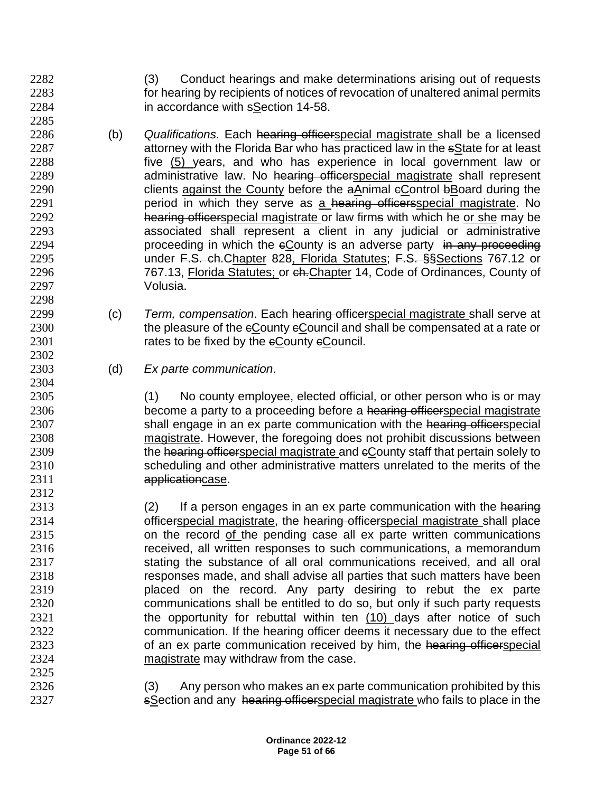- (3) Conduct hearings and make determinations arising out of requests for hearing by recipients of notices of revocation of unaltered animal permits in accordance with sSection 14-58.
- (b) *Qualifications.* Each hearing officerspecial magistrate shall be a licensed 2287 attorney with the Florida Bar who has practiced law in the sState for at least five (5) years, and who has experience in local government law or 2289 administrative law. No hearing officerspecial magistrate shall represent 2290 clients against the County before the aAnimal eControl bBoard during the **period** in which they serve as a hearing officersspecial magistrate. No hearing officerspecial magistrate or law firms with which he or she may be associated shall represent a client in any judicial or administrative **proceeding in which the eCounty is an adverse party** in any proceeding **under F.S. ch.Chapter 828, Florida Statutes; F.S. §§Sections 767.12 or**  767.13, Florida Statutes; or ch.Chapter 14, Code of Ordinances, County of Volusia.
- (c) *Term, compensation*. Each hearing officerspecial magistrate shall serve at 2300 the pleasure of the eCounty eCouncil and shall be compensated at a rate or 2301 rates to be fixed by the eCounty eCouncil.
- (d) *Ex parte communication*.

 (1) No county employee, elected official, or other person who is or may 2306 become a party to a proceeding before a hearing officerspecial magistrate 2307 shall engage in an ex parte communication with the hearing officerspecial magistrate. However, the foregoing does not prohibit discussions between 2309 the hearing officerspecial magistrate and eCounty staff that pertain solely to scheduling and other administrative matters unrelated to the merits of the applicationcase.

- 2313 (2) If a person engages in an ex parte communication with the hearing 2314 **officerspecial magistrate, the <del>hearing officer</del>special magistrate shall place**  on the record of the pending case all ex parte written communications received, all written responses to such communications, a memorandum 2317 stating the substance of all oral communications received, and all oral responses made, and shall advise all parties that such matters have been placed on the record. Any party desiring to rebut the ex parte communications shall be entitled to do so, but only if such party requests 2321 the opportunity for rebuttal within ten (10) days after notice of such communication. If the hearing officer deems it necessary due to the effect 2323 of an ex parte communication received by him, the hearing officerspecial magistrate may withdraw from the case.
- 2326 (3) Any person who makes an ex parte communication prohibited by this 2327 sSection and any hearing officerspecial magistrate who fails to place in the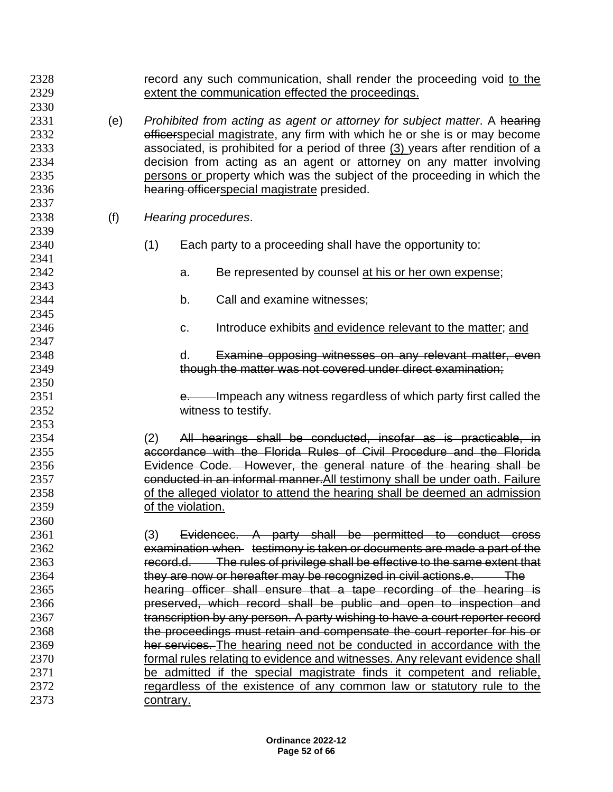| 2328<br>2329<br>2330                                 |     | record any such communication, shall render the proceeding void to the<br>extent the communication effected the proceedings.                                                                                                                                                                                                                                                                                                                |                   |                                                                                                                                                          |  |
|------------------------------------------------------|-----|---------------------------------------------------------------------------------------------------------------------------------------------------------------------------------------------------------------------------------------------------------------------------------------------------------------------------------------------------------------------------------------------------------------------------------------------|-------------------|----------------------------------------------------------------------------------------------------------------------------------------------------------|--|
| 2331<br>2332<br>2333<br>2334<br>2335<br>2336<br>2337 | (e) | Prohibited from acting as agent or attorney for subject matter. A hearing<br>efficerspecial magistrate, any firm with which he or she is or may become<br>associated, is prohibited for a period of three (3) years after rendition of a<br>decision from acting as an agent or attorney on any matter involving<br>persons or property which was the subject of the proceeding in which the<br>hearing officerspecial magistrate presided. |                   |                                                                                                                                                          |  |
| 2338<br>2339                                         | (f) |                                                                                                                                                                                                                                                                                                                                                                                                                                             |                   | Hearing procedures.                                                                                                                                      |  |
| 2340<br>2341                                         |     | (1)                                                                                                                                                                                                                                                                                                                                                                                                                                         |                   | Each party to a proceeding shall have the opportunity to:                                                                                                |  |
| 2342<br>2343                                         |     |                                                                                                                                                                                                                                                                                                                                                                                                                                             | a.                | Be represented by counsel at his or her own expense;                                                                                                     |  |
| 2344<br>2345                                         |     |                                                                                                                                                                                                                                                                                                                                                                                                                                             | b.                | Call and examine witnesses;                                                                                                                              |  |
| 2346<br>2347                                         |     |                                                                                                                                                                                                                                                                                                                                                                                                                                             | C.                | Introduce exhibits and evidence relevant to the matter; and                                                                                              |  |
| 2348                                                 |     |                                                                                                                                                                                                                                                                                                                                                                                                                                             | d.                | Examine opposing witnesses on any relevant matter, even                                                                                                  |  |
| 2349<br>2350                                         |     |                                                                                                                                                                                                                                                                                                                                                                                                                                             |                   | though the matter was not covered under direct examination;                                                                                              |  |
| 2351<br>2352                                         |     |                                                                                                                                                                                                                                                                                                                                                                                                                                             |                   | e. Impeach any witness regardless of which party first called the<br>witness to testify.                                                                 |  |
| 2353<br>2354                                         |     | (2)                                                                                                                                                                                                                                                                                                                                                                                                                                         |                   | All hearings shall be conducted, insofar as is practicable, in                                                                                           |  |
| 2355<br>2356                                         |     |                                                                                                                                                                                                                                                                                                                                                                                                                                             |                   | accordance with the Florida Rules of Civil Procedure and the Florida<br>Evidence Code. However, the general nature of the hearing shall be               |  |
| 2357                                                 |     |                                                                                                                                                                                                                                                                                                                                                                                                                                             |                   | conducted in an informal manner. All testimony shall be under oath. Failure                                                                              |  |
| 2358<br>2359                                         |     |                                                                                                                                                                                                                                                                                                                                                                                                                                             | of the violation. | of the alleged violator to attend the hearing shall be deemed an admission                                                                               |  |
| 2360<br>2361                                         |     | (3)                                                                                                                                                                                                                                                                                                                                                                                                                                         |                   | Evidencec. A party shall be permitted to conduct cross                                                                                                   |  |
| 2362<br>2363                                         |     |                                                                                                                                                                                                                                                                                                                                                                                                                                             |                   | examination when testimony is taken or documents are made a part of the<br>record.d. The rules of privilege shall be effective to the same extent that   |  |
| 2364                                                 |     |                                                                                                                                                                                                                                                                                                                                                                                                                                             |                   | they are now or hereafter may be recognized in civil actions.e. The                                                                                      |  |
| 2365<br>2366                                         |     |                                                                                                                                                                                                                                                                                                                                                                                                                                             |                   | hearing officer shall ensure that a tape recording of the hearing is<br>preserved, which record shall be public and open to inspection and               |  |
| 2367<br>2368                                         |     |                                                                                                                                                                                                                                                                                                                                                                                                                                             |                   | transcription by any person. A party wishing to have a court reporter record<br>the proceedings must retain and compensate the court reporter for his or |  |
| 2369                                                 |     |                                                                                                                                                                                                                                                                                                                                                                                                                                             |                   | her services. The hearing need not be conducted in accordance with the                                                                                   |  |
| 2370<br>2371                                         |     |                                                                                                                                                                                                                                                                                                                                                                                                                                             |                   | formal rules relating to evidence and witnesses. Any relevant evidence shall<br>be admitted if the special magistrate finds it competent and reliable,   |  |
| 2372                                                 |     |                                                                                                                                                                                                                                                                                                                                                                                                                                             |                   | regardless of the existence of any common law or statutory rule to the                                                                                   |  |
| 2373                                                 |     | contrary.                                                                                                                                                                                                                                                                                                                                                                                                                                   |                   |                                                                                                                                                          |  |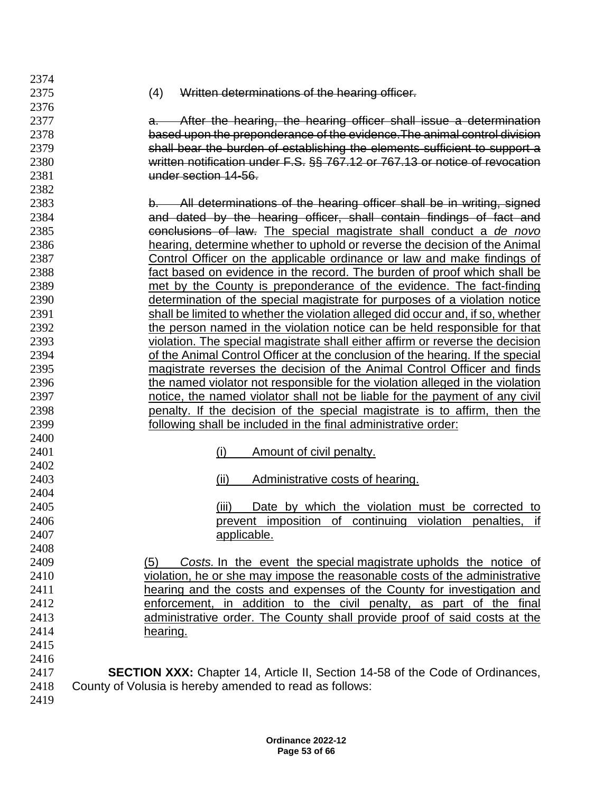(4) Written determinations of the hearing officer. **a.** After the hearing, the hearing officer shall issue a determination based upon the preponderance of the evidence.The animal control division shall bear the burden of establishing the elements sufficient to support a written notification under F.S. §§ 767.12 or 767.13 or notice of revocation under section 14-56. b. All determinations of the hearing officer shall be in writing, signed and dated by the hearing officer, shall contain findings of fact and conclusions of law. The special magistrate shall conduct a *de novo*  hearing, determine whether to uphold or reverse the decision of the Animal Control Officer on the applicable ordinance or law and make findings of fact based on evidence in the record. The burden of proof which shall be met by the County is preponderance of the evidence. The fact-finding determination of the special magistrate for purposes of a violation notice shall be limited to whether the violation alleged did occur and, if so, whether the person named in the violation notice can be held responsible for that violation. The special magistrate shall either affirm or reverse the decision of the Animal Control Officer at the conclusion of the hearing. If the special magistrate reverses the decision of the Animal Control Officer and finds the named violator not responsible for the violation alleged in the violation notice, the named violator shall not be liable for the payment of any civil penalty. If the decision of the special magistrate is to affirm, then the following shall be included in the final administrative order: (i) Amount of civil penalty. (ii) Administrative costs of hearing. (iii) Date by which the violation must be corrected to prevent imposition of continuing violation penalties, if applicable. (5) *Costs.* In the event the special magistrate upholds the notice of violation, he or she may impose the reasonable costs of the administrative hearing and the costs and expenses of the County for investigation and enforcement, in addition to the civil penalty, as part of the final administrative order. The County shall provide proof of said costs at the hearing. **SECTION XXX:** Chapter 14, Article II, Section 14-58 of the Code of Ordinances, County of Volusia is hereby amended to read as follows: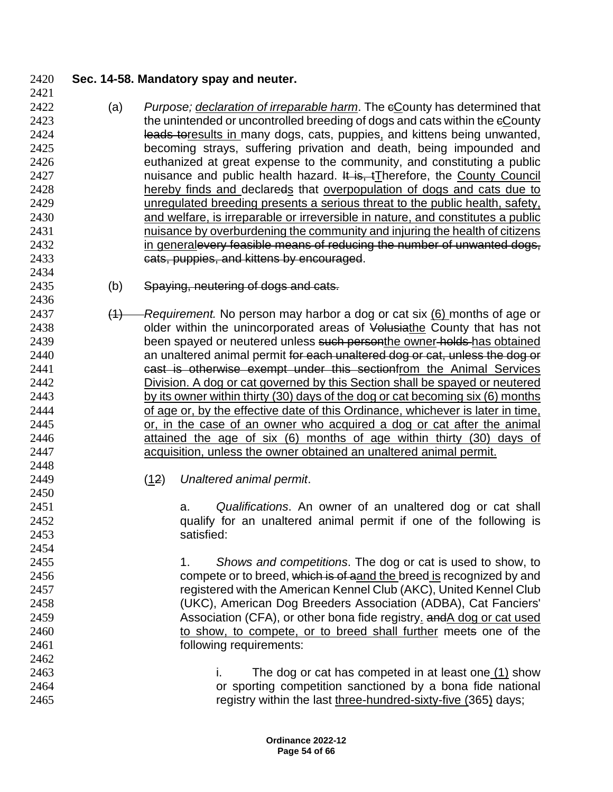## **Sec. 14-58. Mandatory spay and neuter.**

- (a) *Purpose; declaration of irreparable harm*. The cCounty has determined that 2423 the unintended or uncontrolled breeding of dogs and cats within the eCounty **leads toresults in many dogs, cats, puppies**, and kittens being unwanted, becoming strays, suffering privation and death, being impounded and euthanized at great expense to the community, and constituting a public **nuisance and public health hazard.** It is, tTherefore, the County Council hereby finds and declareds that overpopulation of dogs and cats due to unregulated breeding presents a serious threat to the public health, safety, and welfare, is irreparable or irreversible in nature, and constitutes a public nuisance by overburdening the community and injuring the health of citizens 2432 in generalevery feasible means of reducing the number of unwanted dogs, cats, puppies, and kittens by encouraged.
- 2435 (b) Spaying, neutering of dogs and cats.
- (1) *Requirement.* No person may harbor a dog or cat six (6) months of age or **blue older within the unincorporated areas of Volusiathe County that has not** 2439 been spayed or neutered unless such personthe owner holds has obtained **an unaltered animal permit for each unaltered dog or cat, unless the dog or** 2441 cast is otherwise exempt under this sectionfrom the Animal Services Division. A dog or cat governed by this Section shall be spayed or neutered by its owner within thirty (30) days of the dog or cat becoming six (6) months of age or, by the effective date of this Ordinance, whichever is later in time, or, in the case of an owner who acquired a dog or cat after the animal attained the age of six (6) months of age within thirty (30) days of acquisition, unless the owner obtained an unaltered animal permit.
- (12) *Unaltered animal permit*.

 a. *Qualifications*. An owner of an unaltered dog or cat shall qualify for an unaltered animal permit if one of the following is satisfied:

 1. *Shows and competitions*. The dog or cat is used to show, to 2456 compete or to breed, which is of aand the breed is recognized by and registered with the American Kennel Club (AKC), United Kennel Club (UKC), American Dog Breeders Association (ADBA), Cat Fanciers' **Association (CFA), or other bona fide registry. and A dog or cat used**  to show, to compete, or to breed shall further meets one of the **following requirements:** 

 i. The dog or cat has competed in at least one (1) show or sporting competition sanctioned by a bona fide national registry within the last three-hundred-sixty-five (365) days;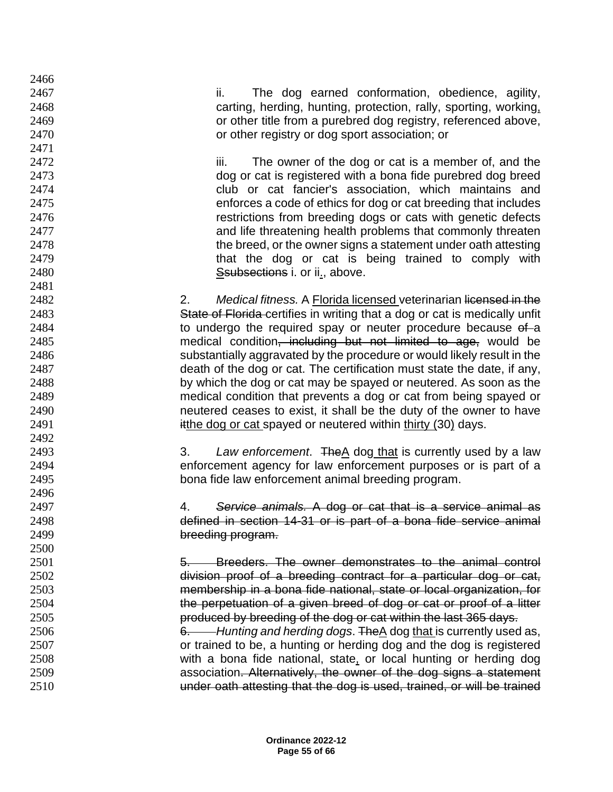ii. The dog earned conformation, obedience, agility, carting, herding, hunting, protection, rally, sporting, working, or other title from a purebred dog registry, referenced above, or other registry or dog sport association; or

**iii.** The owner of the dog or cat is a member of, and the dog or cat is registered with a bona fide purebred dog breed club or cat fancier's association, which maintains and enforces a code of ethics for dog or cat breeding that includes restrictions from breeding dogs or cats with genetic defects and life threatening health problems that commonly threaten the breed, or the owner signs a statement under oath attesting 2479 that the dog or cat is being trained to comply with Ssubsections i. or ii., above.

 2. *Medical fitness.* A Florida licensed veterinarian licensed in the State of Florida certifies in writing that a dog or cat is medically unfit 2484 to undergo the required spay or neuter procedure because of a medical condition, including but not limited to age, would be substantially aggravated by the procedure or would likely result in the death of the dog or cat. The certification must state the date, if any, by which the dog or cat may be spayed or neutered. As soon as the medical condition that prevents a dog or cat from being spayed or neutered ceases to exist, it shall be the duty of the owner to have **itthe dog or cat spayed or neutered within thirty (30) days.** 

 3. *Law enforcement*. TheA dog that is currently used by a law enforcement agency for law enforcement purposes or is part of a bona fide law enforcement animal breeding program.

 4. *Service animals.* A dog or cat that is a service animal as defined in section 14-31 or is part of a bona fide service animal breeding program.

 5. Breeders. The owner demonstrates to the animal control division proof of a breeding contract for a particular dog or cat, membership in a bona fide national, state or local organization, for the perpetuation of a given breed of dog or cat or proof of a litter produced by breeding of the dog or cat within the last 365 days.

 6. *Hunting and herding dogs*. TheA dog that is currently used as, or trained to be, a hunting or herding dog and the dog is registered with a bona fide national, state, or local hunting or herding dog association. Alternatively, the owner of the dog signs a statement under oath attesting that the dog is used, trained, or will be trained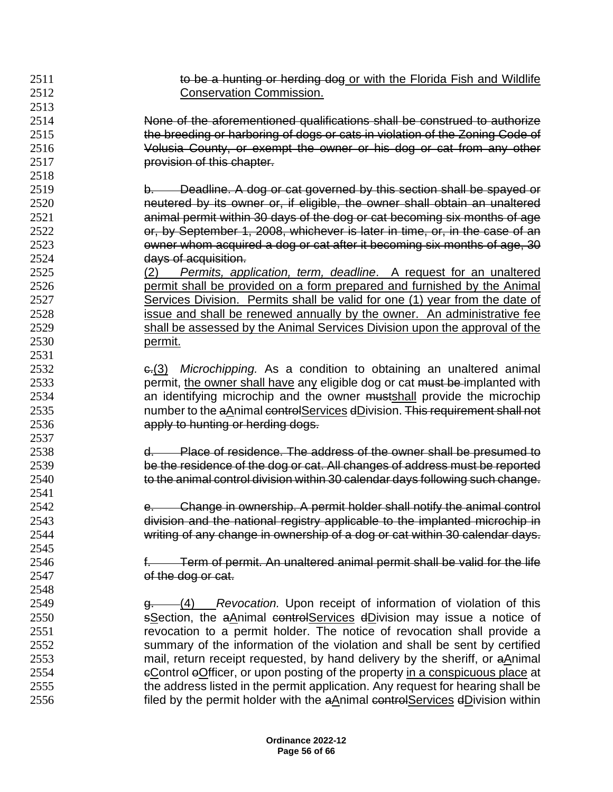| 2511 | to be a hunting or herding dog or with the Florida Fish and Wildlife                                                                                  |
|------|-------------------------------------------------------------------------------------------------------------------------------------------------------|
| 2512 | <b>Conservation Commission.</b>                                                                                                                       |
| 2513 |                                                                                                                                                       |
| 2514 | None of the aforementioned qualifications shall be construed to authorize                                                                             |
| 2515 | the breeding or harboring of dogs or cats in violation of the Zoning Code of                                                                          |
| 2516 | Volusia County, or exempt the owner or his dog or cat from any other                                                                                  |
| 2517 | provision of this chapter.                                                                                                                            |
| 2518 |                                                                                                                                                       |
| 2519 | Deadline. A dog or cat governed by this section shall be spayed or<br>b.                                                                              |
| 2520 | neutered by its owner or, if eligible, the owner shall obtain an unaltered                                                                            |
| 2521 | animal permit within 30 days of the dog or cat becoming six months of age                                                                             |
| 2522 | or, by September 1, 2008, whichever is later in time, or, in the case of an                                                                           |
| 2523 | owner whom acquired a dog or cat after it becoming six months of age, 30                                                                              |
| 2524 | days of acquisition.                                                                                                                                  |
| 2525 | Permits, application, term, deadline. A request for an unaltered<br>(2)                                                                               |
| 2526 | permit shall be provided on a form prepared and furnished by the Animal                                                                               |
| 2527 | Services Division. Permits shall be valid for one (1) year from the date of                                                                           |
| 2528 |                                                                                                                                                       |
| 2529 | issue and shall be renewed annually by the owner. An administrative fee<br>shall be assessed by the Animal Services Division upon the approval of the |
| 2530 |                                                                                                                                                       |
|      | permit.                                                                                                                                               |
| 2531 |                                                                                                                                                       |
| 2532 | e.(3) Microchipping. As a condition to obtaining an unaltered animal                                                                                  |
| 2533 | permit, the owner shall have any eligible dog or cat must be implanted with                                                                           |
| 2534 | an identifying microchip and the owner mustshall provide the microchip                                                                                |
| 2535 | number to the aAnimal controlServices dDivision. This requirement shall not                                                                           |
| 2536 | apply to hunting or herding dogs.                                                                                                                     |
| 2537 |                                                                                                                                                       |
| 2538 | Place of residence. The address of the owner shall be presumed to<br>d.                                                                               |
| 2539 | be the residence of the dog or cat. All changes of address must be reported                                                                           |
| 2540 | to the animal control division within 30 calendar days following such change.                                                                         |
| 2541 |                                                                                                                                                       |
| 2542 | Change in ownership. A permit holder shall notify the animal control<br>e.                                                                            |
| 2543 | division and the national registry applicable to the implanted microchip in                                                                           |
| 2544 | writing of any change in ownership of a dog or cat within 30 calendar days.                                                                           |
| 2545 |                                                                                                                                                       |
| 2546 | f. Term of permit. An unaltered animal permit shall be valid for the life                                                                             |
| 2547 | of the dog or cat.                                                                                                                                    |
| 2548 |                                                                                                                                                       |
| 2549 | Revocation. Upon receipt of information of violation of this<br>-(4)<br><del>a. –</del>                                                               |
| 2550 | sSection, the aAnimal controlServices dDivision may issue a notice of                                                                                 |
| 2551 | revocation to a permit holder. The notice of revocation shall provide a                                                                               |
| 2552 | summary of the information of the violation and shall be sent by certified                                                                            |
| 2553 | mail, return receipt requested, by hand delivery by the sheriff, or a Animal                                                                          |
| 2554 | eControl eOfficer, or upon posting of the property in a conspicuous place at                                                                          |
| 2555 | the address listed in the permit application. Any request for hearing shall be                                                                        |
| 2556 | filed by the permit holder with the aAnimal controlServices dDivision within                                                                          |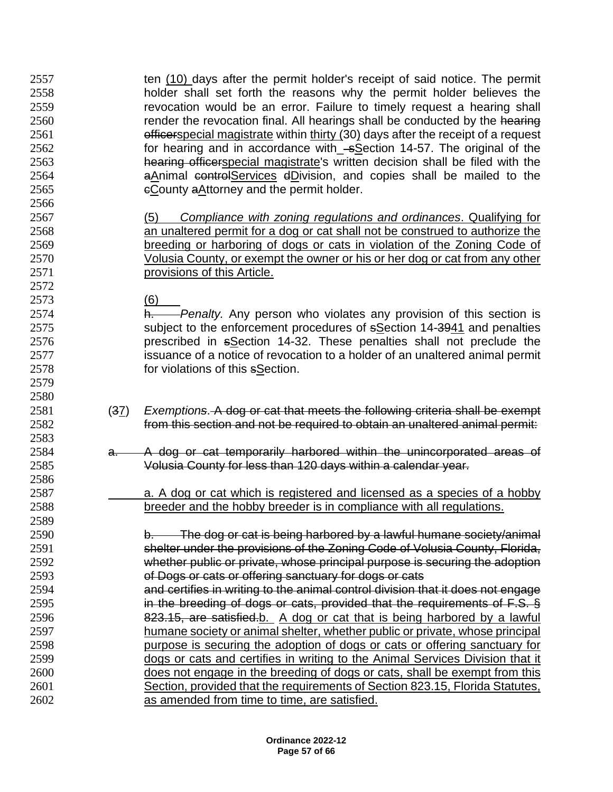ten (10) days after the permit holder's receipt of said notice. The permit holder shall set forth the reasons why the permit holder believes the revocation would be an error. Failure to timely request a hearing shall 2560 render the revocation final. All hearings shall be conducted by the hearing **officerspecial magistrate within thirty (30) days after the receipt of a request** 2562 for hearing and in accordance with\_sSection 14-57. The original of the hearing officerspecial magistrate's written decision shall be filed with the **a**Animal controlServices dDivision, and copies shall be mailed to the cCounty aAttorney and the permit holder. (5) *Compliance with zoning regulations and ordinances*. Qualifying for an unaltered permit for a dog or cat shall not be construed to authorize the breeding or harboring of dogs or cats in violation of the Zoning Code of Volusia County, or exempt the owner or his or her dog or cat from any other **provisions of this Article.** 

(6)

 

 h. *Penalty.* Any person who violates any provision of this section is subject to the enforcement procedures of sSection 14-3941 and penalties prescribed in sSection 14-32. These penalties shall not preclude the issuance of a notice of revocation to a holder of an unaltered animal permit for violations of this sSection.

- (37) *Exemptions*. A dog or cat that meets the following criteria shall be exempt from this section and not be required to obtain an unaltered animal permit:
- a. A dog or cat temporarily harbored within the unincorporated areas of Volusia County for less than 120 days within a calendar year.
- a. A dog or cat which is registered and licensed as a species of a hobby breeder and the hobby breeder is in compliance with all regulations.

 b. The dog or cat is being harbored by a lawful humane society/animal shelter under the provisions of the Zoning Code of Volusia County, Florida, whether public or private, whose principal purpose is securing the adoption of Dogs or cats or offering sanctuary for dogs or cats

 and certifies in writing to the animal control division that it does not engage in the breeding of dogs or cats, provided that the requirements of F.S. § 823.15, are satisfied.b. A dog or cat that is being harbored by a lawful humane society or animal shelter, whether public or private, whose principal purpose is securing the adoption of dogs or cats or offering sanctuary for dogs or cats and certifies in writing to the Animal Services Division that it does not engage in the breeding of dogs or cats, shall be exempt from this Section, provided that the requirements of Section 823.15, Florida Statutes, as amended from time to time, are satisfied.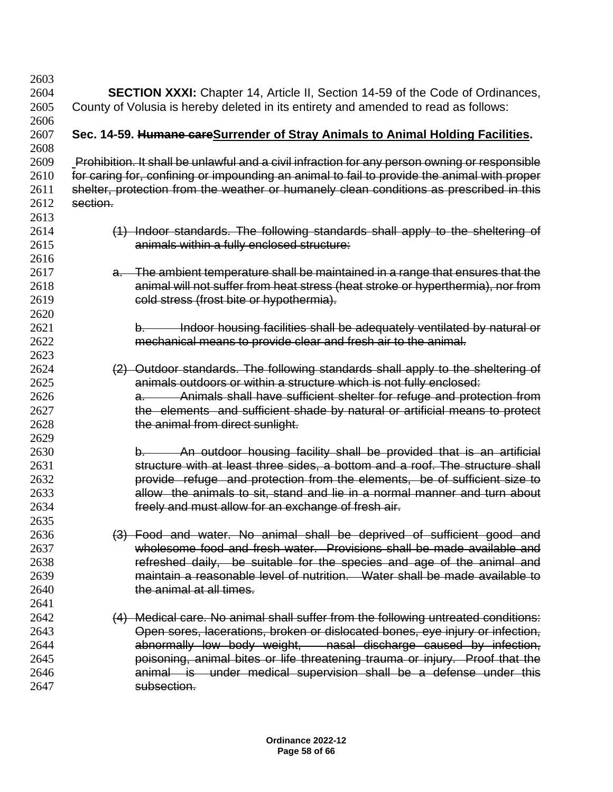| 2603         |                                                                                               |
|--------------|-----------------------------------------------------------------------------------------------|
| 2604         | <b>SECTION XXXI:</b> Chapter 14, Article II, Section 14-59 of the Code of Ordinances,         |
| 2605         | County of Volusia is hereby deleted in its entirety and amended to read as follows:           |
| 2606<br>2607 | Sec. 14-59. Humane careSurrender of Stray Animals to Animal Holding Facilities.               |
| 2608         |                                                                                               |
| 2609         | Prohibition. It shall be unlawful and a civil infraction for any person owning or responsible |
| 2610         | for caring for, confining or impounding an animal to fail to provide the animal with proper   |
| 2611         | shelter, protection from the weather or humanely clean conditions as prescribed in this       |
| 2612         | section.                                                                                      |
| 2613         |                                                                                               |
| 2614         | (1) Indoor standards. The following standards shall apply to the sheltering of                |
| 2615         | animals within a fully enclosed structure:                                                    |
| 2616         |                                                                                               |
| 2617         | a. The ambient temperature shall be maintained in a range that ensures that the               |
| 2618         | animal will not suffer from heat stress (heat stroke or hyperthermia), nor from               |
| 2619         | cold stress (frost bite or hypothermia).                                                      |
| 2620         |                                                                                               |
| 2621         | Indoor housing facilities shall be adequately ventilated by natural or                        |
| 2622         | mechanical means to provide clear and fresh air to the animal.                                |
| 2623         |                                                                                               |
| 2624         | (2) Outdoor standards. The following standards shall apply to the sheltering of               |
| 2625         | animals outdoors or within a structure which is not fully enclosed:                           |
| 2626         | a. Animals shall have sufficient shelter for refuge and protection from                       |
| 2627         | the elements and sufficient shade by natural or artificial means to protect                   |
| 2628         | the animal from direct sunlight.                                                              |
| 2629         |                                                                                               |
| 2630         | An outdoor housing facility shall be provided that is an artificial<br>$\mathsf{b}$ .         |
| 2631         | structure with at least three sides, a bottom and a roof. The structure shall                 |
| 2632         | provide refuge and protection from the elements, be of sufficient size to                     |
| 2633         | allow the animals to sit, stand and lie in a normal manner and turn about                     |
| 2634         | freely and must allow for an exchange of fresh air.                                           |
| 2635         |                                                                                               |
| 2636         | (3) Food and water. No animal shall be deprived of sufficient good and                        |
| 2637         | wholesome food and fresh water. Provisions shall be made available and                        |
| 2638         | refreshed daily, be suitable for the species and age of the animal and                        |
| 2639         | maintain a reasonable level of nutrition. Water shall be made available to                    |
| 2640         | the animal at all times.                                                                      |
| 2641         |                                                                                               |
| 2642         | (4) Medical care. No animal shall suffer from the following untreated conditions:             |
| 2643         | Open sores, lacerations, broken or dislocated bones, eye injury or infection,                 |
| 2644         | abnormally low body weight, nasal discharge caused by infection,                              |
| 2645         | poisoning, animal bites or life threatening trauma or injury. Proof that the                  |
| 2646         | animal is under medical supervision shall be a defense under this                             |
| 2647         | subsection.                                                                                   |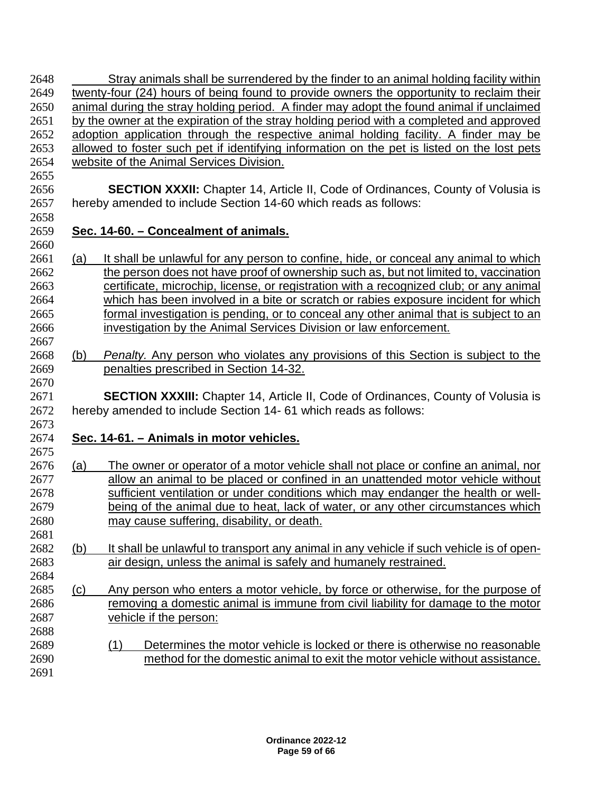| 2648         |     | Stray animals shall be surrendered by the finder to an animal holding facility within                                                                       |  |  |  |
|--------------|-----|-------------------------------------------------------------------------------------------------------------------------------------------------------------|--|--|--|
| 2649         |     | twenty-four (24) hours of being found to provide owners the opportunity to reclaim their                                                                    |  |  |  |
| 2650         |     | animal during the stray holding period. A finder may adopt the found animal if unclaimed                                                                    |  |  |  |
| 2651         |     | by the owner at the expiration of the stray holding period with a completed and approved                                                                    |  |  |  |
| 2652         |     | adoption application through the respective animal holding facility. A finder may be                                                                        |  |  |  |
| 2653         |     | allowed to foster such pet if identifying information on the pet is listed on the lost pets                                                                 |  |  |  |
| 2654         |     | website of the Animal Services Division.                                                                                                                    |  |  |  |
| 2655         |     |                                                                                                                                                             |  |  |  |
| 2656<br>2657 |     | <b>SECTION XXXII:</b> Chapter 14, Article II, Code of Ordinances, County of Volusia is<br>hereby amended to include Section 14-60 which reads as follows:   |  |  |  |
| 2658<br>2659 |     | Sec. 14-60. - Concealment of animals.                                                                                                                       |  |  |  |
| 2660         |     |                                                                                                                                                             |  |  |  |
| 2661         | (a) | It shall be unlawful for any person to confine, hide, or conceal any animal to which                                                                        |  |  |  |
| 2662         |     | the person does not have proof of ownership such as, but not limited to, vaccination                                                                        |  |  |  |
| 2663         |     | certificate, microchip, license, or registration with a recognized club; or any animal                                                                      |  |  |  |
| 2664         |     | which has been involved in a bite or scratch or rabies exposure incident for which                                                                          |  |  |  |
| 2665         |     | formal investigation is pending, or to conceal any other animal that is subject to an                                                                       |  |  |  |
| 2666         |     | investigation by the Animal Services Division or law enforcement.                                                                                           |  |  |  |
| 2667         |     |                                                                                                                                                             |  |  |  |
| 2668         | (b) | <i>Penalty.</i> Any person who violates any provisions of this Section is subject to the                                                                    |  |  |  |
| 2669         |     | penalties prescribed in Section 14-32.                                                                                                                      |  |  |  |
| 2670         |     |                                                                                                                                                             |  |  |  |
| 2671<br>2672 |     | <b>SECTION XXXIII:</b> Chapter 14, Article II, Code of Ordinances, County of Volusia is<br>hereby amended to include Section 14- 61 which reads as follows: |  |  |  |
| 2673         |     |                                                                                                                                                             |  |  |  |
| 2674<br>2675 |     | Sec. 14-61. - Animals in motor vehicles.                                                                                                                    |  |  |  |
| 2676         | (a) | The owner or operator of a motor vehicle shall not place or confine an animal, nor                                                                          |  |  |  |
| 2677         |     | allow an animal to be placed or confined in an unattended motor vehicle without                                                                             |  |  |  |
| 2678         |     | sufficient ventilation or under conditions which may endanger the health or well-                                                                           |  |  |  |
| 2679         |     | being of the animal due to heat, lack of water, or any other circumstances which                                                                            |  |  |  |
| 2680         |     | may cause suffering, disability, or death.                                                                                                                  |  |  |  |
| 2681         |     |                                                                                                                                                             |  |  |  |
| 2682         | (b) | It shall be unlawful to transport any animal in any vehicle if such vehicle is of open-                                                                     |  |  |  |
| 2683         |     | air design, unless the animal is safely and humanely restrained.                                                                                            |  |  |  |
| 2684         |     |                                                                                                                                                             |  |  |  |
| 2685         | (c) | Any person who enters a motor vehicle, by force or otherwise, for the purpose of                                                                            |  |  |  |
| 2686         |     | removing a domestic animal is immune from civil liability for damage to the motor                                                                           |  |  |  |
| 2687         |     | vehicle if the person:                                                                                                                                      |  |  |  |
| 2688         |     |                                                                                                                                                             |  |  |  |
| 2689         |     | (1)<br>Determines the motor vehicle is locked or there is otherwise no reasonable                                                                           |  |  |  |
| 2690         |     | method for the domestic animal to exit the motor vehicle without assistance.                                                                                |  |  |  |
| 2691         |     |                                                                                                                                                             |  |  |  |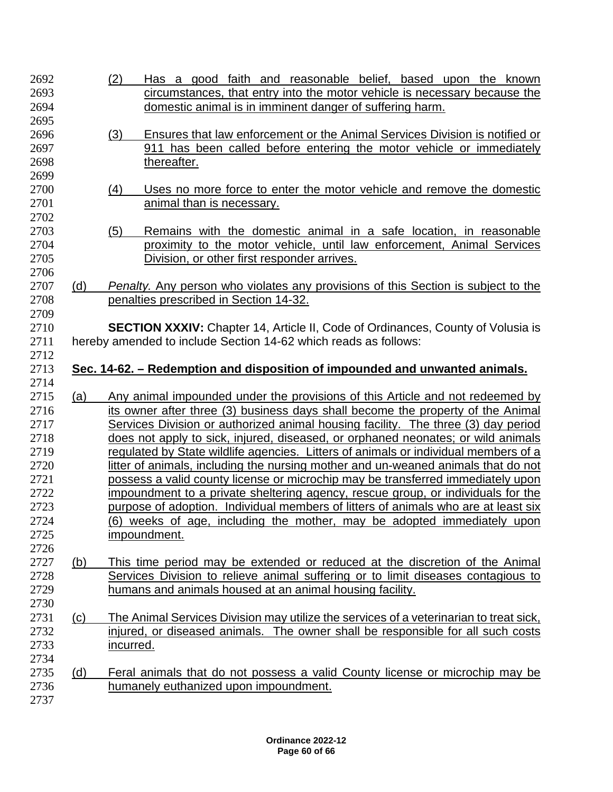| 2692 |     | (2)<br>Has a good faith and reasonable belief, based upon the known                      |
|------|-----|------------------------------------------------------------------------------------------|
| 2693 |     | circumstances, that entry into the motor vehicle is necessary because the                |
| 2694 |     | domestic animal is in imminent danger of suffering harm.                                 |
| 2695 |     |                                                                                          |
| 2696 |     | (3)<br>Ensures that law enforcement or the Animal Services Division is notified or       |
|      |     |                                                                                          |
| 2697 |     | 911 has been called before entering the motor vehicle or immediately                     |
| 2698 |     | thereafter.                                                                              |
| 2699 |     |                                                                                          |
| 2700 |     | (4)<br>Uses no more force to enter the motor vehicle and remove the domestic             |
| 2701 |     | animal than is necessary.                                                                |
| 2702 |     |                                                                                          |
| 2703 |     | Remains with the domestic animal in a safe location, in reasonable<br>(5)                |
| 2704 |     | proximity to the motor vehicle, until law enforcement, Animal Services                   |
| 2705 |     | Division, or other first responder arrives.                                              |
| 2706 |     |                                                                                          |
| 2707 | (d) |                                                                                          |
|      |     | <b>Penalty.</b> Any person who violates any provisions of this Section is subject to the |
| 2708 |     | penalties prescribed in Section 14-32.                                                   |
| 2709 |     |                                                                                          |
| 2710 |     | <b>SECTION XXXIV:</b> Chapter 14, Article II, Code of Ordinances, County of Volusia is   |
| 2711 |     | hereby amended to include Section 14-62 which reads as follows:                          |
|      |     |                                                                                          |
| 2712 |     |                                                                                          |
| 2713 |     | Sec. 14-62. – Redemption and disposition of impounded and unwanted animals.              |
| 2714 |     |                                                                                          |
| 2715 |     |                                                                                          |
|      | (a) | Any animal impounded under the provisions of this Article and not redeemed by            |
| 2716 |     | its owner after three (3) business days shall become the property of the Animal          |
| 2717 |     | Services Division or authorized animal housing facility. The three (3) day period        |
| 2718 |     | does not apply to sick, injured, diseased, or orphaned neonates; or wild animals         |
| 2719 |     | regulated by State wildlife agencies. Litters of animals or individual members of a      |
| 2720 |     | litter of animals, including the nursing mother and un-weaned animals that do not        |
| 2721 |     | possess a valid county license or microchip may be transferred immediately upon          |
| 2722 |     | impoundment to a private sheltering agency, rescue group, or individuals for the         |
| 2723 |     | purpose of adoption. Individual members of litters of animals who are at least six       |
| 2724 |     | (6) weeks of age, including the mother, may be adopted immediately upon                  |
| 2725 |     | impoundment.                                                                             |
| 2726 |     |                                                                                          |
|      |     |                                                                                          |
| 2727 | (b) | This time period may be extended or reduced at the discretion of the Animal              |
| 2728 |     | Services Division to relieve animal suffering or to limit diseases contagious to         |
| 2729 |     | humans and animals housed at an animal housing facility.                                 |
| 2730 |     |                                                                                          |
| 2731 | (c) | The Animal Services Division may utilize the services of a veterinarian to treat sick,   |
| 2732 |     | injured, or diseased animals. The owner shall be responsible for all such costs          |
| 2733 |     | incurred.                                                                                |
| 2734 |     |                                                                                          |
| 2735 | (d) | Feral animals that do not possess a valid County license or microchip may be             |
| 2736 |     | humanely euthanized upon impoundment.                                                    |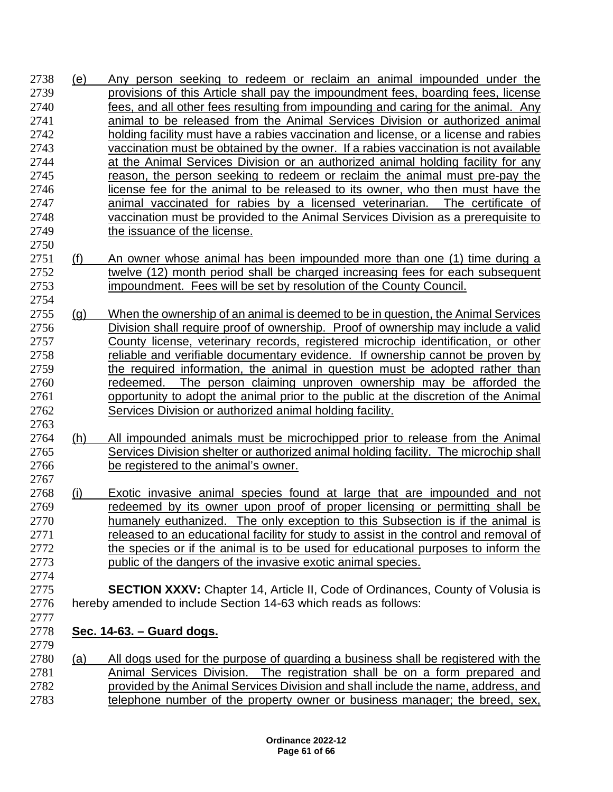- (e) Any person seeking to redeem or reclaim an animal impounded under the provisions of this Article shall pay the impoundment fees, boarding fees, license fees, and all other fees resulting from impounding and caring for the animal. Any **animal to be released from the Animal Services Division or authorized animal**  holding facility must have a rabies vaccination and license, or a license and rabies vaccination must be obtained by the owner. If a rabies vaccination is not available at the Animal Services Division or an authorized animal holding facility for any reason, the person seeking to redeem or reclaim the animal must pre-pay the license fee for the animal to be released to its owner, who then must have the animal vaccinated for rabies by a licensed veterinarian. The certificate of vaccination must be provided to the Animal Services Division as a prerequisite to 2749 the issuance of the license.
- 2751 (f) An owner whose animal has been impounded more than one (1) time during a twelve (12) month period shall be charged increasing fees for each subsequent impoundment. Fees will be set by resolution of the County Council.
- (g) When the ownership of an animal is deemed to be in question, the Animal Services Division shall require proof of ownership. Proof of ownership may include a valid County license, veterinary records, registered microchip identification, or other reliable and verifiable documentary evidence. If ownership cannot be proven by 2759 the required information, the animal in question must be adopted rather than redeemed. The person claiming unproven ownership may be afforded the 2761 opportunity to adopt the animal prior to the public at the discretion of the Animal Services Division or authorized animal holding facility.
- (h) All impounded animals must be microchipped prior to release from the Animal Services Division shelter or authorized animal holding facility. The microchip shall be registered to the animal's owner.
- (i) Exotic invasive animal species found at large that are impounded and not redeemed by its owner upon proof of proper licensing or permitting shall be humanely euthanized. The only exception to this Subsection is if the animal is 2771 released to an educational facility for study to assist in the control and removal of the species or if the animal is to be used for educational purposes to inform the public of the dangers of the invasive exotic animal species.
- **SECTION XXXV:** Chapter 14, Article II, Code of Ordinances, County of Volusia is hereby amended to include Section 14-63 which reads as follows:
- **Sec. 14-63. – Guard dogs.**

 (a) All dogs used for the purpose of guarding a business shall be registered with the Animal Services Division. The registration shall be on a form prepared and provided by the Animal Services Division and shall include the name, address, and telephone number of the property owner or business manager; the breed, sex,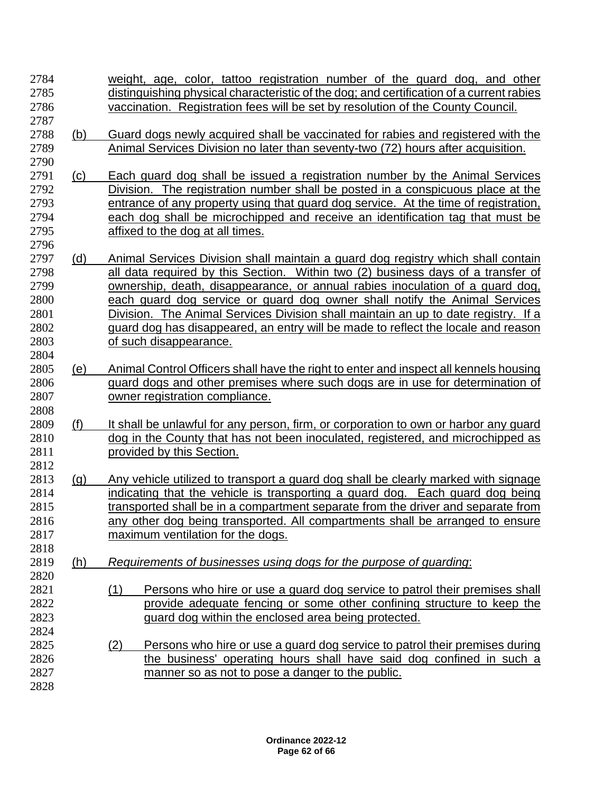weight, age, color, tattoo registration number of the guard dog, and other distinguishing physical characteristic of the dog; and certification of a current rabies vaccination. Registration fees will be set by resolution of the County Council. (b) Guard dogs newly acquired shall be vaccinated for rabies and registered with the Animal Services Division no later than seventy-two (72) hours after acquisition. (c) Each guard dog shall be issued a registration number by the Animal Services Division. The registration number shall be posted in a conspicuous place at the entrance of any property using that guard dog service. At the time of registration, each dog shall be microchipped and receive an identification tag that must be affixed to the dog at all times. (d) Animal Services Division shall maintain a guard dog registry which shall contain all data required by this Section. Within two (2) business days of a transfer of ownership, death, disappearance, or annual rabies inoculation of a guard dog, each guard dog service or guard dog owner shall notify the Animal Services Division. The Animal Services Division shall maintain an up to date registry. If a guard dog has disappeared, an entry will be made to reflect the locale and reason of such disappearance. (e) Animal Control Officers shall have the right to enter and inspect all kennels housing guard dogs and other premises where such dogs are in use for determination of owner registration compliance. 2809 (f) It shall be unlawful for any person, firm, or corporation to own or harbor any quard 2810 dog in the County that has not been inoculated, registered, and microchipped as **provided by this Section.**  (g) Any vehicle utilized to transport a guard dog shall be clearly marked with signage indicating that the vehicle is transporting a guard dog. Each guard dog being transported shall be in a compartment separate from the driver and separate from any other dog being transported. All compartments shall be arranged to ensure maximum ventilation for the dogs. (h) *Requirements of businesses using dogs for the purpose of guarding*: (1) Persons who hire or use a guard dog service to patrol their premises shall provide adequate fencing or some other confining structure to keep the guard dog within the enclosed area being protected. (2) Persons who hire or use a guard dog service to patrol their premises during the business' operating hours shall have said dog confined in such a manner so as not to pose a danger to the public.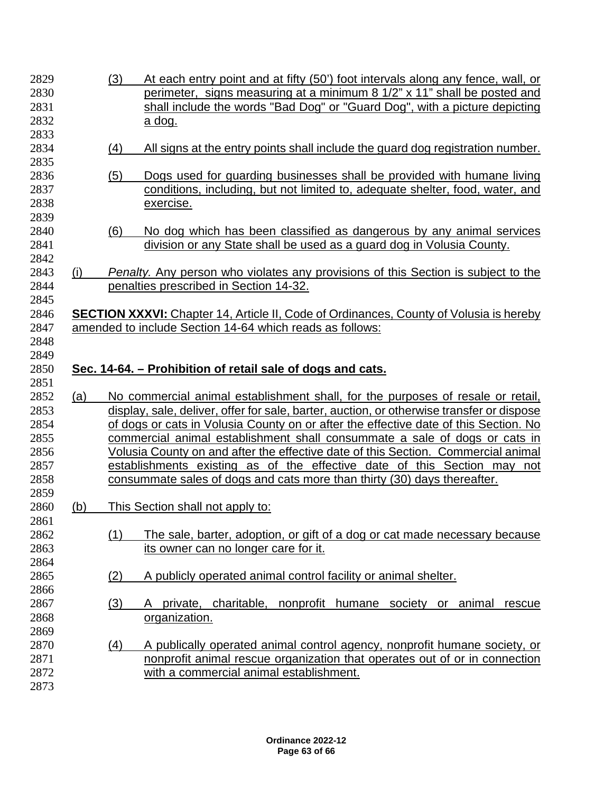| 2829         |     | (3) | At each entry point and at fifty (50') foot intervals along any fence, wall, or                                                                                                   |
|--------------|-----|-----|-----------------------------------------------------------------------------------------------------------------------------------------------------------------------------------|
| 2830         |     |     | perimeter, signs measuring at a minimum 8 1/2" x 11" shall be posted and                                                                                                          |
| 2831         |     |     | shall include the words "Bad Dog" or "Guard Dog", with a picture depicting                                                                                                        |
| 2832         |     |     | a dog.                                                                                                                                                                            |
| 2833         |     |     |                                                                                                                                                                                   |
| 2834         |     | (4) | All signs at the entry points shall include the guard dog registration number.                                                                                                    |
| 2835         |     |     |                                                                                                                                                                                   |
| 2836         |     | (5) | Dogs used for guarding businesses shall be provided with humane living                                                                                                            |
| 2837<br>2838 |     |     | conditions, including, but not limited to, adequate shelter, food, water, and<br>exercise.                                                                                        |
| 2839         |     |     |                                                                                                                                                                                   |
| 2840         |     |     |                                                                                                                                                                                   |
| 2841         |     | (6) | No dog which has been classified as dangerous by any animal services<br>division or any State shall be used as a guard dog in Volusia County.                                     |
| 2842         |     |     |                                                                                                                                                                                   |
| 2843<br>2844 | (i) |     | Penalty. Any person who violates any provisions of this Section is subject to the<br>penalties prescribed in Section 14-32.                                                       |
| 2845         |     |     |                                                                                                                                                                                   |
| 2846         |     |     | <b>SECTION XXXVI:</b> Chapter 14, Article II, Code of Ordinances, County of Volusia is hereby                                                                                     |
| 2847         |     |     | amended to include Section 14-64 which reads as follows:                                                                                                                          |
| 2848         |     |     |                                                                                                                                                                                   |
|              |     |     |                                                                                                                                                                                   |
|              |     |     |                                                                                                                                                                                   |
| 2849         |     |     |                                                                                                                                                                                   |
| 2850         |     |     | Sec. 14-64. – Prohibition of retail sale of dogs and cats.                                                                                                                        |
| 2851         |     |     |                                                                                                                                                                                   |
| 2852         | (a) |     | No commercial animal establishment shall, for the purposes of resale or retail,                                                                                                   |
| 2853<br>2854 |     |     | display, sale, deliver, offer for sale, barter, auction, or otherwise transfer or dispose<br>of dogs or cats in Volusia County on or after the effective date of this Section. No |
| 2855         |     |     |                                                                                                                                                                                   |
| 2856         |     |     | commercial animal establishment shall consummate a sale of dogs or cats in                                                                                                        |
| 2857         |     |     | Volusia County on and after the effective date of this Section. Commercial animal                                                                                                 |
| 2858         |     |     | establishments existing as of the effective date of this Section may not                                                                                                          |
| 2859         |     |     | consummate sales of dogs and cats more than thirty (30) days thereafter.                                                                                                          |
| 2860         | (b) |     | This Section shall not apply to:                                                                                                                                                  |
| 2861         |     |     |                                                                                                                                                                                   |
| 2862         |     | (1) | The sale, barter, adoption, or gift of a dog or cat made necessary because                                                                                                        |
| 2863         |     |     | its owner can no longer care for it.                                                                                                                                              |
| 2864         |     |     |                                                                                                                                                                                   |
| 2865         |     | (2) | A publicly operated animal control facility or animal shelter.                                                                                                                    |
| 2866         |     |     |                                                                                                                                                                                   |
| 2867         |     |     | charitable,<br>private,<br>rescue<br>A                                                                                                                                            |
| 2868         |     | (3) | nonprofit humane society or animal<br>organization.                                                                                                                               |
| 2869         |     |     |                                                                                                                                                                                   |
| 2870         |     | (4) |                                                                                                                                                                                   |
| 2871         |     |     | A publically operated animal control agency, nonprofit humane society, or<br>nonprofit animal rescue organization that operates out of or in connection                           |
| 2872         |     |     | with a commercial animal establishment.                                                                                                                                           |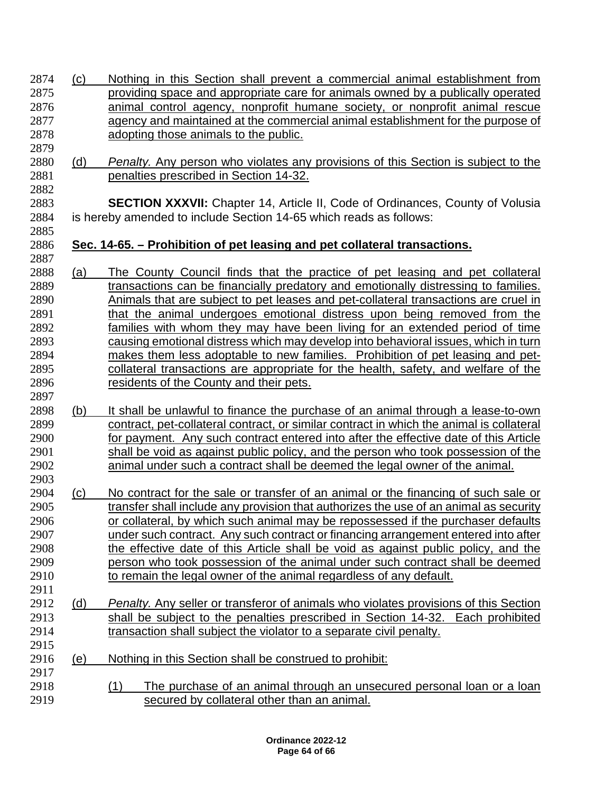| 2874         | (c) | Nothing in this Section shall prevent a commercial animal establishment from                                                                                       |
|--------------|-----|--------------------------------------------------------------------------------------------------------------------------------------------------------------------|
| 2875         |     | providing space and appropriate care for animals owned by a publically operated                                                                                    |
| 2876         |     | animal control agency, nonprofit humane society, or nonprofit animal rescue                                                                                        |
| 2877         |     | agency and maintained at the commercial animal establishment for the purpose of                                                                                    |
| 2878         |     | adopting those animals to the public.                                                                                                                              |
| 2879<br>2880 | (d) | <b>Penalty.</b> Any person who violates any provisions of this Section is subject to the                                                                           |
| 2881<br>2882 |     | penalties prescribed in Section 14-32.                                                                                                                             |
| 2883<br>2884 |     | <b>SECTION XXXVII:</b> Chapter 14, Article II, Code of Ordinances, County of Volusia<br>is hereby amended to include Section 14-65 which reads as follows:         |
| 2885<br>2886 |     | Sec. 14-65. – Prohibition of pet leasing and pet collateral transactions.                                                                                          |
| 2887         |     |                                                                                                                                                                    |
| 2888<br>2889 | (a) | The County Council finds that the practice of pet leasing and pet collateral<br>transactions can be financially predatory and emotionally distressing to families. |
| 2890         |     | Animals that are subject to pet leases and pet-collateral transactions are cruel in                                                                                |
| 2891         |     | that the animal undergoes emotional distress upon being removed from the                                                                                           |
| 2892         |     | families with whom they may have been living for an extended period of time                                                                                        |
| 2893         |     | causing emotional distress which may develop into behavioral issues, which in turn                                                                                 |
| 2894         |     | makes them less adoptable to new families. Prohibition of pet leasing and pet-                                                                                     |
| 2895         |     | collateral transactions are appropriate for the health, safety, and welfare of the                                                                                 |
| 2896         |     | residents of the County and their pets.                                                                                                                            |
| 2897         |     |                                                                                                                                                                    |
| 2898         | (b) | It shall be unlawful to finance the purchase of an animal through a lease-to-own                                                                                   |
| 2899         |     | contract, pet-collateral contract, or similar contract in which the animal is collateral                                                                           |
| 2900         |     | for payment. Any such contract entered into after the effective date of this Article                                                                               |
| 2901         |     | shall be void as against public policy, and the person who took possession of the                                                                                  |
| 2902         |     | animal under such a contract shall be deemed the legal owner of the animal.                                                                                        |
| 2903         |     |                                                                                                                                                                    |
| 2904         | (c) | No contract for the sale or transfer of an animal or the financing of such sale or                                                                                 |
| 2905         |     | transfer shall include any provision that authorizes the use of an animal as security                                                                              |
| 2906         |     | or collateral, by which such animal may be repossessed if the purchaser defaults                                                                                   |
| 2907         |     | under such contract. Any such contract or financing arrangement entered into after                                                                                 |
| 2908         |     | the effective date of this Article shall be void as against public policy, and the                                                                                 |
| 2909         |     | person who took possession of the animal under such contract shall be deemed                                                                                       |
| 2910         |     | to remain the legal owner of the animal regardless of any default.                                                                                                 |
| 2911         |     |                                                                                                                                                                    |
| 2912         | (d) | Penalty. Any seller or transferor of animals who violates provisions of this Section                                                                               |
| 2913         |     | shall be subject to the penalties prescribed in Section 14-32.<br>Each prohibited                                                                                  |
| 2914         |     | transaction shall subject the violator to a separate civil penalty.                                                                                                |
| 2915         |     |                                                                                                                                                                    |
| 2916         | (e) | Nothing in this Section shall be construed to prohibit:                                                                                                            |
| 2917         |     |                                                                                                                                                                    |
| 2918         |     | The purchase of an animal through an unsecured personal loan or a loan<br>(1)                                                                                      |
| 2919         |     | secured by collateral other than an animal.                                                                                                                        |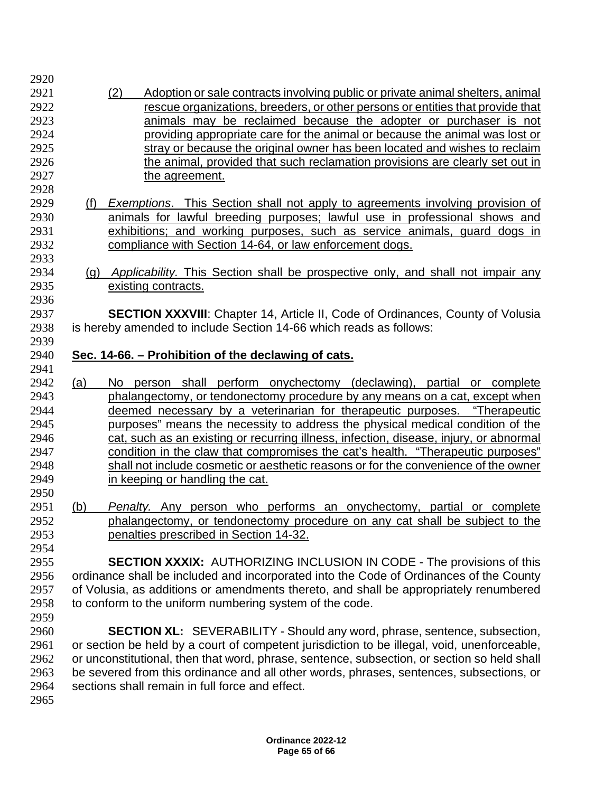(2) Adoption or sale contracts involving public or private animal shelters, animal rescue organizations, breeders, or other persons or entities that provide that animals may be reclaimed because the adopter or purchaser is not providing appropriate care for the animal or because the animal was lost or stray or because the original owner has been located and wishes to reclaim 2926 the animal, provided that such reclamation provisions are clearly set out in the agreement. (f) *Exemptions*. This Section shall not apply to agreements involving provision of animals for lawful breeding purposes; lawful use in professional shows and exhibitions; and working purposes, such as service animals, guard dogs in compliance with Section 14-64, or law enforcement dogs. (g) *Applicability.* This Section shall be prospective only, and shall not impair any existing contracts. **SECTION XXXVIII**: Chapter 14, Article II, Code of Ordinances, County of Volusia<br>2938 is hereby amended to include Section 14-66 which reads as follows: is hereby amended to include Section 14-66 which reads as follows: **Sec. 14-66. – Prohibition of the declawing of cats.** (a) No person shall perform onychectomy (declawing), partial or complete phalangectomy, or tendonectomy procedure by any means on a cat, except when deemed necessary by a veterinarian for therapeutic purposes. "Therapeutic purposes" means the necessity to address the physical medical condition of the cat, such as an existing or recurring illness, infection, disease, injury, or abnormal condition in the claw that compromises the cat's health. "Therapeutic purposes" shall not include cosmetic or aesthetic reasons or for the convenience of the owner in keeping or handling the cat. (b) *Penalty.* Any person who performs an onychectomy, partial or complete phalangectomy, or tendonectomy procedure on any cat shall be subject to the penalties prescribed in Section 14-32. **SECTION XXXIX:** AUTHORIZING INCLUSION IN CODE - The provisions of this ordinance shall be included and incorporated into the Code of Ordinances of the County of Volusia, as additions or amendments thereto, and shall be appropriately renumbered to conform to the uniform numbering system of the code. **SECTION XL:** SEVERABILITY - Should any word, phrase, sentence, subsection, or section be held by a court of competent jurisdiction to be illegal, void, unenforceable, or unconstitutional, then that word, phrase, sentence, subsection, or section so held shall be severed from this ordinance and all other words, phrases, sentences, subsections, or sections shall remain in full force and effect.